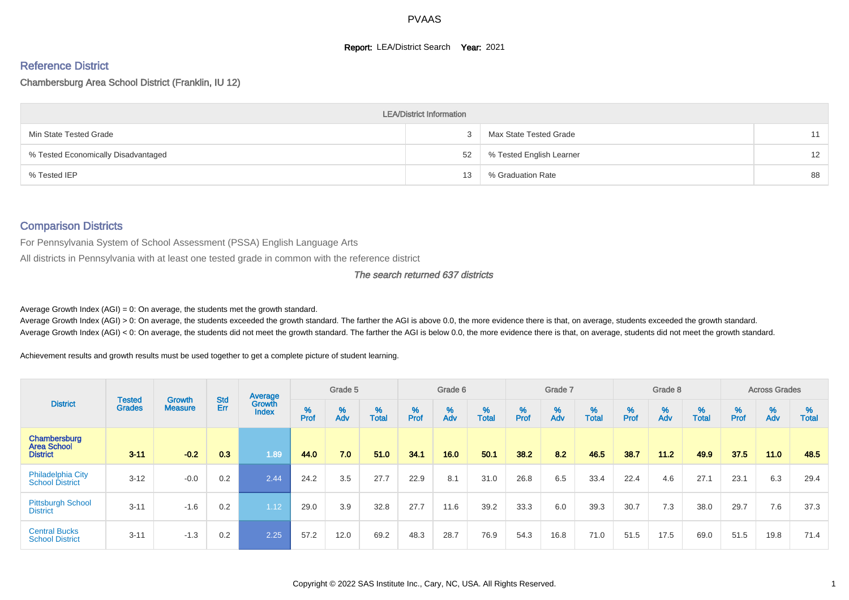#### **Report: LEA/District Search Year: 2021**

# Reference District

#### Chambersburg Area School District (Franklin, IU 12)

|                                     | <b>LEA/District Information</b> |                          |                   |
|-------------------------------------|---------------------------------|--------------------------|-------------------|
| Min State Tested Grade              |                                 | Max State Tested Grade   | 11                |
| % Tested Economically Disadvantaged | 52                              | % Tested English Learner | $12 \overline{ }$ |
| % Tested IEP                        | 13                              | % Graduation Rate        | 88                |

#### Comparison Districts

For Pennsylvania System of School Assessment (PSSA) English Language Arts

All districts in Pennsylvania with at least one tested grade in common with the reference district

#### The search returned 637 districts

Average Growth Index  $(AGI) = 0$ : On average, the students met the growth standard.

Average Growth Index (AGI) > 0: On average, the students exceeded the growth standard. The farther the AGI is above 0.0, the more evidence there is that, on average, students exceeded the growth standard. Average Growth Index (AGI) < 0: On average, the students did not meet the growth standard. The farther the AGI is below 0.0, the more evidence there is that, on average, students did not meet the growth standard.

Achievement results and growth results must be used together to get a complete picture of student learning.

|                                                       |                                |                                 |                   | Average                |           | Grade 5  |                   |           | Grade 6  |                   |           | Grade 7  |                   |           | Grade 8  |                   |           | <b>Across Grades</b> |                   |
|-------------------------------------------------------|--------------------------------|---------------------------------|-------------------|------------------------|-----------|----------|-------------------|-----------|----------|-------------------|-----------|----------|-------------------|-----------|----------|-------------------|-----------|----------------------|-------------------|
| <b>District</b>                                       | <b>Tested</b><br><b>Grades</b> | <b>Growth</b><br><b>Measure</b> | <b>Std</b><br>Err | Growth<br><b>Index</b> | %<br>Prof | %<br>Adv | %<br><b>Total</b> | %<br>Prof | %<br>Adv | %<br><b>Total</b> | %<br>Prof | %<br>Adv | %<br><b>Total</b> | %<br>Prof | %<br>Adv | %<br><b>Total</b> | %<br>Prof | %<br>Adv             | %<br><b>Total</b> |
| Chambersburg<br><b>Area School</b><br><b>District</b> | $3 - 11$                       | $-0.2$                          | 0.3               | 1.89                   | 44.0      | 7.0      | 51.0              | 34.1      | 16.0     | 50.1              | 38.2      | 8.2      | 46.5              | 38.7      | $11.2$   | 49.9              | 37.5      | 11.0                 | 48.5              |
| <b>Philadelphia City</b><br><b>School District</b>    | $3 - 12$                       | $-0.0$                          | 0.2               | 2.44                   | 24.2      | 3.5      | 27.7              | 22.9      | 8.1      | 31.0              | 26.8      | 6.5      | 33.4              | 22.4      | 4.6      | 27.1              | 23.1      | 6.3                  | 29.4              |
| <b>Pittsburgh School</b><br><b>District</b>           | $3 - 11$                       | $-1.6$                          | 0.2               | 1.12                   | 29.0      | 3.9      | 32.8              | 27.7      | 11.6     | 39.2              | 33.3      | 6.0      | 39.3              | 30.7      | 7.3      | 38.0              | 29.7      | 7.6                  | 37.3              |
| <b>Central Bucks</b><br><b>School District</b>        | $3 - 11$                       | $-1.3$                          | 0.2               | 2.25                   | 57.2      | 12.0     | 69.2              | 48.3      | 28.7     | 76.9              | 54.3      | 16.8     | 71.0              | 51.5      | 17.5     | 69.0              | 51.5      | 19.8                 | 71.4              |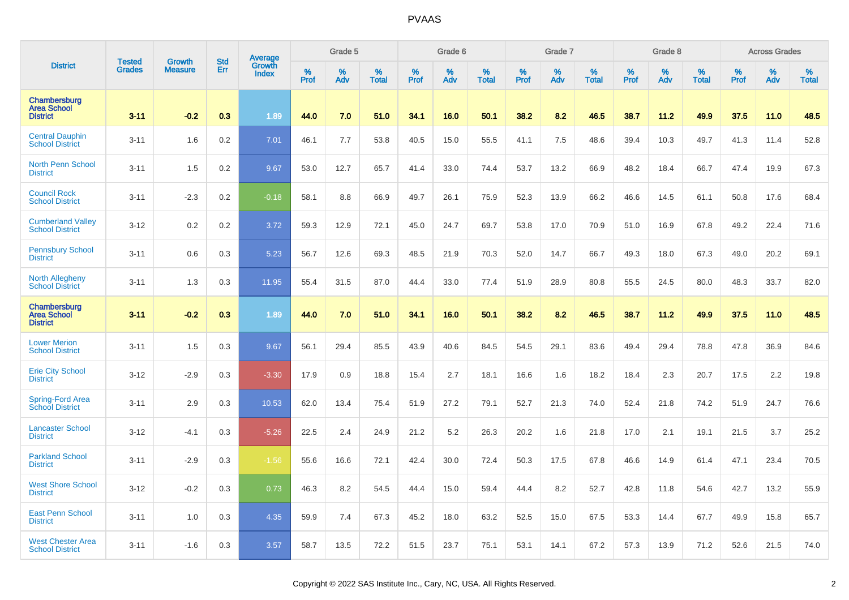|                                                       | <b>Tested</b> | <b>Growth</b>  | <b>Std</b> | Average<br>Growth |                     | Grade 5  |                   |              | Grade 6  |                   |              | Grade 7  |                   |           | Grade 8  |                   |                  | <b>Across Grades</b> |                   |
|-------------------------------------------------------|---------------|----------------|------------|-------------------|---------------------|----------|-------------------|--------------|----------|-------------------|--------------|----------|-------------------|-----------|----------|-------------------|------------------|----------------------|-------------------|
| <b>District</b>                                       | <b>Grades</b> | <b>Measure</b> | Err        | <b>Index</b>      | $\%$<br><b>Prof</b> | %<br>Adv | %<br><b>Total</b> | $\%$<br>Prof | %<br>Adv | %<br><b>Total</b> | $\%$<br>Prof | %<br>Adv | %<br><b>Total</b> | %<br>Prof | %<br>Adv | %<br><b>Total</b> | %<br><b>Prof</b> | %<br>Adv             | %<br><b>Total</b> |
| Chambersburg<br><b>Area School</b><br><b>District</b> | $3 - 11$      | $-0.2$         | 0.3        | 1.89              | 44.0                | 7.0      | 51.0              | 34.1         | 16.0     | 50.1              | 38.2         | 8.2      | 46.5              | 38.7      | 11.2     | 49.9              | 37.5             | 11.0                 | 48.5              |
| <b>Central Dauphin</b><br><b>School District</b>      | $3 - 11$      | 1.6            | 0.2        | 7.01              | 46.1                | 7.7      | 53.8              | 40.5         | 15.0     | 55.5              | 41.1         | 7.5      | 48.6              | 39.4      | 10.3     | 49.7              | 41.3             | 11.4                 | 52.8              |
| <b>North Penn School</b><br><b>District</b>           | $3 - 11$      | 1.5            | 0.2        | 9.67              | 53.0                | 12.7     | 65.7              | 41.4         | 33.0     | 74.4              | 53.7         | 13.2     | 66.9              | 48.2      | 18.4     | 66.7              | 47.4             | 19.9                 | 67.3              |
| <b>Council Rock</b><br><b>School District</b>         | $3 - 11$      | $-2.3$         | 0.2        | $-0.18$           | 58.1                | 8.8      | 66.9              | 49.7         | 26.1     | 75.9              | 52.3         | 13.9     | 66.2              | 46.6      | 14.5     | 61.1              | 50.8             | 17.6                 | 68.4              |
| <b>Cumberland Valley</b><br><b>School District</b>    | $3 - 12$      | 0.2            | 0.2        | 3.72              | 59.3                | 12.9     | 72.1              | 45.0         | 24.7     | 69.7              | 53.8         | 17.0     | 70.9              | 51.0      | 16.9     | 67.8              | 49.2             | 22.4                 | 71.6              |
| <b>Pennsbury School</b><br><b>District</b>            | $3 - 11$      | 0.6            | 0.3        | 5.23              | 56.7                | 12.6     | 69.3              | 48.5         | 21.9     | 70.3              | 52.0         | 14.7     | 66.7              | 49.3      | 18.0     | 67.3              | 49.0             | 20.2                 | 69.1              |
| <b>North Allegheny</b><br><b>School District</b>      | $3 - 11$      | 1.3            | 0.3        | 11.95             | 55.4                | 31.5     | 87.0              | 44.4         | 33.0     | 77.4              | 51.9         | 28.9     | 80.8              | 55.5      | 24.5     | 80.0              | 48.3             | 33.7                 | 82.0              |
| Chambersburg<br><b>Area School</b><br><b>District</b> | 3.11          | $-0.2$         | 0.3        | 1.89              | 44.0                | 7.0      | 51.0              | 34.1         | 16.0     | 50.1              | 38.2         | 8.2      | 46.5              | 38.7      | 11.2     | 49.9              | 37.5             | 11.0                 | 48.5              |
| <b>Lower Merion</b><br><b>School District</b>         | $3 - 11$      | 1.5            | 0.3        | 9.67              | 56.1                | 29.4     | 85.5              | 43.9         | 40.6     | 84.5              | 54.5         | 29.1     | 83.6              | 49.4      | 29.4     | 78.8              | 47.8             | 36.9                 | 84.6              |
| <b>Erie City School</b><br><b>District</b>            | $3 - 12$      | $-2.9$         | 0.3        | $-3.30$           | 17.9                | 0.9      | 18.8              | 15.4         | 2.7      | 18.1              | 16.6         | 1.6      | 18.2              | 18.4      | 2.3      | 20.7              | 17.5             | 2.2                  | 19.8              |
| Spring-Ford Area<br><b>School District</b>            | $3 - 11$      | 2.9            | 0.3        | 10.53             | 62.0                | 13.4     | 75.4              | 51.9         | 27.2     | 79.1              | 52.7         | 21.3     | 74.0              | 52.4      | 21.8     | 74.2              | 51.9             | 24.7                 | 76.6              |
| <b>Lancaster School</b><br><b>District</b>            | $3 - 12$      | $-4.1$         | 0.3        | $-5.26$           | 22.5                | 2.4      | 24.9              | 21.2         | 5.2      | 26.3              | 20.2         | 1.6      | 21.8              | 17.0      | 2.1      | 19.1              | 21.5             | 3.7                  | 25.2              |
| <b>Parkland School</b><br><b>District</b>             | $3 - 11$      | $-2.9$         | 0.3        | $-1.56$           | 55.6                | 16.6     | 72.1              | 42.4         | 30.0     | 72.4              | 50.3         | 17.5     | 67.8              | 46.6      | 14.9     | 61.4              | 47.1             | 23.4                 | 70.5              |
| <b>West Shore School</b><br><b>District</b>           | $3 - 12$      | $-0.2$         | 0.3        | 0.73              | 46.3                | 8.2      | 54.5              | 44.4         | 15.0     | 59.4              | 44.4         | 8.2      | 52.7              | 42.8      | 11.8     | 54.6              | 42.7             | 13.2                 | 55.9              |
| <b>East Penn School</b><br><b>District</b>            | $3 - 11$      | 1.0            | 0.3        | 4.35              | 59.9                | 7.4      | 67.3              | 45.2         | 18.0     | 63.2              | 52.5         | 15.0     | 67.5              | 53.3      | 14.4     | 67.7              | 49.9             | 15.8                 | 65.7              |
| <b>West Chester Area</b><br><b>School District</b>    | $3 - 11$      | $-1.6$         | 0.3        | 3.57              | 58.7                | 13.5     | 72.2              | 51.5         | 23.7     | 75.1              | 53.1         | 14.1     | 67.2              | 57.3      | 13.9     | 71.2              | 52.6             | 21.5                 | 74.0              |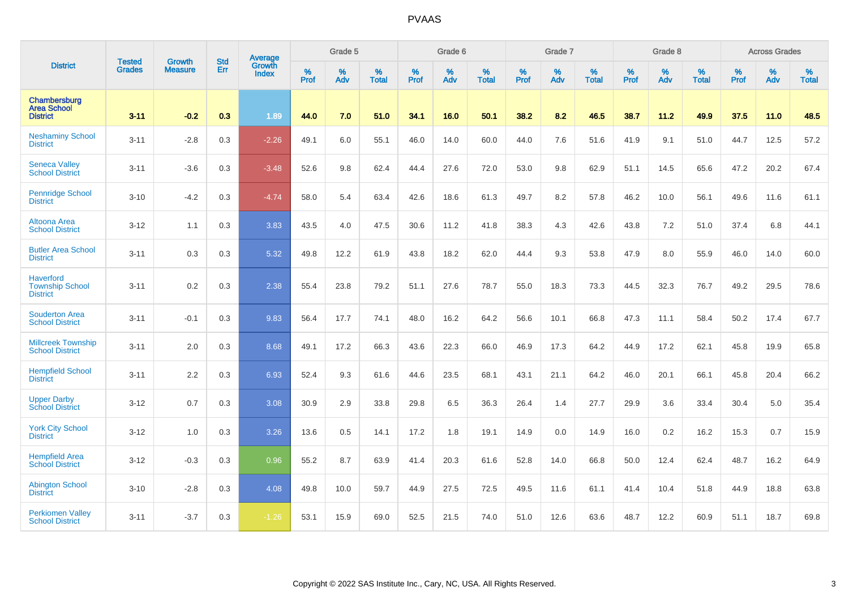| <b>District</b>                                               | <b>Tested</b> | <b>Growth</b>  | <b>Std</b> | <b>Average</b>         |           | Grade 5  |                   |           | Grade 6  |                   |           | Grade 7  |                   |           | Grade 8  |                   |                  | <b>Across Grades</b> |                   |
|---------------------------------------------------------------|---------------|----------------|------------|------------------------|-----------|----------|-------------------|-----------|----------|-------------------|-----------|----------|-------------------|-----------|----------|-------------------|------------------|----------------------|-------------------|
|                                                               | <b>Grades</b> | <b>Measure</b> | <b>Err</b> | Growth<br><b>Index</b> | %<br>Prof | %<br>Adv | %<br><b>Total</b> | %<br>Prof | %<br>Adv | %<br><b>Total</b> | %<br>Prof | %<br>Adv | %<br><b>Total</b> | %<br>Prof | %<br>Adv | %<br><b>Total</b> | %<br><b>Prof</b> | %<br>Adv             | %<br><b>Total</b> |
| Chambersburg<br><b>Area School</b><br><b>District</b>         | $3 - 11$      | $-0.2$         | 0.3        | 1.89                   | 44.0      | 7.0      | 51.0              | 34.1      | 16.0     | 50.1              | 38.2      | 8.2      | 46.5              | 38.7      | 11.2     | 49.9              | 37.5             | 11.0                 | 48.5              |
| <b>Neshaminy School</b><br><b>District</b>                    | $3 - 11$      | $-2.8$         | 0.3        | $-2.26$                | 49.1      | 6.0      | 55.1              | 46.0      | 14.0     | 60.0              | 44.0      | 7.6      | 51.6              | 41.9      | 9.1      | 51.0              | 44.7             | 12.5                 | 57.2              |
| <b>Seneca Valley</b><br><b>School District</b>                | $3 - 11$      | $-3.6$         | 0.3        | $-3.48$                | 52.6      | 9.8      | 62.4              | 44.4      | 27.6     | 72.0              | 53.0      | 9.8      | 62.9              | 51.1      | 14.5     | 65.6              | 47.2             | 20.2                 | 67.4              |
| <b>Pennridge School</b><br><b>District</b>                    | $3 - 10$      | $-4.2$         | 0.3        | $-4.74$                | 58.0      | 5.4      | 63.4              | 42.6      | 18.6     | 61.3              | 49.7      | 8.2      | 57.8              | 46.2      | 10.0     | 56.1              | 49.6             | 11.6                 | 61.1              |
| Altoona Area<br><b>School District</b>                        | $3 - 12$      | 1.1            | 0.3        | 3.83                   | 43.5      | 4.0      | 47.5              | 30.6      | 11.2     | 41.8              | 38.3      | 4.3      | 42.6              | 43.8      | 7.2      | 51.0              | 37.4             | 6.8                  | 44.1              |
| <b>Butler Area School</b><br><b>District</b>                  | $3 - 11$      | 0.3            | 0.3        | 5.32                   | 49.8      | 12.2     | 61.9              | 43.8      | 18.2     | 62.0              | 44.4      | 9.3      | 53.8              | 47.9      | 8.0      | 55.9              | 46.0             | 14.0                 | 60.0              |
| <b>Haverford</b><br><b>Township School</b><br><b>District</b> | $3 - 11$      | 0.2            | 0.3        | 2.38                   | 55.4      | 23.8     | 79.2              | 51.1      | 27.6     | 78.7              | 55.0      | 18.3     | 73.3              | 44.5      | 32.3     | 76.7              | 49.2             | 29.5                 | 78.6              |
| <b>Souderton Area</b><br><b>School District</b>               | $3 - 11$      | $-0.1$         | 0.3        | 9.83                   | 56.4      | 17.7     | 74.1              | 48.0      | 16.2     | 64.2              | 56.6      | 10.1     | 66.8              | 47.3      | 11.1     | 58.4              | 50.2             | 17.4                 | 67.7              |
| <b>Millcreek Township</b><br><b>School District</b>           | $3 - 11$      | 2.0            | 0.3        | 8.68                   | 49.1      | 17.2     | 66.3              | 43.6      | 22.3     | 66.0              | 46.9      | 17.3     | 64.2              | 44.9      | 17.2     | 62.1              | 45.8             | 19.9                 | 65.8              |
| <b>Hempfield School</b><br><b>District</b>                    | $3 - 11$      | 2.2            | 0.3        | 6.93                   | 52.4      | 9.3      | 61.6              | 44.6      | 23.5     | 68.1              | 43.1      | 21.1     | 64.2              | 46.0      | 20.1     | 66.1              | 45.8             | 20.4                 | 66.2              |
| <b>Upper Darby</b><br><b>School District</b>                  | $3 - 12$      | 0.7            | 0.3        | 3.08                   | 30.9      | 2.9      | 33.8              | 29.8      | 6.5      | 36.3              | 26.4      | 1.4      | 27.7              | 29.9      | 3.6      | 33.4              | 30.4             | 5.0                  | 35.4              |
| <b>York City School</b><br><b>District</b>                    | $3 - 12$      | 1.0            | 0.3        | 3.26                   | 13.6      | 0.5      | 14.1              | 17.2      | 1.8      | 19.1              | 14.9      | 0.0      | 14.9              | 16.0      | 0.2      | 16.2              | 15.3             | 0.7                  | 15.9              |
| <b>Hempfield Area</b><br><b>School District</b>               | $3 - 12$      | $-0.3$         | 0.3        | 0.96                   | 55.2      | 8.7      | 63.9              | 41.4      | 20.3     | 61.6              | 52.8      | 14.0     | 66.8              | 50.0      | 12.4     | 62.4              | 48.7             | 16.2                 | 64.9              |
| <b>Abington School</b><br><b>District</b>                     | $3 - 10$      | $-2.8$         | 0.3        | 4.08                   | 49.8      | 10.0     | 59.7              | 44.9      | 27.5     | 72.5              | 49.5      | 11.6     | 61.1              | 41.4      | 10.4     | 51.8              | 44.9             | 18.8                 | 63.8              |
| <b>Perkiomen Valley</b><br><b>School District</b>             | $3 - 11$      | $-3.7$         | 0.3        | $-1.26$                | 53.1      | 15.9     | 69.0              | 52.5      | 21.5     | 74.0              | 51.0      | 12.6     | 63.6              | 48.7      | 12.2     | 60.9              | 51.1             | 18.7                 | 69.8              |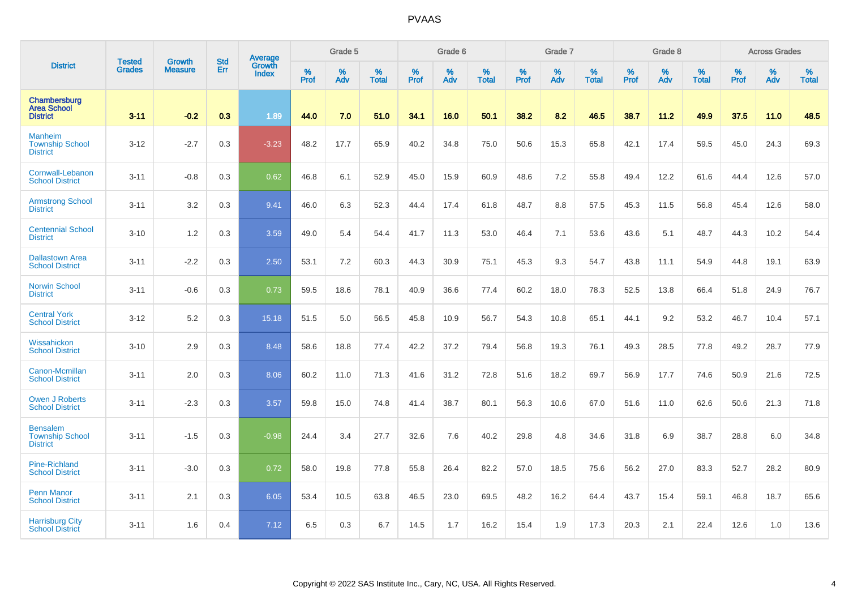|                                                              | <b>Tested</b> | <b>Growth</b>  | <b>Std</b> | Average                       |           | Grade 5  |                   |           | Grade 6  |                   |           | Grade 7  |                   |           | Grade 8  |                   |           | <b>Across Grades</b> |                   |
|--------------------------------------------------------------|---------------|----------------|------------|-------------------------------|-----------|----------|-------------------|-----------|----------|-------------------|-----------|----------|-------------------|-----------|----------|-------------------|-----------|----------------------|-------------------|
| <b>District</b>                                              | <b>Grades</b> | <b>Measure</b> | Err        | <b>Growth</b><br><b>Index</b> | %<br>Prof | %<br>Adv | %<br><b>Total</b> | %<br>Prof | %<br>Adv | %<br><b>Total</b> | %<br>Prof | %<br>Adv | %<br><b>Total</b> | %<br>Prof | %<br>Adv | %<br><b>Total</b> | %<br>Prof | %<br>Adv             | %<br><b>Total</b> |
| Chambersburg<br><b>Area School</b><br><b>District</b>        | $3 - 11$      | $-0.2$         | 0.3        | 1.89                          | 44.0      | 7.0      | 51.0              | 34.1      | 16.0     | 50.1              | 38.2      | 8.2      | 46.5              | 38.7      | 11.2     | 49.9              | 37.5      | 11.0                 | 48.5              |
| <b>Manheim</b><br><b>Township School</b><br><b>District</b>  | $3 - 12$      | $-2.7$         | 0.3        | $-3.23$                       | 48.2      | 17.7     | 65.9              | 40.2      | 34.8     | 75.0              | 50.6      | 15.3     | 65.8              | 42.1      | 17.4     | 59.5              | 45.0      | 24.3                 | 69.3              |
| Cornwall-Lebanon<br><b>School District</b>                   | $3 - 11$      | $-0.8$         | 0.3        | 0.62                          | 46.8      | 6.1      | 52.9              | 45.0      | 15.9     | 60.9              | 48.6      | 7.2      | 55.8              | 49.4      | 12.2     | 61.6              | 44.4      | 12.6                 | 57.0              |
| <b>Armstrong School</b><br><b>District</b>                   | $3 - 11$      | 3.2            | 0.3        | 9.41                          | 46.0      | 6.3      | 52.3              | 44.4      | 17.4     | 61.8              | 48.7      | 8.8      | 57.5              | 45.3      | 11.5     | 56.8              | 45.4      | 12.6                 | 58.0              |
| <b>Centennial School</b><br><b>District</b>                  | $3 - 10$      | 1.2            | 0.3        | 3.59                          | 49.0      | 5.4      | 54.4              | 41.7      | 11.3     | 53.0              | 46.4      | 7.1      | 53.6              | 43.6      | 5.1      | 48.7              | 44.3      | 10.2                 | 54.4              |
| <b>Dallastown Area</b><br><b>School District</b>             | $3 - 11$      | $-2.2$         | 0.3        | 2.50                          | 53.1      | 7.2      | 60.3              | 44.3      | 30.9     | 75.1              | 45.3      | 9.3      | 54.7              | 43.8      | 11.1     | 54.9              | 44.8      | 19.1                 | 63.9              |
| <b>Norwin School</b><br><b>District</b>                      | $3 - 11$      | $-0.6$         | 0.3        | 0.73                          | 59.5      | 18.6     | 78.1              | 40.9      | 36.6     | 77.4              | 60.2      | 18.0     | 78.3              | 52.5      | 13.8     | 66.4              | 51.8      | 24.9                 | 76.7              |
| <b>Central York</b><br><b>School District</b>                | $3 - 12$      | 5.2            | 0.3        | 15.18                         | 51.5      | 5.0      | 56.5              | 45.8      | 10.9     | 56.7              | 54.3      | 10.8     | 65.1              | 44.1      | 9.2      | 53.2              | 46.7      | 10.4                 | 57.1              |
| Wissahickon<br><b>School District</b>                        | $3 - 10$      | 2.9            | 0.3        | 8.48                          | 58.6      | 18.8     | 77.4              | 42.2      | 37.2     | 79.4              | 56.8      | 19.3     | 76.1              | 49.3      | 28.5     | 77.8              | 49.2      | 28.7                 | 77.9              |
| Canon-Mcmillan<br><b>School District</b>                     | $3 - 11$      | 2.0            | 0.3        | 8.06                          | 60.2      | 11.0     | 71.3              | 41.6      | 31.2     | 72.8              | 51.6      | 18.2     | 69.7              | 56.9      | 17.7     | 74.6              | 50.9      | 21.6                 | 72.5              |
| Owen J Roberts<br><b>School District</b>                     | $3 - 11$      | $-2.3$         | 0.3        | 3.57                          | 59.8      | 15.0     | 74.8              | 41.4      | 38.7     | 80.1              | 56.3      | 10.6     | 67.0              | 51.6      | 11.0     | 62.6              | 50.6      | 21.3                 | 71.8              |
| <b>Bensalem</b><br><b>Township School</b><br><b>District</b> | $3 - 11$      | $-1.5$         | 0.3        | $-0.98$                       | 24.4      | 3.4      | 27.7              | 32.6      | 7.6      | 40.2              | 29.8      | 4.8      | 34.6              | 31.8      | 6.9      | 38.7              | 28.8      | 6.0                  | 34.8              |
| <b>Pine-Richland</b><br><b>School District</b>               | $3 - 11$      | $-3.0$         | 0.3        | 0.72                          | 58.0      | 19.8     | 77.8              | 55.8      | 26.4     | 82.2              | 57.0      | 18.5     | 75.6              | 56.2      | 27.0     | 83.3              | 52.7      | 28.2                 | 80.9              |
| <b>Penn Manor</b><br><b>School District</b>                  | $3 - 11$      | 2.1            | 0.3        | 6.05                          | 53.4      | 10.5     | 63.8              | 46.5      | 23.0     | 69.5              | 48.2      | 16.2     | 64.4              | 43.7      | 15.4     | 59.1              | 46.8      | 18.7                 | 65.6              |
| <b>Harrisburg City</b><br><b>School District</b>             | $3 - 11$      | 1.6            | 0.4        | 7.12                          | 6.5       | 0.3      | 6.7               | 14.5      | 1.7      | 16.2              | 15.4      | 1.9      | 17.3              | 20.3      | 2.1      | 22.4              | 12.6      | 1.0                  | 13.6              |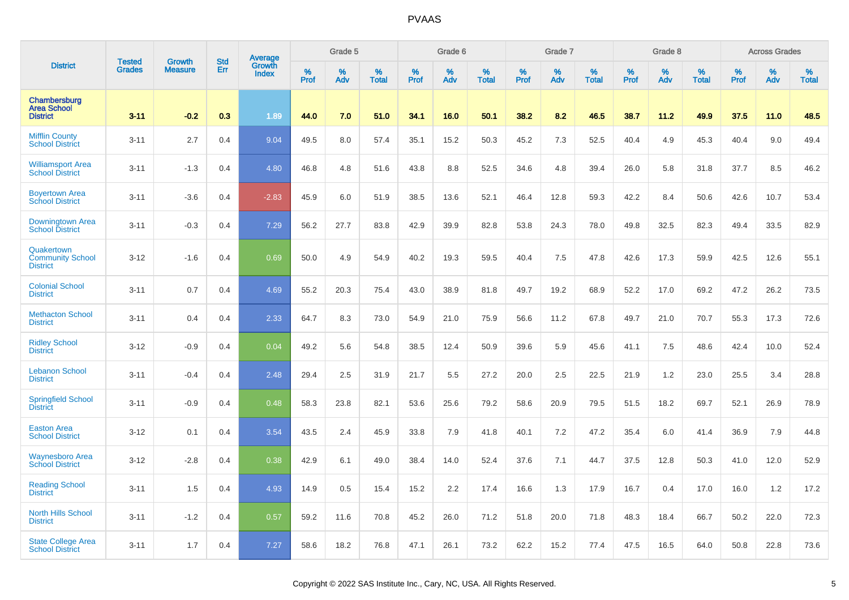|                                                          | <b>Tested</b> | <b>Growth</b>  | <b>Std</b> |                                   |                     | Grade 5  |                   |           | Grade 6  |                   |              | Grade 7  |                   |           | Grade 8     |                   |                  | <b>Across Grades</b> |                   |
|----------------------------------------------------------|---------------|----------------|------------|-----------------------------------|---------------------|----------|-------------------|-----------|----------|-------------------|--------------|----------|-------------------|-----------|-------------|-------------------|------------------|----------------------|-------------------|
| <b>District</b>                                          | <b>Grades</b> | <b>Measure</b> | Err        | Average<br>Growth<br><b>Index</b> | $\%$<br><b>Prof</b> | %<br>Adv | %<br><b>Total</b> | %<br>Prof | %<br>Adv | %<br><b>Total</b> | $\%$<br>Prof | %<br>Adv | %<br><b>Total</b> | %<br>Prof | $\%$<br>Adv | %<br><b>Total</b> | %<br><b>Prof</b> | %<br>Adv             | %<br><b>Total</b> |
| Chambersburg<br><b>Area School</b><br><b>District</b>    | $3 - 11$      | $-0.2$         | 0.3        | 1.89                              | 44.0                | 7.0      | 51.0              | 34.1      | 16.0     | 50.1              | 38.2         | 8.2      | 46.5              | 38.7      | 11.2        | 49.9              | 37.5             | 11.0                 | 48.5              |
| <b>Mifflin County</b><br><b>School District</b>          | $3 - 11$      | 2.7            | 0.4        | 9.04                              | 49.5                | 8.0      | 57.4              | 35.1      | 15.2     | 50.3              | 45.2         | 7.3      | 52.5              | 40.4      | 4.9         | 45.3              | 40.4             | 9.0                  | 49.4              |
| <b>Williamsport Area</b><br><b>School District</b>       | $3 - 11$      | $-1.3$         | 0.4        | 4.80                              | 46.8                | 4.8      | 51.6              | 43.8      | 8.8      | 52.5              | 34.6         | 4.8      | 39.4              | 26.0      | 5.8         | 31.8              | 37.7             | 8.5                  | 46.2              |
| <b>Boyertown Area</b><br><b>School District</b>          | $3 - 11$      | $-3.6$         | 0.4        | $-2.83$                           | 45.9                | 6.0      | 51.9              | 38.5      | 13.6     | 52.1              | 46.4         | 12.8     | 59.3              | 42.2      | 8.4         | 50.6              | 42.6             | 10.7                 | 53.4              |
| Downingtown Area<br><b>School District</b>               | $3 - 11$      | $-0.3$         | 0.4        | 7.29                              | 56.2                | 27.7     | 83.8              | 42.9      | 39.9     | 82.8              | 53.8         | 24.3     | 78.0              | 49.8      | 32.5        | 82.3              | 49.4             | 33.5                 | 82.9              |
| Quakertown<br><b>Community School</b><br><b>District</b> | $3 - 12$      | $-1.6$         | 0.4        | 0.69                              | 50.0                | 4.9      | 54.9              | 40.2      | 19.3     | 59.5              | 40.4         | 7.5      | 47.8              | 42.6      | 17.3        | 59.9              | 42.5             | 12.6                 | 55.1              |
| <b>Colonial School</b><br><b>District</b>                | $3 - 11$      | 0.7            | 0.4        | 4.69                              | 55.2                | 20.3     | 75.4              | 43.0      | 38.9     | 81.8              | 49.7         | 19.2     | 68.9              | 52.2      | 17.0        | 69.2              | 47.2             | 26.2                 | 73.5              |
| <b>Methacton School</b><br><b>District</b>               | $3 - 11$      | 0.4            | 0.4        | 2.33                              | 64.7                | 8.3      | 73.0              | 54.9      | 21.0     | 75.9              | 56.6         | 11.2     | 67.8              | 49.7      | 21.0        | 70.7              | 55.3             | 17.3                 | 72.6              |
| <b>Ridley School</b><br><b>District</b>                  | $3 - 12$      | $-0.9$         | 0.4        | 0.04                              | 49.2                | 5.6      | 54.8              | 38.5      | 12.4     | 50.9              | 39.6         | 5.9      | 45.6              | 41.1      | 7.5         | 48.6              | 42.4             | 10.0                 | 52.4              |
| <b>Lebanon School</b><br><b>District</b>                 | $3 - 11$      | $-0.4$         | 0.4        | 2.48                              | 29.4                | 2.5      | 31.9              | 21.7      | 5.5      | 27.2              | 20.0         | 2.5      | 22.5              | 21.9      | 1.2         | 23.0              | 25.5             | 3.4                  | 28.8              |
| <b>Springfield School</b><br><b>District</b>             | $3 - 11$      | $-0.9$         | 0.4        | 0.48                              | 58.3                | 23.8     | 82.1              | 53.6      | 25.6     | 79.2              | 58.6         | 20.9     | 79.5              | 51.5      | 18.2        | 69.7              | 52.1             | 26.9                 | 78.9              |
| <b>Easton Area</b><br><b>School District</b>             | $3 - 12$      | 0.1            | 0.4        | 3.54                              | 43.5                | 2.4      | 45.9              | 33.8      | 7.9      | 41.8              | 40.1         | 7.2      | 47.2              | 35.4      | 6.0         | 41.4              | 36.9             | 7.9                  | 44.8              |
| <b>Waynesboro Area</b><br><b>School District</b>         | $3 - 12$      | $-2.8$         | 0.4        | 0.38                              | 42.9                | 6.1      | 49.0              | 38.4      | 14.0     | 52.4              | 37.6         | 7.1      | 44.7              | 37.5      | 12.8        | 50.3              | 41.0             | 12.0                 | 52.9              |
| <b>Reading School</b><br><b>District</b>                 | $3 - 11$      | 1.5            | 0.4        | 4.93                              | 14.9                | 0.5      | 15.4              | 15.2      | 2.2      | 17.4              | 16.6         | 1.3      | 17.9              | 16.7      | 0.4         | 17.0              | 16.0             | 1.2                  | 17.2              |
| <b>North Hills School</b><br><b>District</b>             | $3 - 11$      | $-1.2$         | 0.4        | 0.57                              | 59.2                | 11.6     | 70.8              | 45.2      | 26.0     | 71.2              | 51.8         | 20.0     | 71.8              | 48.3      | 18.4        | 66.7              | 50.2             | 22.0                 | 72.3              |
| <b>State College Area</b><br><b>School District</b>      | $3 - 11$      | 1.7            | 0.4        | 7.27                              | 58.6                | 18.2     | 76.8              | 47.1      | 26.1     | 73.2              | 62.2         | 15.2     | 77.4              | 47.5      | 16.5        | 64.0              | 50.8             | 22.8                 | 73.6              |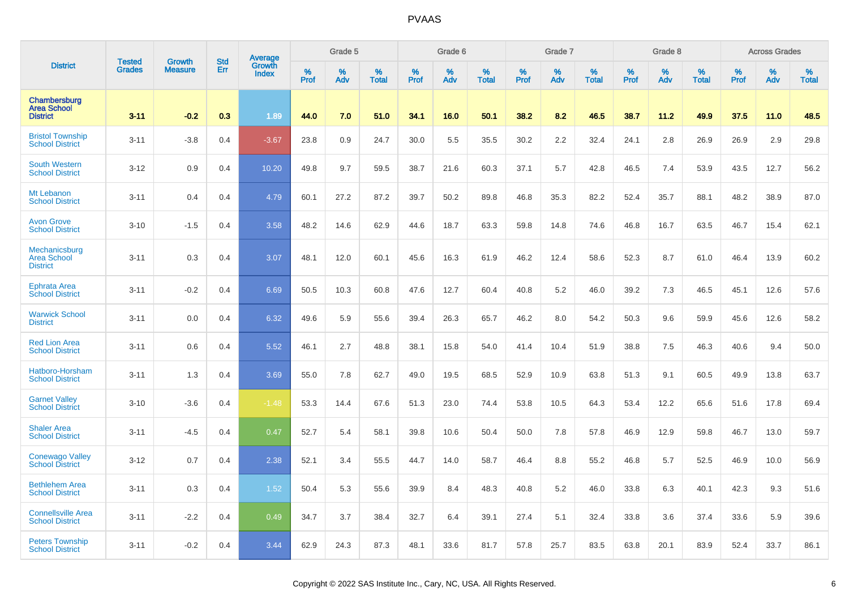|                                                        | <b>Tested</b> | <b>Growth</b>  | <b>Std</b> |                                   |           | Grade 5  |                   |           | Grade 6  |                   |              | Grade 7  |                   |           | Grade 8  |                   |                  | <b>Across Grades</b> |                   |
|--------------------------------------------------------|---------------|----------------|------------|-----------------------------------|-----------|----------|-------------------|-----------|----------|-------------------|--------------|----------|-------------------|-----------|----------|-------------------|------------------|----------------------|-------------------|
| <b>District</b>                                        | <b>Grades</b> | <b>Measure</b> | Err        | Average<br>Growth<br><b>Index</b> | %<br>Prof | %<br>Adv | %<br><b>Total</b> | %<br>Prof | %<br>Adv | %<br><b>Total</b> | $\%$<br>Prof | %<br>Adv | %<br><b>Total</b> | %<br>Prof | %<br>Adv | %<br><b>Total</b> | %<br><b>Prof</b> | %<br>Adv             | %<br><b>Total</b> |
| Chambersburg<br><b>Area School</b><br><b>District</b>  | $3 - 11$      | $-0.2$         | 0.3        | 1.89                              | 44.0      | 7.0      | 51.0              | 34.1      | 16.0     | 50.1              | 38.2         | 8.2      | 46.5              | 38.7      | 11.2     | 49.9              | 37.5             | 11.0                 | 48.5              |
| <b>Bristol Township</b><br><b>School District</b>      | $3 - 11$      | $-3.8$         | 0.4        | $-3.67$                           | 23.8      | 0.9      | 24.7              | 30.0      | 5.5      | 35.5              | 30.2         | 2.2      | 32.4              | 24.1      | 2.8      | 26.9              | 26.9             | 2.9                  | 29.8              |
| <b>South Western</b><br><b>School District</b>         | $3 - 12$      | 0.9            | 0.4        | 10.20                             | 49.8      | 9.7      | 59.5              | 38.7      | 21.6     | 60.3              | 37.1         | 5.7      | 42.8              | 46.5      | 7.4      | 53.9              | 43.5             | 12.7                 | 56.2              |
| Mt Lebanon<br><b>School District</b>                   | $3 - 11$      | 0.4            | 0.4        | 4.79                              | 60.1      | 27.2     | 87.2              | 39.7      | 50.2     | 89.8              | 46.8         | 35.3     | 82.2              | 52.4      | 35.7     | 88.1              | 48.2             | 38.9                 | 87.0              |
| <b>Avon Grove</b><br><b>School District</b>            | $3 - 10$      | $-1.5$         | 0.4        | 3.58                              | 48.2      | 14.6     | 62.9              | 44.6      | 18.7     | 63.3              | 59.8         | 14.8     | 74.6              | 46.8      | 16.7     | 63.5              | 46.7             | 15.4                 | 62.1              |
| Mechanicsburg<br><b>Area School</b><br><b>District</b> | $3 - 11$      | 0.3            | 0.4        | 3.07                              | 48.1      | 12.0     | 60.1              | 45.6      | 16.3     | 61.9              | 46.2         | 12.4     | 58.6              | 52.3      | 8.7      | 61.0              | 46.4             | 13.9                 | 60.2              |
| <b>Ephrata Area</b><br><b>School District</b>          | $3 - 11$      | $-0.2$         | 0.4        | 6.69                              | 50.5      | 10.3     | 60.8              | 47.6      | 12.7     | 60.4              | 40.8         | 5.2      | 46.0              | 39.2      | 7.3      | 46.5              | 45.1             | 12.6                 | 57.6              |
| <b>Warwick School</b><br><b>District</b>               | $3 - 11$      | 0.0            | 0.4        | 6.32                              | 49.6      | 5.9      | 55.6              | 39.4      | 26.3     | 65.7              | 46.2         | 8.0      | 54.2              | 50.3      | 9.6      | 59.9              | 45.6             | 12.6                 | 58.2              |
| <b>Red Lion Area</b><br><b>School District</b>         | $3 - 11$      | 0.6            | 0.4        | 5.52                              | 46.1      | 2.7      | 48.8              | 38.1      | 15.8     | 54.0              | 41.4         | 10.4     | 51.9              | 38.8      | 7.5      | 46.3              | 40.6             | 9.4                  | 50.0              |
| Hatboro-Horsham<br><b>School District</b>              | $3 - 11$      | 1.3            | 0.4        | 3.69                              | 55.0      | 7.8      | 62.7              | 49.0      | 19.5     | 68.5              | 52.9         | 10.9     | 63.8              | 51.3      | 9.1      | 60.5              | 49.9             | 13.8                 | 63.7              |
| <b>Garnet Valley</b><br><b>School District</b>         | $3 - 10$      | $-3.6$         | 0.4        | $-1.48$                           | 53.3      | 14.4     | 67.6              | 51.3      | 23.0     | 74.4              | 53.8         | 10.5     | 64.3              | 53.4      | 12.2     | 65.6              | 51.6             | 17.8                 | 69.4              |
| <b>Shaler Area</b><br><b>School District</b>           | $3 - 11$      | $-4.5$         | 0.4        | 0.47                              | 52.7      | 5.4      | 58.1              | 39.8      | 10.6     | 50.4              | 50.0         | 7.8      | 57.8              | 46.9      | 12.9     | 59.8              | 46.7             | 13.0                 | 59.7              |
| <b>Conewago Valley</b><br><b>School District</b>       | $3 - 12$      | 0.7            | 0.4        | 2.38                              | 52.1      | 3.4      | 55.5              | 44.7      | 14.0     | 58.7              | 46.4         | 8.8      | 55.2              | 46.8      | 5.7      | 52.5              | 46.9             | 10.0                 | 56.9              |
| <b>Bethlehem Area</b><br><b>School District</b>        | $3 - 11$      | 0.3            | 0.4        | 1.52                              | 50.4      | 5.3      | 55.6              | 39.9      | 8.4      | 48.3              | 40.8         | 5.2      | 46.0              | 33.8      | 6.3      | 40.1              | 42.3             | 9.3                  | 51.6              |
| <b>Connellsville Area</b><br><b>School District</b>    | $3 - 11$      | $-2.2$         | 0.4        | 0.49                              | 34.7      | 3.7      | 38.4              | 32.7      | 6.4      | 39.1              | 27.4         | 5.1      | 32.4              | 33.8      | 3.6      | 37.4              | 33.6             | 5.9                  | 39.6              |
| <b>Peters Township</b><br><b>School District</b>       | $3 - 11$      | $-0.2$         | 0.4        | 3.44                              | 62.9      | 24.3     | 87.3              | 48.1      | 33.6     | 81.7              | 57.8         | 25.7     | 83.5              | 63.8      | 20.1     | 83.9              | 52.4             | 33.7                 | 86.1              |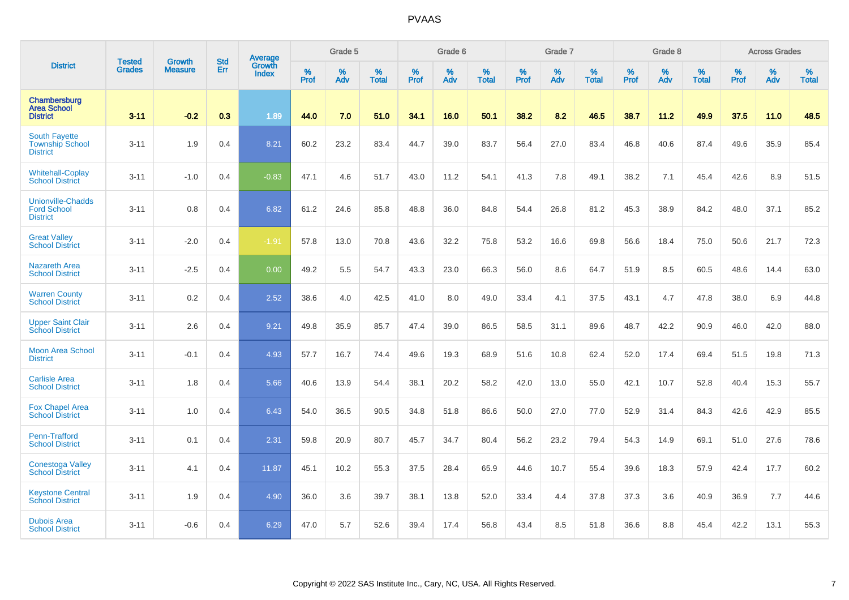| <b>District</b>                                                   |                                |                                 | <b>Std</b> | Average                       |           | Grade 5  |                   |           | Grade 6  |                   |           | Grade 7  |                   |           | Grade 8  |                   |           | <b>Across Grades</b> |                   |
|-------------------------------------------------------------------|--------------------------------|---------------------------------|------------|-------------------------------|-----------|----------|-------------------|-----------|----------|-------------------|-----------|----------|-------------------|-----------|----------|-------------------|-----------|----------------------|-------------------|
|                                                                   | <b>Tested</b><br><b>Grades</b> | <b>Growth</b><br><b>Measure</b> | Err        | <b>Growth</b><br><b>Index</b> | %<br>Prof | %<br>Adv | %<br><b>Total</b> | %<br>Prof | %<br>Adv | %<br><b>Total</b> | %<br>Prof | %<br>Adv | %<br><b>Total</b> | %<br>Prof | %<br>Adv | %<br><b>Total</b> | %<br>Prof | %<br>Adv             | %<br><b>Total</b> |
| Chambersburg<br><b>Area School</b><br><b>District</b>             | $3 - 11$                       | $-0.2$                          | 0.3        | 1.89                          | 44.0      | 7.0      | 51.0              | 34.1      | 16.0     | 50.1              | 38.2      | 8.2      | 46.5              | 38.7      | 11.2     | 49.9              | 37.5      | 11.0                 | 48.5              |
| <b>South Fayette</b><br><b>Township School</b><br><b>District</b> | $3 - 11$                       | 1.9                             | 0.4        | 8.21                          | 60.2      | 23.2     | 83.4              | 44.7      | 39.0     | 83.7              | 56.4      | 27.0     | 83.4              | 46.8      | 40.6     | 87.4              | 49.6      | 35.9                 | 85.4              |
| <b>Whitehall-Coplay</b><br><b>School District</b>                 | $3 - 11$                       | $-1.0$                          | 0.4        | $-0.83$                       | 47.1      | 4.6      | 51.7              | 43.0      | 11.2     | 54.1              | 41.3      | 7.8      | 49.1              | 38.2      | 7.1      | 45.4              | 42.6      | 8.9                  | 51.5              |
| <b>Unionville-Chadds</b><br><b>Ford School</b><br><b>District</b> | $3 - 11$                       | 0.8                             | 0.4        | 6.82                          | 61.2      | 24.6     | 85.8              | 48.8      | 36.0     | 84.8              | 54.4      | 26.8     | 81.2              | 45.3      | 38.9     | 84.2              | 48.0      | 37.1                 | 85.2              |
| <b>Great Valley</b><br><b>School District</b>                     | $3 - 11$                       | $-2.0$                          | 0.4        | $-1.91$                       | 57.8      | 13.0     | 70.8              | 43.6      | 32.2     | 75.8              | 53.2      | 16.6     | 69.8              | 56.6      | 18.4     | 75.0              | 50.6      | 21.7                 | 72.3              |
| <b>Nazareth Area</b><br><b>School District</b>                    | $3 - 11$                       | $-2.5$                          | 0.4        | 0.00                          | 49.2      | 5.5      | 54.7              | 43.3      | 23.0     | 66.3              | 56.0      | 8.6      | 64.7              | 51.9      | 8.5      | 60.5              | 48.6      | 14.4                 | 63.0              |
| <b>Warren County</b><br><b>School District</b>                    | $3 - 11$                       | 0.2                             | 0.4        | 2.52                          | 38.6      | 4.0      | 42.5              | 41.0      | 8.0      | 49.0              | 33.4      | 4.1      | 37.5              | 43.1      | 4.7      | 47.8              | 38.0      | 6.9                  | 44.8              |
| <b>Upper Saint Clair</b><br><b>School District</b>                | $3 - 11$                       | 2.6                             | 0.4        | 9.21                          | 49.8      | 35.9     | 85.7              | 47.4      | 39.0     | 86.5              | 58.5      | 31.1     | 89.6              | 48.7      | 42.2     | 90.9              | 46.0      | 42.0                 | 88.0              |
| <b>Moon Area School</b><br><b>District</b>                        | $3 - 11$                       | $-0.1$                          | 0.4        | 4.93                          | 57.7      | 16.7     | 74.4              | 49.6      | 19.3     | 68.9              | 51.6      | 10.8     | 62.4              | 52.0      | 17.4     | 69.4              | 51.5      | 19.8                 | 71.3              |
| <b>Carlisle Area</b><br><b>School District</b>                    | $3 - 11$                       | 1.8                             | 0.4        | 5.66                          | 40.6      | 13.9     | 54.4              | 38.1      | 20.2     | 58.2              | 42.0      | 13.0     | 55.0              | 42.1      | 10.7     | 52.8              | 40.4      | 15.3                 | 55.7              |
| <b>Fox Chapel Area</b><br><b>School District</b>                  | $3 - 11$                       | 1.0                             | 0.4        | 6.43                          | 54.0      | 36.5     | 90.5              | 34.8      | 51.8     | 86.6              | 50.0      | 27.0     | 77.0              | 52.9      | 31.4     | 84.3              | 42.6      | 42.9                 | 85.5              |
| Penn-Trafford<br><b>School District</b>                           | $3 - 11$                       | 0.1                             | 0.4        | 2.31                          | 59.8      | 20.9     | 80.7              | 45.7      | 34.7     | 80.4              | 56.2      | 23.2     | 79.4              | 54.3      | 14.9     | 69.1              | 51.0      | 27.6                 | 78.6              |
| <b>Conestoga Valley</b><br><b>School District</b>                 | $3 - 11$                       | 4.1                             | 0.4        | 11.87                         | 45.1      | 10.2     | 55.3              | 37.5      | 28.4     | 65.9              | 44.6      | 10.7     | 55.4              | 39.6      | 18.3     | 57.9              | 42.4      | 17.7                 | 60.2              |
| <b>Keystone Central</b><br><b>School District</b>                 | $3 - 11$                       | 1.9                             | 0.4        | 4.90                          | 36.0      | 3.6      | 39.7              | 38.1      | 13.8     | 52.0              | 33.4      | 4.4      | 37.8              | 37.3      | 3.6      | 40.9              | 36.9      | 7.7                  | 44.6              |
| <b>Dubois Area</b><br><b>School District</b>                      | $3 - 11$                       | $-0.6$                          | 0.4        | 6.29                          | 47.0      | 5.7      | 52.6              | 39.4      | 17.4     | 56.8              | 43.4      | 8.5      | 51.8              | 36.6      | 8.8      | 45.4              | 42.2      | 13.1                 | 55.3              |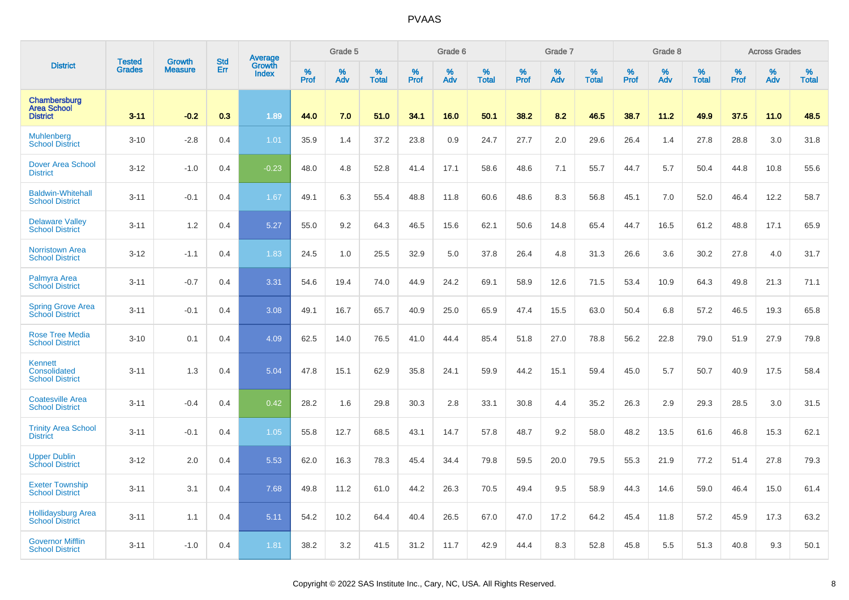|                                                          | <b>Tested</b> | <b>Growth</b>  | <b>Std</b> | Average                |           | Grade 5  |                   |              | Grade 6  |                   |              | Grade 7  |                   |              | Grade 8  |                   |                  | <b>Across Grades</b> |                   |
|----------------------------------------------------------|---------------|----------------|------------|------------------------|-----------|----------|-------------------|--------------|----------|-------------------|--------------|----------|-------------------|--------------|----------|-------------------|------------------|----------------------|-------------------|
| <b>District</b>                                          | <b>Grades</b> | <b>Measure</b> | Err        | Growth<br><b>Index</b> | %<br>Prof | %<br>Adv | %<br><b>Total</b> | $\%$<br>Prof | %<br>Adv | %<br><b>Total</b> | $\%$<br>Prof | %<br>Adv | %<br><b>Total</b> | $\%$<br>Prof | %<br>Adv | %<br><b>Total</b> | %<br><b>Prof</b> | $\%$<br>Adv          | %<br><b>Total</b> |
| Chambersburg<br><b>Area School</b><br><b>District</b>    | $3 - 11$      | $-0.2$         | 0.3        | 1.89                   | 44.0      | 7.0      | 51.0              | 34.1         | 16.0     | 50.1              | 38.2         | 8.2      | 46.5              | 38.7         | 11.2     | 49.9              | 37.5             | 11.0                 | 48.5              |
| <b>Muhlenberg</b><br><b>School District</b>              | $3 - 10$      | $-2.8$         | 0.4        | 1.01                   | 35.9      | 1.4      | 37.2              | 23.8         | 0.9      | 24.7              | 27.7         | 2.0      | 29.6              | 26.4         | 1.4      | 27.8              | 28.8             | 3.0                  | 31.8              |
| <b>Dover Area School</b><br><b>District</b>              | $3 - 12$      | $-1.0$         | 0.4        | $-0.23$                | 48.0      | 4.8      | 52.8              | 41.4         | 17.1     | 58.6              | 48.6         | 7.1      | 55.7              | 44.7         | 5.7      | 50.4              | 44.8             | 10.8                 | 55.6              |
| <b>Baldwin-Whitehall</b><br><b>School District</b>       | $3 - 11$      | $-0.1$         | 0.4        | 1.67                   | 49.1      | 6.3      | 55.4              | 48.8         | 11.8     | 60.6              | 48.6         | 8.3      | 56.8              | 45.1         | 7.0      | 52.0              | 46.4             | 12.2                 | 58.7              |
| <b>Delaware Valley</b><br><b>School District</b>         | $3 - 11$      | 1.2            | 0.4        | 5.27                   | 55.0      | 9.2      | 64.3              | 46.5         | 15.6     | 62.1              | 50.6         | 14.8     | 65.4              | 44.7         | 16.5     | 61.2              | 48.8             | 17.1                 | 65.9              |
| <b>Norristown Area</b><br><b>School District</b>         | $3-12$        | $-1.1$         | 0.4        | 1.83                   | 24.5      | 1.0      | 25.5              | 32.9         | 5.0      | 37.8              | 26.4         | 4.8      | 31.3              | 26.6         | 3.6      | 30.2              | 27.8             | 4.0                  | 31.7              |
| Palmyra Area<br><b>School District</b>                   | $3 - 11$      | $-0.7$         | 0.4        | 3.31                   | 54.6      | 19.4     | 74.0              | 44.9         | 24.2     | 69.1              | 58.9         | 12.6     | 71.5              | 53.4         | 10.9     | 64.3              | 49.8             | 21.3                 | 71.1              |
| <b>Spring Grove Area</b><br><b>School District</b>       | $3 - 11$      | $-0.1$         | 0.4        | 3.08                   | 49.1      | 16.7     | 65.7              | 40.9         | 25.0     | 65.9              | 47.4         | 15.5     | 63.0              | 50.4         | 6.8      | 57.2              | 46.5             | 19.3                 | 65.8              |
| <b>Rose Tree Media</b><br><b>School District</b>         | $3 - 10$      | 0.1            | 0.4        | 4.09                   | 62.5      | 14.0     | 76.5              | 41.0         | 44.4     | 85.4              | 51.8         | 27.0     | 78.8              | 56.2         | 22.8     | 79.0              | 51.9             | 27.9                 | 79.8              |
| <b>Kennett</b><br>Consolidated<br><b>School District</b> | $3 - 11$      | 1.3            | 0.4        | 5.04                   | 47.8      | 15.1     | 62.9              | 35.8         | 24.1     | 59.9              | 44.2         | 15.1     | 59.4              | 45.0         | 5.7      | 50.7              | 40.9             | 17.5                 | 58.4              |
| <b>Coatesville Area</b><br><b>School District</b>        | $3 - 11$      | $-0.4$         | 0.4        | 0.42                   | 28.2      | 1.6      | 29.8              | 30.3         | 2.8      | 33.1              | 30.8         | 4.4      | 35.2              | 26.3         | 2.9      | 29.3              | 28.5             | 3.0                  | 31.5              |
| <b>Trinity Area School</b><br><b>District</b>            | $3 - 11$      | $-0.1$         | 0.4        | 1.05                   | 55.8      | 12.7     | 68.5              | 43.1         | 14.7     | 57.8              | 48.7         | 9.2      | 58.0              | 48.2         | 13.5     | 61.6              | 46.8             | 15.3                 | 62.1              |
| <b>Upper Dublin</b><br><b>School District</b>            | $3-12$        | 2.0            | 0.4        | 5.53                   | 62.0      | 16.3     | 78.3              | 45.4         | 34.4     | 79.8              | 59.5         | 20.0     | 79.5              | 55.3         | 21.9     | 77.2              | 51.4             | 27.8                 | 79.3              |
| <b>Exeter Township</b><br><b>School District</b>         | $3 - 11$      | 3.1            | 0.4        | 7.68                   | 49.8      | 11.2     | 61.0              | 44.2         | 26.3     | 70.5              | 49.4         | 9.5      | 58.9              | 44.3         | 14.6     | 59.0              | 46.4             | 15.0                 | 61.4              |
| <b>Hollidaysburg Area</b><br><b>School District</b>      | $3 - 11$      | 1.1            | 0.4        | 5.11                   | 54.2      | 10.2     | 64.4              | 40.4         | 26.5     | 67.0              | 47.0         | 17.2     | 64.2              | 45.4         | 11.8     | 57.2              | 45.9             | 17.3                 | 63.2              |
| <b>Governor Mifflin</b><br><b>School District</b>        | $3 - 11$      | $-1.0$         | 0.4        | 1.81                   | 38.2      | 3.2      | 41.5              | 31.2         | 11.7     | 42.9              | 44.4         | 8.3      | 52.8              | 45.8         | 5.5      | 51.3              | 40.8             | 9.3                  | 50.1              |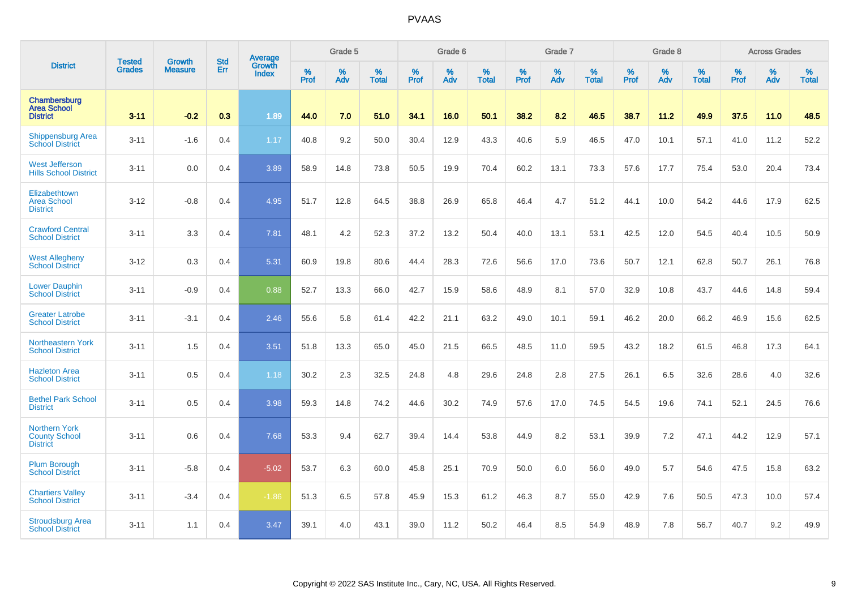| <b>District</b>                                                 |                                | <b>Growth</b>  | <b>Std</b> | Average                       |           | Grade 5  |                   |           | Grade 6  |                   |           | Grade 7  |                   |           | Grade 8  |                   |           | <b>Across Grades</b> |                   |
|-----------------------------------------------------------------|--------------------------------|----------------|------------|-------------------------------|-----------|----------|-------------------|-----------|----------|-------------------|-----------|----------|-------------------|-----------|----------|-------------------|-----------|----------------------|-------------------|
|                                                                 | <b>Tested</b><br><b>Grades</b> | <b>Measure</b> | Err        | <b>Growth</b><br><b>Index</b> | %<br>Prof | %<br>Adv | %<br><b>Total</b> | %<br>Prof | %<br>Adv | %<br><b>Total</b> | %<br>Prof | %<br>Adv | %<br><b>Total</b> | %<br>Prof | %<br>Adv | %<br><b>Total</b> | %<br>Prof | %<br>Adv             | %<br><b>Total</b> |
| Chambersburg<br><b>Area School</b><br><b>District</b>           | $3 - 11$                       | $-0.2$         | 0.3        | 1.89                          | 44.0      | 7.0      | 51.0              | 34.1      | 16.0     | 50.1              | 38.2      | 8.2      | 46.5              | 38.7      | 11.2     | 49.9              | 37.5      | 11.0                 | 48.5              |
| <b>Shippensburg Area</b><br><b>School District</b>              | $3 - 11$                       | $-1.6$         | 0.4        | 1.17                          | 40.8      | 9.2      | 50.0              | 30.4      | 12.9     | 43.3              | 40.6      | 5.9      | 46.5              | 47.0      | 10.1     | 57.1              | 41.0      | 11.2                 | 52.2              |
| <b>West Jefferson</b><br><b>Hills School District</b>           | $3 - 11$                       | 0.0            | 0.4        | 3.89                          | 58.9      | 14.8     | 73.8              | 50.5      | 19.9     | 70.4              | 60.2      | 13.1     | 73.3              | 57.6      | 17.7     | 75.4              | 53.0      | 20.4                 | 73.4              |
| Elizabethtown<br><b>Area School</b><br><b>District</b>          | $3 - 12$                       | $-0.8$         | 0.4        | 4.95                          | 51.7      | 12.8     | 64.5              | 38.8      | 26.9     | 65.8              | 46.4      | 4.7      | 51.2              | 44.1      | 10.0     | 54.2              | 44.6      | 17.9                 | 62.5              |
| <b>Crawford Central</b><br><b>School District</b>               | $3 - 11$                       | 3.3            | 0.4        | 7.81                          | 48.1      | 4.2      | 52.3              | 37.2      | 13.2     | 50.4              | 40.0      | 13.1     | 53.1              | 42.5      | 12.0     | 54.5              | 40.4      | 10.5                 | 50.9              |
| <b>West Allegheny</b><br><b>School District</b>                 | $3 - 12$                       | 0.3            | 0.4        | 5.31                          | 60.9      | 19.8     | 80.6              | 44.4      | 28.3     | 72.6              | 56.6      | 17.0     | 73.6              | 50.7      | 12.1     | 62.8              | 50.7      | 26.1                 | 76.8              |
| <b>Lower Dauphin</b><br><b>School District</b>                  | $3 - 11$                       | $-0.9$         | 0.4        | 0.88                          | 52.7      | 13.3     | 66.0              | 42.7      | 15.9     | 58.6              | 48.9      | 8.1      | 57.0              | 32.9      | 10.8     | 43.7              | 44.6      | 14.8                 | 59.4              |
| <b>Greater Latrobe</b><br><b>School District</b>                | $3 - 11$                       | $-3.1$         | 0.4        | 2.46                          | 55.6      | 5.8      | 61.4              | 42.2      | 21.1     | 63.2              | 49.0      | 10.1     | 59.1              | 46.2      | 20.0     | 66.2              | 46.9      | 15.6                 | 62.5              |
| Northeastern York<br><b>School District</b>                     | $3 - 11$                       | 1.5            | 0.4        | 3.51                          | 51.8      | 13.3     | 65.0              | 45.0      | 21.5     | 66.5              | 48.5      | 11.0     | 59.5              | 43.2      | 18.2     | 61.5              | 46.8      | 17.3                 | 64.1              |
| <b>Hazleton Area</b><br><b>School District</b>                  | $3 - 11$                       | 0.5            | 0.4        | 1.18                          | 30.2      | 2.3      | 32.5              | 24.8      | 4.8      | 29.6              | 24.8      | 2.8      | 27.5              | 26.1      | 6.5      | 32.6              | 28.6      | 4.0                  | 32.6              |
| <b>Bethel Park School</b><br><b>District</b>                    | $3 - 11$                       | 0.5            | 0.4        | 3.98                          | 59.3      | 14.8     | 74.2              | 44.6      | 30.2     | 74.9              | 57.6      | 17.0     | 74.5              | 54.5      | 19.6     | 74.1              | 52.1      | 24.5                 | 76.6              |
| <b>Northern York</b><br><b>County School</b><br><b>District</b> | $3 - 11$                       | 0.6            | 0.4        | 7.68                          | 53.3      | 9.4      | 62.7              | 39.4      | 14.4     | 53.8              | 44.9      | 8.2      | 53.1              | 39.9      | 7.2      | 47.1              | 44.2      | 12.9                 | 57.1              |
| <b>Plum Borough</b><br><b>School District</b>                   | $3 - 11$                       | $-5.8$         | 0.4        | $-5.02$                       | 53.7      | 6.3      | 60.0              | 45.8      | 25.1     | 70.9              | 50.0      | 6.0      | 56.0              | 49.0      | 5.7      | 54.6              | 47.5      | 15.8                 | 63.2              |
| <b>Chartiers Valley</b><br><b>School District</b>               | $3 - 11$                       | $-3.4$         | 0.4        | $-1.86$                       | 51.3      | 6.5      | 57.8              | 45.9      | 15.3     | 61.2              | 46.3      | 8.7      | 55.0              | 42.9      | 7.6      | 50.5              | 47.3      | 10.0                 | 57.4              |
| <b>Stroudsburg Area</b><br><b>School District</b>               | $3 - 11$                       | 1.1            | 0.4        | 3.47                          | 39.1      | 4.0      | 43.1              | 39.0      | 11.2     | 50.2              | 46.4      | 8.5      | 54.9              | 48.9      | 7.8      | 56.7              | 40.7      | 9.2                  | 49.9              |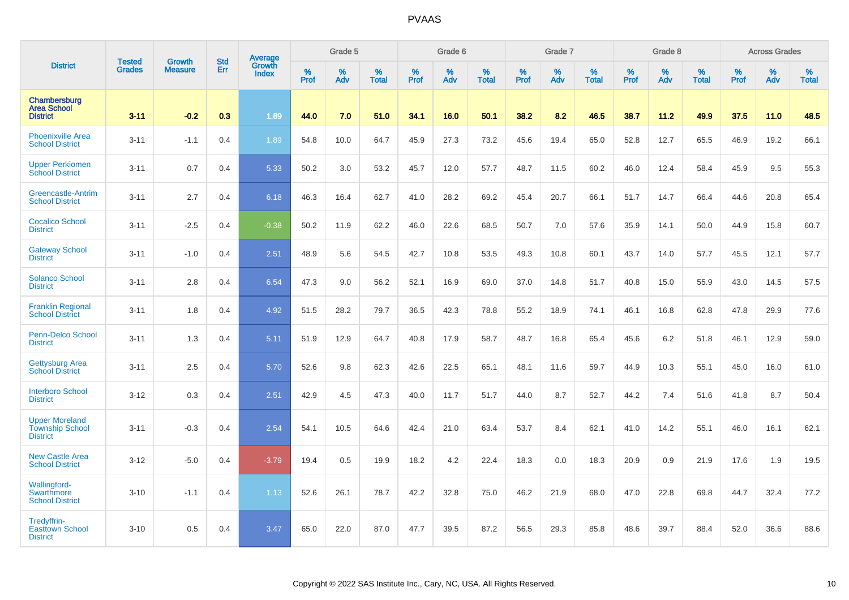| <b>District</b>                                                    |                                |                                 | <b>Std</b> | Average                |           | Grade 5  |                   |           | Grade 6  |                   |           | Grade 7  |                   |           | Grade 8  |                   |           | <b>Across Grades</b> |                   |
|--------------------------------------------------------------------|--------------------------------|---------------------------------|------------|------------------------|-----------|----------|-------------------|-----------|----------|-------------------|-----------|----------|-------------------|-----------|----------|-------------------|-----------|----------------------|-------------------|
|                                                                    | <b>Tested</b><br><b>Grades</b> | <b>Growth</b><br><b>Measure</b> | Err        | Growth<br><b>Index</b> | %<br>Prof | %<br>Adv | %<br><b>Total</b> | %<br>Prof | %<br>Adv | %<br><b>Total</b> | %<br>Prof | %<br>Adv | %<br><b>Total</b> | %<br>Prof | %<br>Adv | %<br><b>Total</b> | %<br>Prof | %<br>Adv             | %<br><b>Total</b> |
| Chambersburg<br><b>Area School</b><br><b>District</b>              | $3 - 11$                       | $-0.2$                          | 0.3        | 1.89                   | 44.0      | 7.0      | 51.0              | 34.1      | 16.0     | 50.1              | 38.2      | 8.2      | 46.5              | 38.7      | 11.2     | 49.9              | 37.5      | 11.0                 | 48.5              |
| <b>Phoenixville Area</b><br><b>School District</b>                 | $3 - 11$                       | $-1.1$                          | 0.4        | 1.89                   | 54.8      | 10.0     | 64.7              | 45.9      | 27.3     | 73.2              | 45.6      | 19.4     | 65.0              | 52.8      | 12.7     | 65.5              | 46.9      | 19.2                 | 66.1              |
| <b>Upper Perkiomen</b><br><b>School District</b>                   | $3 - 11$                       | 0.7                             | 0.4        | 5.33                   | 50.2      | 3.0      | 53.2              | 45.7      | 12.0     | 57.7              | 48.7      | 11.5     | 60.2              | 46.0      | 12.4     | 58.4              | 45.9      | 9.5                  | 55.3              |
| Greencastle-Antrim<br><b>School District</b>                       | $3 - 11$                       | 2.7                             | 0.4        | 6.18                   | 46.3      | 16.4     | 62.7              | 41.0      | 28.2     | 69.2              | 45.4      | 20.7     | 66.1              | 51.7      | 14.7     | 66.4              | 44.6      | 20.8                 | 65.4              |
| <b>Cocalico School</b><br><b>District</b>                          | $3 - 11$                       | $-2.5$                          | 0.4        | $-0.38$                | 50.2      | 11.9     | 62.2              | 46.0      | 22.6     | 68.5              | 50.7      | 7.0      | 57.6              | 35.9      | 14.1     | 50.0              | 44.9      | 15.8                 | 60.7              |
| <b>Gateway School</b><br><b>District</b>                           | $3 - 11$                       | $-1.0$                          | 0.4        | 2.51                   | 48.9      | 5.6      | 54.5              | 42.7      | 10.8     | 53.5              | 49.3      | 10.8     | 60.1              | 43.7      | 14.0     | 57.7              | 45.5      | 12.1                 | 57.7              |
| <b>Solanco School</b><br><b>District</b>                           | $3 - 11$                       | 2.8                             | 0.4        | 6.54                   | 47.3      | 9.0      | 56.2              | 52.1      | 16.9     | 69.0              | 37.0      | 14.8     | 51.7              | 40.8      | 15.0     | 55.9              | 43.0      | 14.5                 | 57.5              |
| <b>Franklin Regional</b><br><b>School District</b>                 | $3 - 11$                       | 1.8                             | 0.4        | 4.92                   | 51.5      | 28.2     | 79.7              | 36.5      | 42.3     | 78.8              | 55.2      | 18.9     | 74.1              | 46.1      | 16.8     | 62.8              | 47.8      | 29.9                 | 77.6              |
| Penn-Delco School<br><b>District</b>                               | $3 - 11$                       | 1.3                             | 0.4        | 5.11                   | 51.9      | 12.9     | 64.7              | 40.8      | 17.9     | 58.7              | 48.7      | 16.8     | 65.4              | 45.6      | 6.2      | 51.8              | 46.1      | 12.9                 | 59.0              |
| <b>Gettysburg Area</b><br><b>School District</b>                   | $3 - 11$                       | 2.5                             | 0.4        | 5.70                   | 52.6      | 9.8      | 62.3              | 42.6      | 22.5     | 65.1              | 48.1      | 11.6     | 59.7              | 44.9      | 10.3     | 55.1              | 45.0      | 16.0                 | 61.0              |
| <b>Interboro School</b><br><b>District</b>                         | $3-12$                         | 0.3                             | 0.4        | 2.51                   | 42.9      | 4.5      | 47.3              | 40.0      | 11.7     | 51.7              | 44.0      | 8.7      | 52.7              | 44.2      | 7.4      | 51.6              | 41.8      | 8.7                  | 50.4              |
| <b>Upper Moreland</b><br><b>Township School</b><br><b>District</b> | $3 - 11$                       | $-0.3$                          | 0.4        | 2.54                   | 54.1      | 10.5     | 64.6              | 42.4      | 21.0     | 63.4              | 53.7      | 8.4      | 62.1              | 41.0      | 14.2     | 55.1              | 46.0      | 16.1                 | 62.1              |
| <b>New Castle Area</b><br><b>School District</b>                   | $3 - 12$                       | $-5.0$                          | 0.4        | $-3.79$                | 19.4      | 0.5      | 19.9              | 18.2      | 4.2      | 22.4              | 18.3      | 0.0      | 18.3              | 20.9      | 0.9      | 21.9              | 17.6      | 1.9                  | 19.5              |
| <b>Wallingford-</b><br>Swarthmore<br><b>School District</b>        | $3 - 10$                       | $-1.1$                          | 0.4        | 1.13                   | 52.6      | 26.1     | 78.7              | 42.2      | 32.8     | 75.0              | 46.2      | 21.9     | 68.0              | 47.0      | 22.8     | 69.8              | 44.7      | 32.4                 | 77.2              |
| Tredyffrin-<br><b>Easttown School</b><br><b>District</b>           | $3 - 10$                       | 0.5                             | 0.4        | 3.47                   | 65.0      | 22.0     | 87.0              | 47.7      | 39.5     | 87.2              | 56.5      | 29.3     | 85.8              | 48.6      | 39.7     | 88.4              | 52.0      | 36.6                 | 88.6              |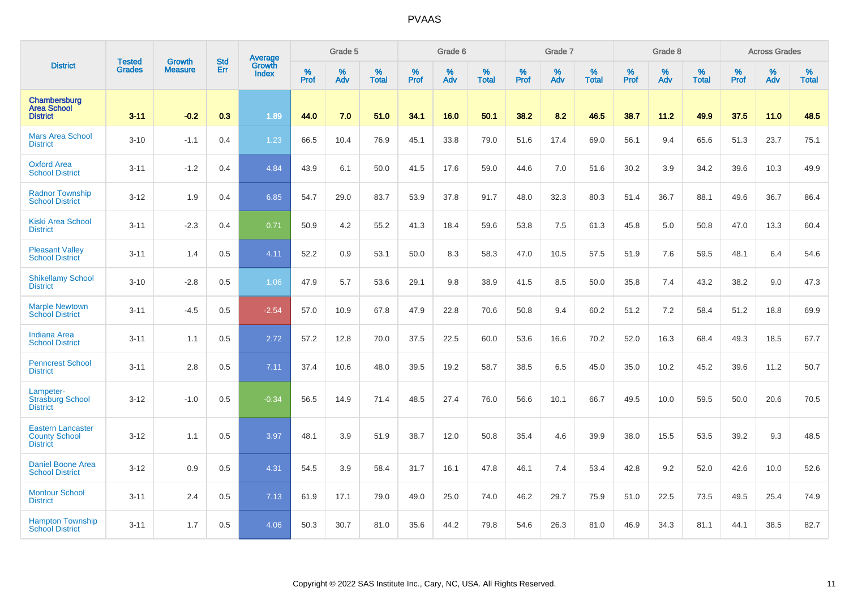| <b>District</b>                                                     |                                |                                 | <b>Std</b> | Average                       |           | Grade 5  |                   |           | Grade 6  |                   |           | Grade 7  |                   |           | Grade 8  |                   |           | <b>Across Grades</b> |                   |
|---------------------------------------------------------------------|--------------------------------|---------------------------------|------------|-------------------------------|-----------|----------|-------------------|-----------|----------|-------------------|-----------|----------|-------------------|-----------|----------|-------------------|-----------|----------------------|-------------------|
|                                                                     | <b>Tested</b><br><b>Grades</b> | <b>Growth</b><br><b>Measure</b> | Err        | <b>Growth</b><br><b>Index</b> | %<br>Prof | %<br>Adv | %<br><b>Total</b> | %<br>Prof | %<br>Adv | %<br><b>Total</b> | %<br>Prof | %<br>Adv | %<br><b>Total</b> | %<br>Prof | %<br>Adv | %<br><b>Total</b> | %<br>Prof | %<br>Adv             | %<br><b>Total</b> |
| Chambersburg<br><b>Area School</b><br><b>District</b>               | $3 - 11$                       | $-0.2$                          | 0.3        | 1.89                          | 44.0      | 7.0      | 51.0              | 34.1      | 16.0     | 50.1              | 38.2      | 8.2      | 46.5              | 38.7      | 11.2     | 49.9              | 37.5      | 11.0                 | 48.5              |
| <b>Mars Area School</b><br><b>District</b>                          | $3 - 10$                       | $-1.1$                          | 0.4        | 1.23                          | 66.5      | 10.4     | 76.9              | 45.1      | 33.8     | 79.0              | 51.6      | 17.4     | 69.0              | 56.1      | 9.4      | 65.6              | 51.3      | 23.7                 | 75.1              |
| <b>Oxford Area</b><br><b>School District</b>                        | $3 - 11$                       | $-1.2$                          | 0.4        | 4.84                          | 43.9      | 6.1      | 50.0              | 41.5      | 17.6     | 59.0              | 44.6      | 7.0      | 51.6              | 30.2      | 3.9      | 34.2              | 39.6      | 10.3                 | 49.9              |
| <b>Radnor Township</b><br><b>School District</b>                    | $3 - 12$                       | 1.9                             | 0.4        | 6.85                          | 54.7      | 29.0     | 83.7              | 53.9      | 37.8     | 91.7              | 48.0      | 32.3     | 80.3              | 51.4      | 36.7     | 88.1              | 49.6      | 36.7                 | 86.4              |
| <b>Kiski Area School</b><br><b>District</b>                         | $3 - 11$                       | $-2.3$                          | 0.4        | 0.71                          | 50.9      | 4.2      | 55.2              | 41.3      | 18.4     | 59.6              | 53.8      | 7.5      | 61.3              | 45.8      | 5.0      | 50.8              | 47.0      | 13.3                 | 60.4              |
| <b>Pleasant Valley</b><br><b>School District</b>                    | $3 - 11$                       | 1.4                             | 0.5        | 4.11                          | 52.2      | 0.9      | 53.1              | 50.0      | 8.3      | 58.3              | 47.0      | 10.5     | 57.5              | 51.9      | 7.6      | 59.5              | 48.1      | 6.4                  | 54.6              |
| <b>Shikellamy School</b><br><b>District</b>                         | $3 - 10$                       | $-2.8$                          | 0.5        | 1.06                          | 47.9      | 5.7      | 53.6              | 29.1      | 9.8      | 38.9              | 41.5      | 8.5      | 50.0              | 35.8      | 7.4      | 43.2              | 38.2      | 9.0                  | 47.3              |
| <b>Marple Newtown</b><br><b>School District</b>                     | $3 - 11$                       | $-4.5$                          | 0.5        | $-2.54$                       | 57.0      | 10.9     | 67.8              | 47.9      | 22.8     | 70.6              | 50.8      | 9.4      | 60.2              | 51.2      | 7.2      | 58.4              | 51.2      | 18.8                 | 69.9              |
| <b>Indiana Area</b><br><b>School District</b>                       | $3 - 11$                       | 1.1                             | 0.5        | 2.72                          | 57.2      | 12.8     | 70.0              | 37.5      | 22.5     | 60.0              | 53.6      | 16.6     | 70.2              | 52.0      | 16.3     | 68.4              | 49.3      | 18.5                 | 67.7              |
| <b>Penncrest School</b><br><b>District</b>                          | $3 - 11$                       | 2.8                             | 0.5        | 7.11                          | 37.4      | 10.6     | 48.0              | 39.5      | 19.2     | 58.7              | 38.5      | 6.5      | 45.0              | 35.0      | 10.2     | 45.2              | 39.6      | 11.2                 | 50.7              |
| Lampeter-<br><b>Strasburg School</b><br><b>District</b>             | $3 - 12$                       | $-1.0$                          | 0.5        | $-0.34$                       | 56.5      | 14.9     | 71.4              | 48.5      | 27.4     | 76.0              | 56.6      | 10.1     | 66.7              | 49.5      | 10.0     | 59.5              | 50.0      | 20.6                 | 70.5              |
| <b>Eastern Lancaster</b><br><b>County School</b><br><b>District</b> | $3 - 12$                       | 1.1                             | 0.5        | 3.97                          | 48.1      | 3.9      | 51.9              | 38.7      | 12.0     | 50.8              | 35.4      | 4.6      | 39.9              | 38.0      | 15.5     | 53.5              | 39.2      | 9.3                  | 48.5              |
| Daniel Boone Area<br><b>School District</b>                         | $3 - 12$                       | 0.9                             | 0.5        | 4.31                          | 54.5      | 3.9      | 58.4              | 31.7      | 16.1     | 47.8              | 46.1      | 7.4      | 53.4              | 42.8      | 9.2      | 52.0              | 42.6      | 10.0                 | 52.6              |
| <b>Montour School</b><br><b>District</b>                            | $3 - 11$                       | 2.4                             | 0.5        | 7.13                          | 61.9      | 17.1     | 79.0              | 49.0      | 25.0     | 74.0              | 46.2      | 29.7     | 75.9              | 51.0      | 22.5     | 73.5              | 49.5      | 25.4                 | 74.9              |
| <b>Hampton Township</b><br><b>School District</b>                   | $3 - 11$                       | 1.7                             | 0.5        | 4.06                          | 50.3      | 30.7     | 81.0              | 35.6      | 44.2     | 79.8              | 54.6      | 26.3     | 81.0              | 46.9      | 34.3     | 81.1              | 44.1      | 38.5                 | 82.7              |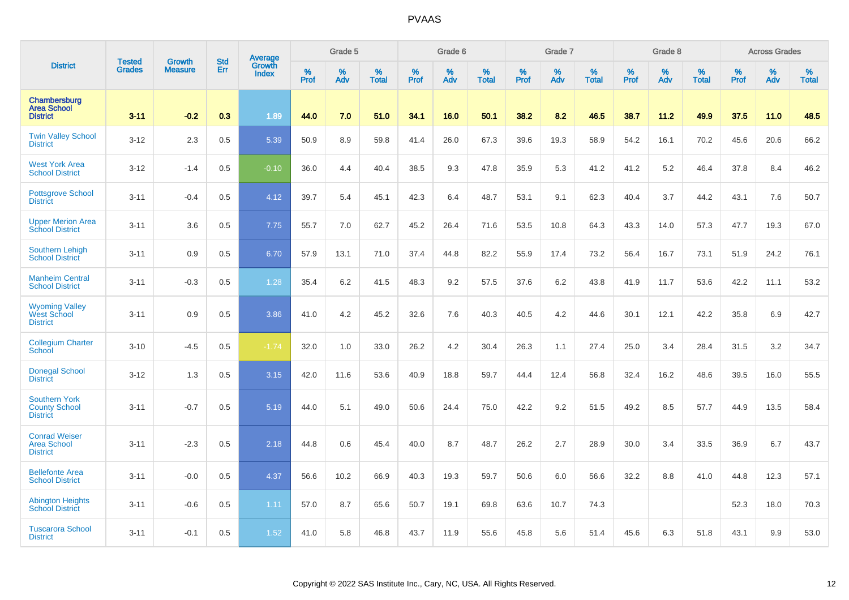|                                                                 |                                | <b>Growth</b>  | <b>Std</b> | Average                |              | Grade 5  |                   |           | Grade 6  |                   |              | Grade 7  |                   |           | Grade 8  |                   |           | <b>Across Grades</b> |                   |
|-----------------------------------------------------------------|--------------------------------|----------------|------------|------------------------|--------------|----------|-------------------|-----------|----------|-------------------|--------------|----------|-------------------|-----------|----------|-------------------|-----------|----------------------|-------------------|
| <b>District</b>                                                 | <b>Tested</b><br><b>Grades</b> | <b>Measure</b> | Err        | Growth<br><b>Index</b> | $\%$<br>Prof | %<br>Adv | %<br><b>Total</b> | %<br>Prof | %<br>Adv | %<br><b>Total</b> | $\%$<br>Prof | %<br>Adv | %<br><b>Total</b> | %<br>Prof | %<br>Adv | %<br><b>Total</b> | %<br>Prof | %<br>Adv             | %<br><b>Total</b> |
| Chambersburg<br><b>Area School</b><br><b>District</b>           | $3 - 11$                       | $-0.2$         | 0.3        | 1.89                   | 44.0         | 7.0      | 51.0              | 34.1      | 16.0     | 50.1              | 38.2         | 8.2      | 46.5              | 38.7      | 11.2     | 49.9              | 37.5      | 11.0                 | 48.5              |
| <b>Twin Valley School</b><br><b>District</b>                    | $3 - 12$                       | 2.3            | 0.5        | 5.39                   | 50.9         | 8.9      | 59.8              | 41.4      | 26.0     | 67.3              | 39.6         | 19.3     | 58.9              | 54.2      | 16.1     | 70.2              | 45.6      | 20.6                 | 66.2              |
| <b>West York Area</b><br><b>School District</b>                 | $3 - 12$                       | $-1.4$         | 0.5        | $-0.10$                | 36.0         | 4.4      | 40.4              | 38.5      | 9.3      | 47.8              | 35.9         | 5.3      | 41.2              | 41.2      | 5.2      | 46.4              | 37.8      | 8.4                  | 46.2              |
| <b>Pottsgrove School</b><br><b>District</b>                     | $3 - 11$                       | $-0.4$         | 0.5        | 4.12                   | 39.7         | 5.4      | 45.1              | 42.3      | 6.4      | 48.7              | 53.1         | 9.1      | 62.3              | 40.4      | 3.7      | 44.2              | 43.1      | 7.6                  | 50.7              |
| <b>Upper Merion Area</b><br><b>School District</b>              | $3 - 11$                       | 3.6            | 0.5        | 7.75                   | 55.7         | 7.0      | 62.7              | 45.2      | 26.4     | 71.6              | 53.5         | 10.8     | 64.3              | 43.3      | 14.0     | 57.3              | 47.7      | 19.3                 | 67.0              |
| <b>Southern Lehigh</b><br><b>School District</b>                | $3 - 11$                       | 0.9            | 0.5        | 6.70                   | 57.9         | 13.1     | 71.0              | 37.4      | 44.8     | 82.2              | 55.9         | 17.4     | 73.2              | 56.4      | 16.7     | 73.1              | 51.9      | 24.2                 | 76.1              |
| <b>Manheim Central</b><br><b>School District</b>                | $3 - 11$                       | $-0.3$         | 0.5        | 1.28                   | 35.4         | 6.2      | 41.5              | 48.3      | 9.2      | 57.5              | 37.6         | 6.2      | 43.8              | 41.9      | 11.7     | 53.6              | 42.2      | 11.1                 | 53.2              |
| <b>Wyoming Valley</b><br>West School<br><b>District</b>         | $3 - 11$                       | 0.9            | 0.5        | 3.86                   | 41.0         | 4.2      | 45.2              | 32.6      | 7.6      | 40.3              | 40.5         | 4.2      | 44.6              | 30.1      | 12.1     | 42.2              | 35.8      | 6.9                  | 42.7              |
| <b>Collegium Charter</b><br><b>School</b>                       | $3 - 10$                       | $-4.5$         | 0.5        | $-1.74$                | 32.0         | 1.0      | 33.0              | 26.2      | 4.2      | 30.4              | 26.3         | 1.1      | 27.4              | 25.0      | 3.4      | 28.4              | 31.5      | 3.2                  | 34.7              |
| <b>Donegal School</b><br><b>District</b>                        | $3 - 12$                       | 1.3            | 0.5        | 3.15                   | 42.0         | 11.6     | 53.6              | 40.9      | 18.8     | 59.7              | 44.4         | 12.4     | 56.8              | 32.4      | 16.2     | 48.6              | 39.5      | 16.0                 | 55.5              |
| <b>Southern York</b><br><b>County School</b><br><b>District</b> | $3 - 11$                       | $-0.7$         | 0.5        | 5.19                   | 44.0         | 5.1      | 49.0              | 50.6      | 24.4     | 75.0              | 42.2         | 9.2      | 51.5              | 49.2      | 8.5      | 57.7              | 44.9      | 13.5                 | 58.4              |
| <b>Conrad Weiser</b><br><b>Area School</b><br><b>District</b>   | $3 - 11$                       | $-2.3$         | 0.5        | 2.18                   | 44.8         | 0.6      | 45.4              | 40.0      | 8.7      | 48.7              | 26.2         | 2.7      | 28.9              | 30.0      | 3.4      | 33.5              | 36.9      | 6.7                  | 43.7              |
| <b>Bellefonte Area</b><br><b>School District</b>                | $3 - 11$                       | $-0.0$         | 0.5        | 4.37                   | 56.6         | 10.2     | 66.9              | 40.3      | 19.3     | 59.7              | 50.6         | 6.0      | 56.6              | 32.2      | 8.8      | 41.0              | 44.8      | 12.3                 | 57.1              |
| <b>Abington Heights</b><br><b>School District</b>               | $3 - 11$                       | $-0.6$         | 0.5        | 1.11                   | 57.0         | 8.7      | 65.6              | 50.7      | 19.1     | 69.8              | 63.6         | 10.7     | 74.3              |           |          |                   | 52.3      | 18.0                 | 70.3              |
| <b>Tuscarora School</b><br><b>District</b>                      | $3 - 11$                       | $-0.1$         | 0.5        | 1.52                   | 41.0         | 5.8      | 46.8              | 43.7      | 11.9     | 55.6              | 45.8         | 5.6      | 51.4              | 45.6      | 6.3      | 51.8              | 43.1      | 9.9                  | 53.0              |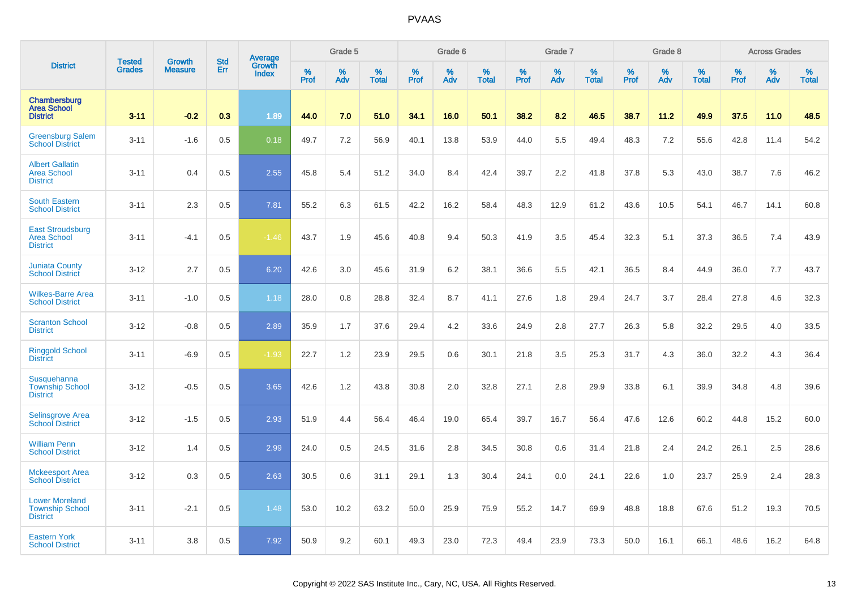|                                                                    |                                | <b>Growth</b>  | <b>Std</b> | <b>Average</b><br>Growth |              | Grade 5  |                   |           | Grade 6  |                   |           | Grade 7  |                   |                  | Grade 8  |                   |           | <b>Across Grades</b> |                   |
|--------------------------------------------------------------------|--------------------------------|----------------|------------|--------------------------|--------------|----------|-------------------|-----------|----------|-------------------|-----------|----------|-------------------|------------------|----------|-------------------|-----------|----------------------|-------------------|
| <b>District</b>                                                    | <b>Tested</b><br><b>Grades</b> | <b>Measure</b> | Err        | <b>Index</b>             | $\%$<br>Prof | %<br>Adv | %<br><b>Total</b> | %<br>Prof | %<br>Adv | %<br><b>Total</b> | %<br>Prof | %<br>Adv | %<br><b>Total</b> | %<br><b>Prof</b> | %<br>Adv | %<br><b>Total</b> | %<br>Prof | %<br>Adv             | %<br><b>Total</b> |
| Chambersburg<br><b>Area School</b><br><b>District</b>              | $3 - 11$                       | $-0.2$         | 0.3        | 1.89                     | 44.0         | 7.0      | 51.0              | 34.1      | 16.0     | 50.1              | 38.2      | 8.2      | 46.5              | 38.7             | 11.2     | 49.9              | 37.5      | 11.0                 | 48.5              |
| <b>Greensburg Salem</b><br><b>School District</b>                  | $3 - 11$                       | $-1.6$         | 0.5        | 0.18                     | 49.7         | 7.2      | 56.9              | 40.1      | 13.8     | 53.9              | 44.0      | 5.5      | 49.4              | 48.3             | 7.2      | 55.6              | 42.8      | 11.4                 | 54.2              |
| <b>Albert Gallatin</b><br><b>Area School</b><br><b>District</b>    | $3 - 11$                       | 0.4            | 0.5        | 2.55                     | 45.8         | 5.4      | 51.2              | 34.0      | 8.4      | 42.4              | 39.7      | 2.2      | 41.8              | 37.8             | 5.3      | 43.0              | 38.7      | 7.6                  | 46.2              |
| <b>South Eastern</b><br><b>School District</b>                     | $3 - 11$                       | 2.3            | 0.5        | 7.81                     | 55.2         | 6.3      | 61.5              | 42.2      | 16.2     | 58.4              | 48.3      | 12.9     | 61.2              | 43.6             | 10.5     | 54.1              | 46.7      | 14.1                 | 60.8              |
| <b>East Stroudsburg</b><br><b>Area School</b><br><b>District</b>   | $3 - 11$                       | $-4.1$         | 0.5        | $-1.46$                  | 43.7         | 1.9      | 45.6              | 40.8      | 9.4      | 50.3              | 41.9      | 3.5      | 45.4              | 32.3             | 5.1      | 37.3              | 36.5      | 7.4                  | 43.9              |
| <b>Juniata County</b><br><b>School District</b>                    | $3 - 12$                       | 2.7            | 0.5        | 6.20                     | 42.6         | 3.0      | 45.6              | 31.9      | 6.2      | 38.1              | 36.6      | 5.5      | 42.1              | 36.5             | 8.4      | 44.9              | 36.0      | 7.7                  | 43.7              |
| <b>Wilkes-Barre Area</b><br><b>School District</b>                 | $3 - 11$                       | $-1.0$         | 0.5        | 1.18                     | 28.0         | 0.8      | 28.8              | 32.4      | 8.7      | 41.1              | 27.6      | 1.8      | 29.4              | 24.7             | 3.7      | 28.4              | 27.8      | 4.6                  | 32.3              |
| <b>Scranton School</b><br><b>District</b>                          | $3 - 12$                       | $-0.8$         | 0.5        | 2.89                     | 35.9         | 1.7      | 37.6              | 29.4      | 4.2      | 33.6              | 24.9      | 2.8      | 27.7              | 26.3             | 5.8      | 32.2              | 29.5      | 4.0                  | 33.5              |
| <b>Ringgold School</b><br><b>District</b>                          | $3 - 11$                       | $-6.9$         | 0.5        | $-1.93$                  | 22.7         | 1.2      | 23.9              | 29.5      | 0.6      | 30.1              | 21.8      | 3.5      | 25.3              | 31.7             | 4.3      | 36.0              | 32.2      | 4.3                  | 36.4              |
| Susquehanna<br><b>Township School</b><br><b>District</b>           | $3 - 12$                       | $-0.5$         | 0.5        | 3.65                     | 42.6         | 1.2      | 43.8              | 30.8      | 2.0      | 32.8              | 27.1      | 2.8      | 29.9              | 33.8             | 6.1      | 39.9              | 34.8      | 4.8                  | 39.6              |
| Selinsgrove Area<br><b>School District</b>                         | $3 - 12$                       | $-1.5$         | 0.5        | 2.93                     | 51.9         | 4.4      | 56.4              | 46.4      | 19.0     | 65.4              | 39.7      | 16.7     | 56.4              | 47.6             | 12.6     | 60.2              | 44.8      | 15.2                 | 60.0              |
| <b>William Penn</b><br><b>School District</b>                      | $3 - 12$                       | 1.4            | 0.5        | 2.99                     | 24.0         | 0.5      | 24.5              | 31.6      | 2.8      | 34.5              | 30.8      | 0.6      | 31.4              | 21.8             | 2.4      | 24.2              | 26.1      | 2.5                  | 28.6              |
| <b>Mckeesport Area</b><br><b>School District</b>                   | $3 - 12$                       | 0.3            | 0.5        | 2.63                     | 30.5         | 0.6      | 31.1              | 29.1      | 1.3      | 30.4              | 24.1      | 0.0      | 24.1              | 22.6             | 1.0      | 23.7              | 25.9      | 2.4                  | 28.3              |
| <b>Lower Moreland</b><br><b>Township School</b><br><b>District</b> | $3 - 11$                       | $-2.1$         | 0.5        | 1.48                     | 53.0         | 10.2     | 63.2              | 50.0      | 25.9     | 75.9              | 55.2      | 14.7     | 69.9              | 48.8             | 18.8     | 67.6              | 51.2      | 19.3                 | 70.5              |
| <b>Eastern York</b><br><b>School District</b>                      | $3 - 11$                       | 3.8            | 0.5        | 7.92                     | 50.9         | 9.2      | 60.1              | 49.3      | 23.0     | 72.3              | 49.4      | 23.9     | 73.3              | 50.0             | 16.1     | 66.1              | 48.6      | 16.2                 | 64.8              |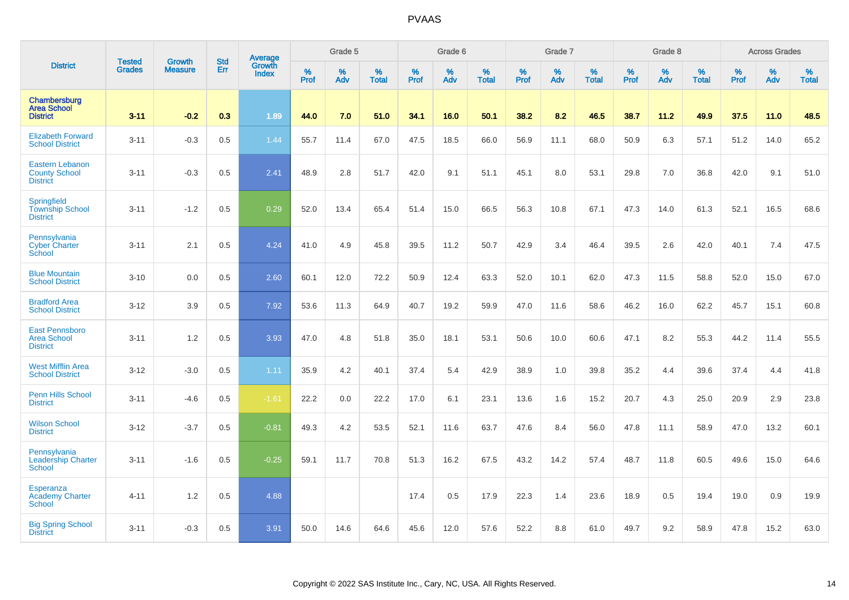|                                                                   |                                | <b>Growth</b>  | <b>Std</b> | Average                |              | Grade 5  |                   |                  | Grade 6  |                   |           | Grade 7  |                   |           | Grade 8  |                   |           | <b>Across Grades</b> |                   |
|-------------------------------------------------------------------|--------------------------------|----------------|------------|------------------------|--------------|----------|-------------------|------------------|----------|-------------------|-----------|----------|-------------------|-----------|----------|-------------------|-----------|----------------------|-------------------|
| <b>District</b>                                                   | <b>Tested</b><br><b>Grades</b> | <b>Measure</b> | Err        | Growth<br><b>Index</b> | $\%$<br>Prof | %<br>Adv | %<br><b>Total</b> | %<br><b>Prof</b> | %<br>Adv | %<br><b>Total</b> | %<br>Prof | %<br>Adv | %<br><b>Total</b> | %<br>Prof | %<br>Adv | %<br><b>Total</b> | %<br>Prof | %<br>Adv             | %<br><b>Total</b> |
| Chambersburg<br><b>Area School</b><br><b>District</b>             | $3 - 11$                       | $-0.2$         | 0.3        | 1.89                   | 44.0         | 7.0      | 51.0              | 34.1             | 16.0     | 50.1              | 38.2      | 8.2      | 46.5              | 38.7      | 11.2     | 49.9              | 37.5      | 11.0                 | 48.5              |
| <b>Elizabeth Forward</b><br><b>School District</b>                | $3 - 11$                       | $-0.3$         | 0.5        | 1.44                   | 55.7         | 11.4     | 67.0              | 47.5             | 18.5     | 66.0              | 56.9      | 11.1     | 68.0              | 50.9      | 6.3      | 57.1              | 51.2      | 14.0                 | 65.2              |
| <b>Eastern Lebanon</b><br><b>County School</b><br><b>District</b> | $3 - 11$                       | $-0.3$         | 0.5        | 2.41                   | 48.9         | 2.8      | 51.7              | 42.0             | 9.1      | 51.1              | 45.1      | 8.0      | 53.1              | 29.8      | 7.0      | 36.8              | 42.0      | 9.1                  | 51.0              |
| Springfield<br><b>Township School</b><br><b>District</b>          | $3 - 11$                       | $-1.2$         | 0.5        | 0.29                   | 52.0         | 13.4     | 65.4              | 51.4             | 15.0     | 66.5              | 56.3      | 10.8     | 67.1              | 47.3      | 14.0     | 61.3              | 52.1      | 16.5                 | 68.6              |
| Pennsylvania<br><b>Cyber Charter</b><br>School                    | $3 - 11$                       | 2.1            | 0.5        | 4.24                   | 41.0         | 4.9      | 45.8              | 39.5             | 11.2     | 50.7              | 42.9      | 3.4      | 46.4              | 39.5      | 2.6      | 42.0              | 40.1      | 7.4                  | 47.5              |
| <b>Blue Mountain</b><br><b>School District</b>                    | $3 - 10$                       | 0.0            | 0.5        | 2.60                   | 60.1         | 12.0     | 72.2              | 50.9             | 12.4     | 63.3              | 52.0      | 10.1     | 62.0              | 47.3      | 11.5     | 58.8              | 52.0      | 15.0                 | 67.0              |
| <b>Bradford Area</b><br><b>School District</b>                    | $3 - 12$                       | 3.9            | 0.5        | 7.92                   | 53.6         | 11.3     | 64.9              | 40.7             | 19.2     | 59.9              | 47.0      | 11.6     | 58.6              | 46.2      | 16.0     | 62.2              | 45.7      | 15.1                 | 60.8              |
| <b>East Pennsboro</b><br><b>Area School</b><br><b>District</b>    | $3 - 11$                       | 1.2            | 0.5        | 3.93                   | 47.0         | 4.8      | 51.8              | 35.0             | 18.1     | 53.1              | 50.6      | 10.0     | 60.6              | 47.1      | 8.2      | 55.3              | 44.2      | 11.4                 | 55.5              |
| <b>West Mifflin Area</b><br><b>School District</b>                | $3 - 12$                       | $-3.0$         | 0.5        | 1.11                   | 35.9         | 4.2      | 40.1              | 37.4             | 5.4      | 42.9              | 38.9      | 1.0      | 39.8              | 35.2      | 4.4      | 39.6              | 37.4      | 4.4                  | 41.8              |
| <b>Penn Hills School</b><br><b>District</b>                       | $3 - 11$                       | $-4.6$         | 0.5        | $-1.61$                | 22.2         | 0.0      | 22.2              | 17.0             | 6.1      | 23.1              | 13.6      | 1.6      | 15.2              | 20.7      | 4.3      | 25.0              | 20.9      | 2.9                  | 23.8              |
| <b>Wilson School</b><br><b>District</b>                           | $3 - 12$                       | $-3.7$         | 0.5        | $-0.81$                | 49.3         | 4.2      | 53.5              | 52.1             | 11.6     | 63.7              | 47.6      | 8.4      | 56.0              | 47.8      | 11.1     | 58.9              | 47.0      | 13.2                 | 60.1              |
| Pennsylvania<br>Leadership Charter<br><b>School</b>               | $3 - 11$                       | $-1.6$         | 0.5        | $-0.25$                | 59.1         | 11.7     | 70.8              | 51.3             | 16.2     | 67.5              | 43.2      | 14.2     | 57.4              | 48.7      | 11.8     | 60.5              | 49.6      | 15.0                 | 64.6              |
| Esperanza<br><b>Academy Charter</b><br><b>School</b>              | $4 - 11$                       | 1.2            | 0.5        | 4.88                   |              |          |                   | 17.4             | 0.5      | 17.9              | 22.3      | 1.4      | 23.6              | 18.9      | 0.5      | 19.4              | 19.0      | 0.9                  | 19.9              |
| <b>Big Spring School</b><br><b>District</b>                       | $3 - 11$                       | $-0.3$         | 0.5        | 3.91                   | 50.0         | 14.6     | 64.6              | 45.6             | 12.0     | 57.6              | 52.2      | 8.8      | 61.0              | 49.7      | 9.2      | 58.9              | 47.8      | 15.2                 | 63.0              |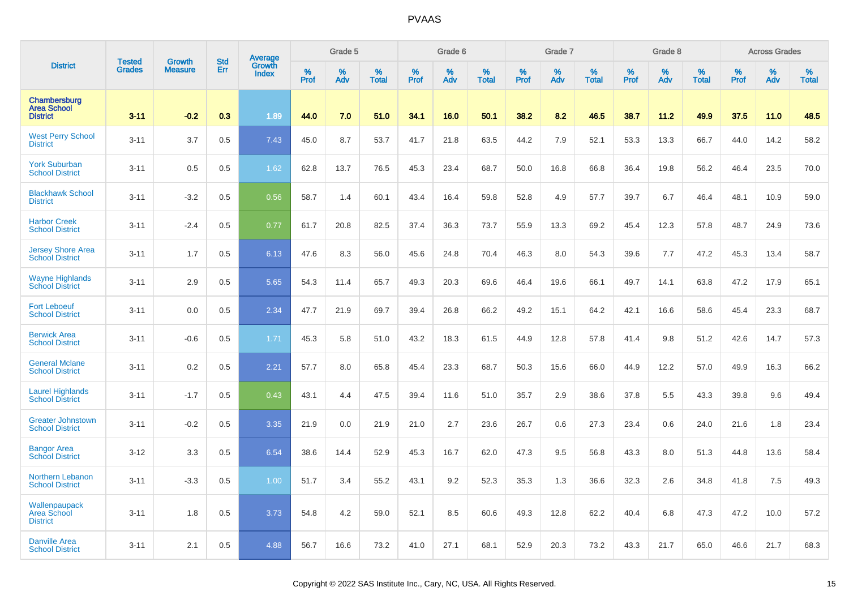|                                                       | <b>Tested</b> | <b>Growth</b>  | <b>Std</b> |                                   |              | Grade 5  |                   |              | Grade 6  |                   |              | Grade 7  |                   |              | Grade 8  |                   |                  | <b>Across Grades</b> |                   |
|-------------------------------------------------------|---------------|----------------|------------|-----------------------------------|--------------|----------|-------------------|--------------|----------|-------------------|--------------|----------|-------------------|--------------|----------|-------------------|------------------|----------------------|-------------------|
| <b>District</b>                                       | <b>Grades</b> | <b>Measure</b> | Err        | Average<br>Growth<br><b>Index</b> | $\%$<br>Prof | %<br>Adv | %<br><b>Total</b> | $\%$<br>Prof | %<br>Adv | %<br><b>Total</b> | $\%$<br>Prof | %<br>Adv | %<br><b>Total</b> | $\%$<br>Prof | %<br>Adv | %<br><b>Total</b> | %<br><b>Prof</b> | %<br>Adv             | %<br><b>Total</b> |
| Chambersburg<br><b>Area School</b><br><b>District</b> | $3 - 11$      | $-0.2$         | 0.3        | 1.89                              | 44.0         | 7.0      | 51.0              | 34.1         | 16.0     | 50.1              | 38.2         | 8.2      | 46.5              | 38.7         | 11.2     | 49.9              | 37.5             | 11.0                 | 48.5              |
| <b>West Perry School</b><br><b>District</b>           | $3 - 11$      | 3.7            | 0.5        | 7.43                              | 45.0         | 8.7      | 53.7              | 41.7         | 21.8     | 63.5              | 44.2         | 7.9      | 52.1              | 53.3         | 13.3     | 66.7              | 44.0             | 14.2                 | 58.2              |
| <b>York Suburban</b><br><b>School District</b>        | $3 - 11$      | 0.5            | 0.5        | 1.62                              | 62.8         | 13.7     | 76.5              | 45.3         | 23.4     | 68.7              | 50.0         | 16.8     | 66.8              | 36.4         | 19.8     | 56.2              | 46.4             | 23.5                 | 70.0              |
| <b>Blackhawk School</b><br><b>District</b>            | $3 - 11$      | $-3.2$         | 0.5        | 0.56                              | 58.7         | 1.4      | 60.1              | 43.4         | 16.4     | 59.8              | 52.8         | 4.9      | 57.7              | 39.7         | 6.7      | 46.4              | 48.1             | 10.9                 | 59.0              |
| <b>Harbor Creek</b><br><b>School District</b>         | $3 - 11$      | $-2.4$         | 0.5        | 0.77                              | 61.7         | 20.8     | 82.5              | 37.4         | 36.3     | 73.7              | 55.9         | 13.3     | 69.2              | 45.4         | 12.3     | 57.8              | 48.7             | 24.9                 | 73.6              |
| <b>Jersey Shore Area</b><br><b>School District</b>    | $3 - 11$      | 1.7            | 0.5        | 6.13                              | 47.6         | 8.3      | 56.0              | 45.6         | 24.8     | 70.4              | 46.3         | 8.0      | 54.3              | 39.6         | 7.7      | 47.2              | 45.3             | 13.4                 | 58.7              |
| <b>Wayne Highlands</b><br><b>School District</b>      | $3 - 11$      | 2.9            | 0.5        | 5.65                              | 54.3         | 11.4     | 65.7              | 49.3         | 20.3     | 69.6              | 46.4         | 19.6     | 66.1              | 49.7         | 14.1     | 63.8              | 47.2             | 17.9                 | 65.1              |
| <b>Fort Leboeuf</b><br><b>School District</b>         | $3 - 11$      | 0.0            | 0.5        | 2.34                              | 47.7         | 21.9     | 69.7              | 39.4         | 26.8     | 66.2              | 49.2         | 15.1     | 64.2              | 42.1         | 16.6     | 58.6              | 45.4             | 23.3                 | 68.7              |
| <b>Berwick Area</b><br><b>School District</b>         | $3 - 11$      | $-0.6$         | 0.5        | 1.71                              | 45.3         | 5.8      | 51.0              | 43.2         | 18.3     | 61.5              | 44.9         | 12.8     | 57.8              | 41.4         | 9.8      | 51.2              | 42.6             | 14.7                 | 57.3              |
| <b>General Mclane</b><br><b>School District</b>       | $3 - 11$      | 0.2            | 0.5        | 2.21                              | 57.7         | 8.0      | 65.8              | 45.4         | 23.3     | 68.7              | 50.3         | 15.6     | 66.0              | 44.9         | 12.2     | 57.0              | 49.9             | 16.3                 | 66.2              |
| <b>Laurel Highlands</b><br><b>School District</b>     | $3 - 11$      | $-1.7$         | 0.5        | 0.43                              | 43.1         | 4.4      | 47.5              | 39.4         | 11.6     | 51.0              | 35.7         | 2.9      | 38.6              | 37.8         | 5.5      | 43.3              | 39.8             | 9.6                  | 49.4              |
| <b>Greater Johnstown</b><br><b>School District</b>    | $3 - 11$      | $-0.2$         | 0.5        | 3.35                              | 21.9         | 0.0      | 21.9              | 21.0         | 2.7      | 23.6              | 26.7         | 0.6      | 27.3              | 23.4         | 0.6      | 24.0              | 21.6             | 1.8                  | 23.4              |
| <b>Bangor Area</b><br><b>School District</b>          | $3 - 12$      | 3.3            | 0.5        | 6.54                              | 38.6         | 14.4     | 52.9              | 45.3         | 16.7     | 62.0              | 47.3         | 9.5      | 56.8              | 43.3         | 8.0      | 51.3              | 44.8             | 13.6                 | 58.4              |
| <b>Northern Lebanon</b><br><b>School District</b>     | $3 - 11$      | $-3.3$         | 0.5        | 1.00                              | 51.7         | 3.4      | 55.2              | 43.1         | 9.2      | 52.3              | 35.3         | 1.3      | 36.6              | 32.3         | 2.6      | 34.8              | 41.8             | 7.5                  | 49.3              |
| Wallenpaupack<br>Area School<br><b>District</b>       | $3 - 11$      | 1.8            | 0.5        | 3.73                              | 54.8         | 4.2      | 59.0              | 52.1         | 8.5      | 60.6              | 49.3         | 12.8     | 62.2              | 40.4         | 6.8      | 47.3              | 47.2             | 10.0                 | 57.2              |
| <b>Danville Area</b><br><b>School District</b>        | $3 - 11$      | 2.1            | 0.5        | 4.88                              | 56.7         | 16.6     | 73.2              | 41.0         | 27.1     | 68.1              | 52.9         | 20.3     | 73.2              | 43.3         | 21.7     | 65.0              | 46.6             | 21.7                 | 68.3              |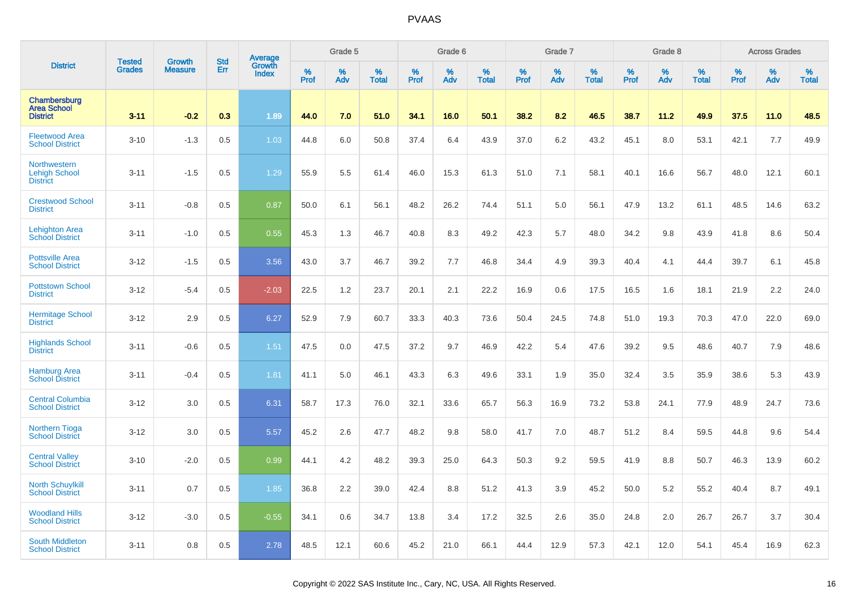|                                                                | <b>Tested</b> | <b>Growth</b>  | <b>Std</b> |                                   |              | Grade 5  |                   |              | Grade 6  |                   |              | Grade 7  |                   |              | Grade 8  |                   |                  | <b>Across Grades</b> |                   |
|----------------------------------------------------------------|---------------|----------------|------------|-----------------------------------|--------------|----------|-------------------|--------------|----------|-------------------|--------------|----------|-------------------|--------------|----------|-------------------|------------------|----------------------|-------------------|
| <b>District</b>                                                | <b>Grades</b> | <b>Measure</b> | Err        | Average<br>Growth<br><b>Index</b> | $\%$<br>Prof | %<br>Adv | %<br><b>Total</b> | $\%$<br>Prof | %<br>Adv | %<br><b>Total</b> | $\%$<br>Prof | %<br>Adv | %<br><b>Total</b> | $\%$<br>Prof | %<br>Adv | %<br><b>Total</b> | %<br><b>Prof</b> | $\%$<br>Adv          | %<br><b>Total</b> |
| Chambersburg<br><b>Area School</b><br><b>District</b>          | $3 - 11$      | $-0.2$         | 0.3        | 1.89                              | 44.0         | 7.0      | 51.0              | 34.1         | 16.0     | 50.1              | 38.2         | 8.2      | 46.5              | 38.7         | 11.2     | 49.9              | 37.5             | 11.0                 | 48.5              |
| <b>Fleetwood Area</b><br><b>School District</b>                | $3 - 10$      | $-1.3$         | 0.5        | 1.03                              | 44.8         | 6.0      | 50.8              | 37.4         | 6.4      | 43.9              | 37.0         | 6.2      | 43.2              | 45.1         | 8.0      | 53.1              | 42.1             | 7.7                  | 49.9              |
| <b>Northwestern</b><br><b>Lehigh School</b><br><b>District</b> | $3 - 11$      | $-1.5$         | 0.5        | 1.29                              | 55.9         | 5.5      | 61.4              | 46.0         | 15.3     | 61.3              | 51.0         | 7.1      | 58.1              | 40.1         | 16.6     | 56.7              | 48.0             | 12.1                 | 60.1              |
| <b>Crestwood School</b><br><b>District</b>                     | $3 - 11$      | $-0.8$         | 0.5        | 0.87                              | 50.0         | 6.1      | 56.1              | 48.2         | 26.2     | 74.4              | 51.1         | 5.0      | 56.1              | 47.9         | 13.2     | 61.1              | 48.5             | 14.6                 | 63.2              |
| <b>Lehighton Area</b><br><b>School District</b>                | $3 - 11$      | $-1.0$         | 0.5        | 0.55                              | 45.3         | 1.3      | 46.7              | 40.8         | 8.3      | 49.2              | 42.3         | 5.7      | 48.0              | 34.2         | 9.8      | 43.9              | 41.8             | 8.6                  | 50.4              |
| <b>Pottsville Area</b><br><b>School District</b>               | $3 - 12$      | $-1.5$         | 0.5        | 3.56                              | 43.0         | 3.7      | 46.7              | 39.2         | 7.7      | 46.8              | 34.4         | 4.9      | 39.3              | 40.4         | 4.1      | 44.4              | 39.7             | 6.1                  | 45.8              |
| <b>Pottstown School</b><br><b>District</b>                     | $3 - 12$      | $-5.4$         | 0.5        | $-2.03$                           | 22.5         | 1.2      | 23.7              | 20.1         | 2.1      | 22.2              | 16.9         | 0.6      | 17.5              | 16.5         | 1.6      | 18.1              | 21.9             | 2.2                  | 24.0              |
| <b>Hermitage School</b><br><b>District</b>                     | $3 - 12$      | 2.9            | 0.5        | 6.27                              | 52.9         | 7.9      | 60.7              | 33.3         | 40.3     | 73.6              | 50.4         | 24.5     | 74.8              | 51.0         | 19.3     | 70.3              | 47.0             | 22.0                 | 69.0              |
| <b>Highlands School</b><br><b>District</b>                     | $3 - 11$      | $-0.6$         | 0.5        | 1.51                              | 47.5         | 0.0      | 47.5              | 37.2         | 9.7      | 46.9              | 42.2         | 5.4      | 47.6              | 39.2         | 9.5      | 48.6              | 40.7             | 7.9                  | 48.6              |
| <b>Hamburg Area</b><br><b>School District</b>                  | $3 - 11$      | $-0.4$         | 0.5        | 1.81                              | 41.1         | 5.0      | 46.1              | 43.3         | 6.3      | 49.6              | 33.1         | 1.9      | 35.0              | 32.4         | 3.5      | 35.9              | 38.6             | 5.3                  | 43.9              |
| <b>Central Columbia</b><br><b>School District</b>              | $3 - 12$      | 3.0            | 0.5        | 6.31                              | 58.7         | 17.3     | 76.0              | 32.1         | 33.6     | 65.7              | 56.3         | 16.9     | 73.2              | 53.8         | 24.1     | 77.9              | 48.9             | 24.7                 | 73.6              |
| <b>Northern Tioga</b><br><b>School District</b>                | $3 - 12$      | 3.0            | 0.5        | 5.57                              | 45.2         | 2.6      | 47.7              | 48.2         | 9.8      | 58.0              | 41.7         | 7.0      | 48.7              | 51.2         | 8.4      | 59.5              | 44.8             | 9.6                  | 54.4              |
| <b>Central Valley</b><br><b>School District</b>                | $3 - 10$      | $-2.0$         | 0.5        | 0.99                              | 44.1         | 4.2      | 48.2              | 39.3         | 25.0     | 64.3              | 50.3         | 9.2      | 59.5              | 41.9         | 8.8      | 50.7              | 46.3             | 13.9                 | 60.2              |
| <b>North Schuylkill</b><br><b>School District</b>              | $3 - 11$      | 0.7            | 0.5        | 1.85                              | 36.8         | 2.2      | 39.0              | 42.4         | 8.8      | 51.2              | 41.3         | 3.9      | 45.2              | 50.0         | 5.2      | 55.2              | 40.4             | 8.7                  | 49.1              |
| <b>Woodland Hills</b><br><b>School District</b>                | $3 - 12$      | $-3.0$         | 0.5        | $-0.55$                           | 34.1         | 0.6      | 34.7              | 13.8         | 3.4      | 17.2              | 32.5         | 2.6      | 35.0              | 24.8         | 2.0      | 26.7              | 26.7             | 3.7                  | 30.4              |
| <b>South Middleton</b><br><b>School District</b>               | $3 - 11$      | 0.8            | 0.5        | 2.78                              | 48.5         | 12.1     | 60.6              | 45.2         | 21.0     | 66.1              | 44.4         | 12.9     | 57.3              | 42.1         | 12.0     | 54.1              | 45.4             | 16.9                 | 62.3              |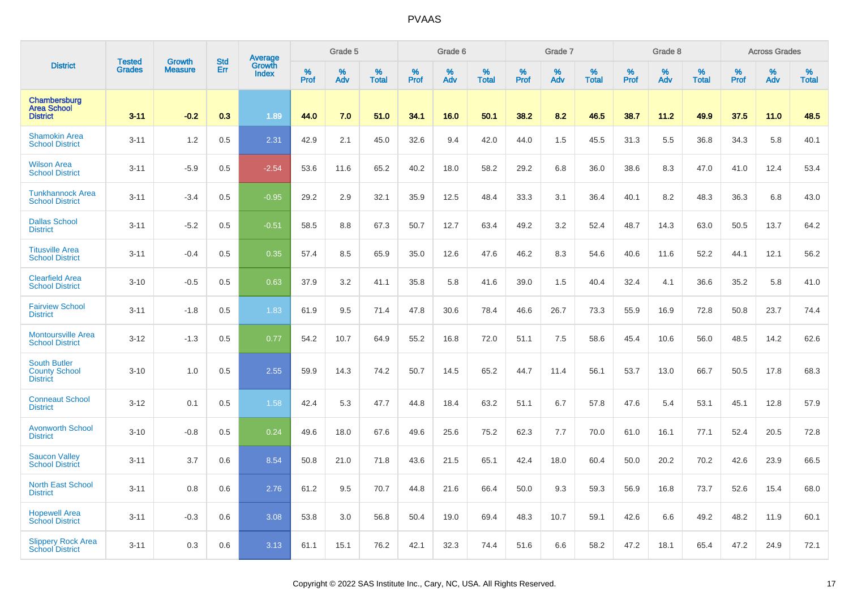|                                                                | <b>Tested</b> | <b>Growth</b>  | <b>Std</b> |                                   |                     | Grade 5  |                   |              | Grade 6  |                   |              | Grade 7  |                   |           | Grade 8  |                   |                  | <b>Across Grades</b> |                   |
|----------------------------------------------------------------|---------------|----------------|------------|-----------------------------------|---------------------|----------|-------------------|--------------|----------|-------------------|--------------|----------|-------------------|-----------|----------|-------------------|------------------|----------------------|-------------------|
| <b>District</b>                                                | <b>Grades</b> | <b>Measure</b> | Err        | Average<br>Growth<br><b>Index</b> | $\%$<br><b>Prof</b> | %<br>Adv | %<br><b>Total</b> | $\%$<br>Prof | %<br>Adv | %<br><b>Total</b> | $\%$<br>Prof | %<br>Adv | %<br><b>Total</b> | %<br>Prof | %<br>Adv | %<br><b>Total</b> | %<br><b>Prof</b> | %<br>Adv             | %<br><b>Total</b> |
| Chambersburg<br><b>Area School</b><br><b>District</b>          | $3 - 11$      | $-0.2$         | 0.3        | 1.89                              | 44.0                | 7.0      | 51.0              | 34.1         | 16.0     | 50.1              | 38.2         | 8.2      | 46.5              | 38.7      | 11.2     | 49.9              | 37.5             | 11.0                 | 48.5              |
| <b>Shamokin Area</b><br><b>School District</b>                 | $3 - 11$      | 1.2            | 0.5        | 2.31                              | 42.9                | 2.1      | 45.0              | 32.6         | 9.4      | 42.0              | 44.0         | 1.5      | 45.5              | 31.3      | 5.5      | 36.8              | 34.3             | 5.8                  | 40.1              |
| <b>Wilson Area</b><br><b>School District</b>                   | $3 - 11$      | $-5.9$         | 0.5        | $-2.54$                           | 53.6                | 11.6     | 65.2              | 40.2         | 18.0     | 58.2              | 29.2         | 6.8      | 36.0              | 38.6      | 8.3      | 47.0              | 41.0             | 12.4                 | 53.4              |
| <b>Tunkhannock Area</b><br><b>School District</b>              | $3 - 11$      | $-3.4$         | 0.5        | $-0.95$                           | 29.2                | 2.9      | 32.1              | 35.9         | 12.5     | 48.4              | 33.3         | 3.1      | 36.4              | 40.1      | 8.2      | 48.3              | 36.3             | 6.8                  | 43.0              |
| <b>Dallas School</b><br><b>District</b>                        | $3 - 11$      | $-5.2$         | 0.5        | $-0.51$                           | 58.5                | 8.8      | 67.3              | 50.7         | 12.7     | 63.4              | 49.2         | 3.2      | 52.4              | 48.7      | 14.3     | 63.0              | 50.5             | 13.7                 | 64.2              |
| <b>Titusville Area</b><br><b>School District</b>               | $3 - 11$      | $-0.4$         | 0.5        | 0.35                              | 57.4                | 8.5      | 65.9              | 35.0         | 12.6     | 47.6              | 46.2         | 8.3      | 54.6              | 40.6      | 11.6     | 52.2              | 44.1             | 12.1                 | 56.2              |
| <b>Clearfield Area</b><br><b>School District</b>               | $3 - 10$      | $-0.5$         | 0.5        | 0.63                              | 37.9                | 3.2      | 41.1              | 35.8         | 5.8      | 41.6              | 39.0         | 1.5      | 40.4              | 32.4      | 4.1      | 36.6              | 35.2             | 5.8                  | 41.0              |
| <b>Fairview School</b><br><b>District</b>                      | $3 - 11$      | $-1.8$         | 0.5        | 1.83                              | 61.9                | 9.5      | 71.4              | 47.8         | 30.6     | 78.4              | 46.6         | 26.7     | 73.3              | 55.9      | 16.9     | 72.8              | 50.8             | 23.7                 | 74.4              |
| <b>Montoursville Area</b><br><b>School District</b>            | $3 - 12$      | $-1.3$         | 0.5        | 0.77                              | 54.2                | 10.7     | 64.9              | 55.2         | 16.8     | 72.0              | 51.1         | 7.5      | 58.6              | 45.4      | 10.6     | 56.0              | 48.5             | 14.2                 | 62.6              |
| <b>South Butler</b><br><b>County School</b><br><b>District</b> | $3 - 10$      | 1.0            | 0.5        | 2.55                              | 59.9                | 14.3     | 74.2              | 50.7         | 14.5     | 65.2              | 44.7         | 11.4     | 56.1              | 53.7      | 13.0     | 66.7              | 50.5             | 17.8                 | 68.3              |
| <b>Conneaut School</b><br><b>District</b>                      | $3 - 12$      | 0.1            | 0.5        | 1.58                              | 42.4                | 5.3      | 47.7              | 44.8         | 18.4     | 63.2              | 51.1         | 6.7      | 57.8              | 47.6      | 5.4      | 53.1              | 45.1             | 12.8                 | 57.9              |
| <b>Avonworth School</b><br><b>District</b>                     | $3 - 10$      | $-0.8$         | 0.5        | 0.24                              | 49.6                | 18.0     | 67.6              | 49.6         | 25.6     | 75.2              | 62.3         | 7.7      | 70.0              | 61.0      | 16.1     | 77.1              | 52.4             | 20.5                 | 72.8              |
| <b>Saucon Valley</b><br><b>School District</b>                 | $3 - 11$      | 3.7            | 0.6        | 8.54                              | 50.8                | 21.0     | 71.8              | 43.6         | 21.5     | 65.1              | 42.4         | 18.0     | 60.4              | 50.0      | 20.2     | 70.2              | 42.6             | 23.9                 | 66.5              |
| <b>North East School</b><br><b>District</b>                    | $3 - 11$      | 0.8            | 0.6        | 2.76                              | 61.2                | 9.5      | 70.7              | 44.8         | 21.6     | 66.4              | 50.0         | 9.3      | 59.3              | 56.9      | 16.8     | 73.7              | 52.6             | 15.4                 | 68.0              |
| <b>Hopewell Area</b><br><b>School District</b>                 | $3 - 11$      | $-0.3$         | 0.6        | 3.08                              | 53.8                | 3.0      | 56.8              | 50.4         | 19.0     | 69.4              | 48.3         | 10.7     | 59.1              | 42.6      | 6.6      | 49.2              | 48.2             | 11.9                 | 60.1              |
| <b>Slippery Rock Area</b><br><b>School District</b>            | $3 - 11$      | 0.3            | 0.6        | 3.13                              | 61.1                | 15.1     | 76.2              | 42.1         | 32.3     | 74.4              | 51.6         | 6.6      | 58.2              | 47.2      | 18.1     | 65.4              | 47.2             | 24.9                 | 72.1              |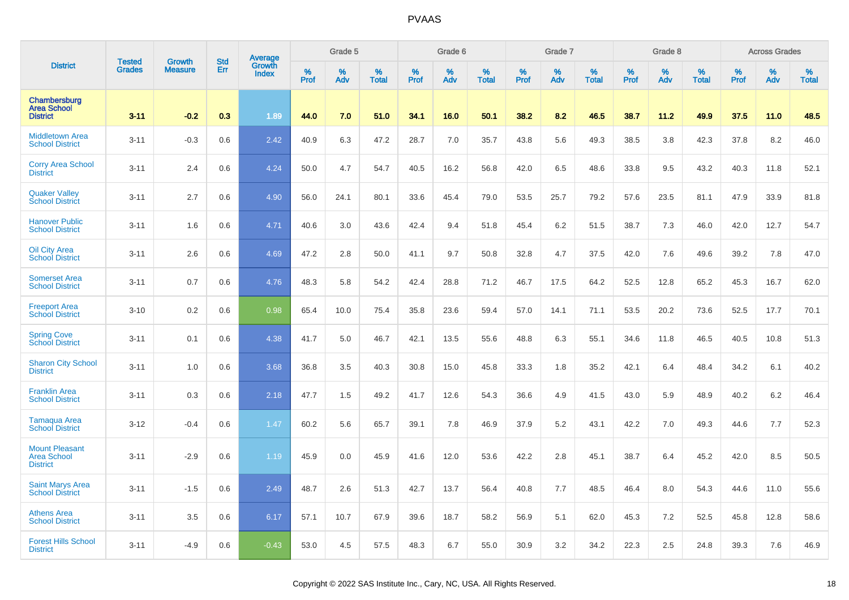|                                                                | <b>Tested</b> | <b>Growth</b>  | <b>Std</b> |                                   |              | Grade 5  |                   |              | Grade 6  |                   |              | Grade 7  |                   |              | Grade 8  |                   |                  | <b>Across Grades</b> |                   |
|----------------------------------------------------------------|---------------|----------------|------------|-----------------------------------|--------------|----------|-------------------|--------------|----------|-------------------|--------------|----------|-------------------|--------------|----------|-------------------|------------------|----------------------|-------------------|
| <b>District</b>                                                | <b>Grades</b> | <b>Measure</b> | Err        | Average<br>Growth<br><b>Index</b> | $\%$<br>Prof | %<br>Adv | %<br><b>Total</b> | $\%$<br>Prof | %<br>Adv | %<br><b>Total</b> | $\%$<br>Prof | %<br>Adv | %<br><b>Total</b> | $\%$<br>Prof | %<br>Adv | %<br><b>Total</b> | %<br><b>Prof</b> | %<br>Adv             | %<br><b>Total</b> |
| Chambersburg<br><b>Area School</b><br><b>District</b>          | $3 - 11$      | $-0.2$         | 0.3        | 1.89                              | 44.0         | 7.0      | 51.0              | 34.1         | 16.0     | 50.1              | 38.2         | 8.2      | 46.5              | 38.7         | 11.2     | 49.9              | 37.5             | 11.0                 | 48.5              |
| <b>Middletown Area</b><br><b>School District</b>               | $3 - 11$      | $-0.3$         | 0.6        | 2.42                              | 40.9         | 6.3      | 47.2              | 28.7         | 7.0      | 35.7              | 43.8         | 5.6      | 49.3              | 38.5         | 3.8      | 42.3              | 37.8             | 8.2                  | 46.0              |
| <b>Corry Area School</b><br><b>District</b>                    | $3 - 11$      | 2.4            | 0.6        | 4.24                              | 50.0         | 4.7      | 54.7              | 40.5         | 16.2     | 56.8              | 42.0         | 6.5      | 48.6              | 33.8         | 9.5      | 43.2              | 40.3             | 11.8                 | 52.1              |
| <b>Quaker Valley</b><br><b>School District</b>                 | $3 - 11$      | 2.7            | 0.6        | 4.90                              | 56.0         | 24.1     | 80.1              | 33.6         | 45.4     | 79.0              | 53.5         | 25.7     | 79.2              | 57.6         | 23.5     | 81.1              | 47.9             | 33.9                 | 81.8              |
| <b>Hanover Public</b><br><b>School District</b>                | $3 - 11$      | 1.6            | 0.6        | 4.71                              | 40.6         | 3.0      | 43.6              | 42.4         | 9.4      | 51.8              | 45.4         | 6.2      | 51.5              | 38.7         | 7.3      | 46.0              | 42.0             | 12.7                 | 54.7              |
| Oil City Area<br><b>School District</b>                        | $3 - 11$      | 2.6            | 0.6        | 4.69                              | 47.2         | 2.8      | 50.0              | 41.1         | 9.7      | 50.8              | 32.8         | 4.7      | 37.5              | 42.0         | 7.6      | 49.6              | 39.2             | 7.8                  | 47.0              |
| <b>Somerset Area</b><br><b>School District</b>                 | $3 - 11$      | 0.7            | 0.6        | 4.76                              | 48.3         | 5.8      | 54.2              | 42.4         | 28.8     | 71.2              | 46.7         | 17.5     | 64.2              | 52.5         | 12.8     | 65.2              | 45.3             | 16.7                 | 62.0              |
| <b>Freeport Area</b><br><b>School District</b>                 | $3 - 10$      | 0.2            | 0.6        | 0.98                              | 65.4         | 10.0     | 75.4              | 35.8         | 23.6     | 59.4              | 57.0         | 14.1     | 71.1              | 53.5         | 20.2     | 73.6              | 52.5             | 17.7                 | 70.1              |
| <b>Spring Cove</b><br>School District                          | $3 - 11$      | 0.1            | 0.6        | 4.38                              | 41.7         | 5.0      | 46.7              | 42.1         | 13.5     | 55.6              | 48.8         | 6.3      | 55.1              | 34.6         | 11.8     | 46.5              | 40.5             | 10.8                 | 51.3              |
| <b>Sharon City School</b><br><b>District</b>                   | $3 - 11$      | 1.0            | 0.6        | 3.68                              | 36.8         | 3.5      | 40.3              | 30.8         | 15.0     | 45.8              | 33.3         | 1.8      | 35.2              | 42.1         | 6.4      | 48.4              | 34.2             | 6.1                  | 40.2              |
| <b>Franklin Area</b><br><b>School District</b>                 | $3 - 11$      | 0.3            | 0.6        | 2.18                              | 47.7         | 1.5      | 49.2              | 41.7         | 12.6     | 54.3              | 36.6         | 4.9      | 41.5              | 43.0         | 5.9      | 48.9              | 40.2             | 6.2                  | 46.4              |
| <b>Tamagua Area</b><br><b>School District</b>                  | $3 - 12$      | $-0.4$         | 0.6        | 1.47                              | 60.2         | 5.6      | 65.7              | 39.1         | 7.8      | 46.9              | 37.9         | 5.2      | 43.1              | 42.2         | 7.0      | 49.3              | 44.6             | 7.7                  | 52.3              |
| <b>Mount Pleasant</b><br><b>Area School</b><br><b>District</b> | $3 - 11$      | $-2.9$         | 0.6        | 1.19                              | 45.9         | 0.0      | 45.9              | 41.6         | 12.0     | 53.6              | 42.2         | 2.8      | 45.1              | 38.7         | 6.4      | 45.2              | 42.0             | 8.5                  | 50.5              |
| <b>Saint Marys Area</b><br><b>School District</b>              | $3 - 11$      | $-1.5$         | 0.6        | 2.49                              | 48.7         | 2.6      | 51.3              | 42.7         | 13.7     | 56.4              | 40.8         | 7.7      | 48.5              | 46.4         | 8.0      | 54.3              | 44.6             | 11.0                 | 55.6              |
| <b>Athens Area</b><br><b>School District</b>                   | $3 - 11$      | 3.5            | 0.6        | 6.17                              | 57.1         | 10.7     | 67.9              | 39.6         | 18.7     | 58.2              | 56.9         | 5.1      | 62.0              | 45.3         | 7.2      | 52.5              | 45.8             | 12.8                 | 58.6              |
| <b>Forest Hills School</b><br><b>District</b>                  | $3 - 11$      | $-4.9$         | 0.6        | $-0.43$                           | 53.0         | 4.5      | 57.5              | 48.3         | 6.7      | 55.0              | 30.9         | 3.2      | 34.2              | 22.3         | 2.5      | 24.8              | 39.3             | 7.6                  | 46.9              |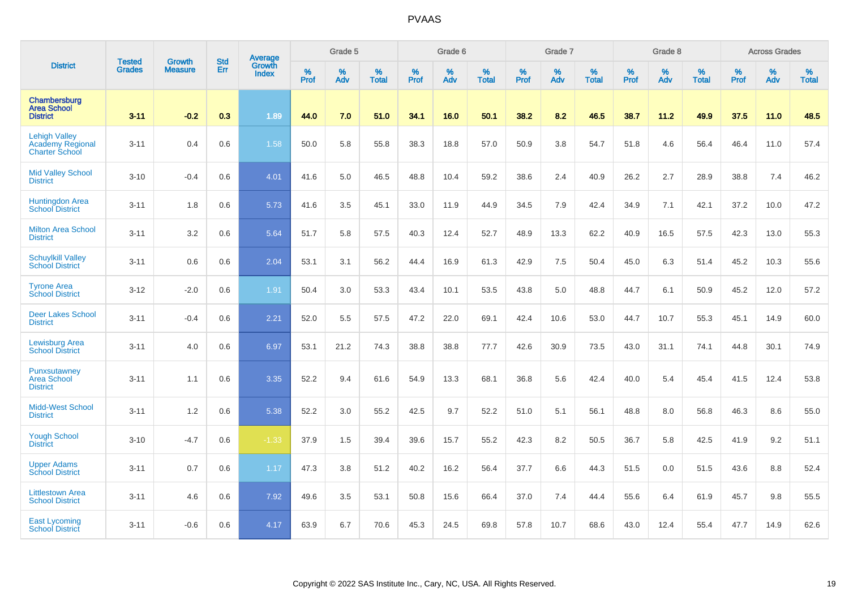|                                                                   |                                |                                 | <b>Std</b> | Average                       |              | Grade 5  |                   |           | Grade 6  |                   |           | Grade 7  |                   |           | Grade 8  |                   |           | <b>Across Grades</b> |                   |
|-------------------------------------------------------------------|--------------------------------|---------------------------------|------------|-------------------------------|--------------|----------|-------------------|-----------|----------|-------------------|-----------|----------|-------------------|-----------|----------|-------------------|-----------|----------------------|-------------------|
| <b>District</b>                                                   | <b>Tested</b><br><b>Grades</b> | <b>Growth</b><br><b>Measure</b> | Err        | <b>Growth</b><br><b>Index</b> | $\%$<br>Prof | %<br>Adv | %<br><b>Total</b> | %<br>Prof | %<br>Adv | %<br><b>Total</b> | %<br>Prof | %<br>Adv | %<br><b>Total</b> | %<br>Prof | %<br>Adv | %<br><b>Total</b> | %<br>Prof | %<br>Adv             | %<br><b>Total</b> |
| Chambersburg<br><b>Area School</b><br><b>District</b>             | $3 - 11$                       | $-0.2$                          | 0.3        | 1.89                          | 44.0         | 7.0      | 51.0              | 34.1      | 16.0     | 50.1              | 38.2      | 8.2      | 46.5              | 38.7      | 11.2     | 49.9              | 37.5      | 11.0                 | 48.5              |
| <b>Lehigh Valley</b><br>Academy Regional<br><b>Charter School</b> | $3 - 11$                       | 0.4                             | 0.6        | 1.58                          | 50.0         | 5.8      | 55.8              | 38.3      | 18.8     | 57.0              | 50.9      | 3.8      | 54.7              | 51.8      | 4.6      | 56.4              | 46.4      | 11.0                 | 57.4              |
| <b>Mid Valley School</b><br><b>District</b>                       | $3 - 10$                       | $-0.4$                          | 0.6        | 4.01                          | 41.6         | 5.0      | 46.5              | 48.8      | 10.4     | 59.2              | 38.6      | 2.4      | 40.9              | 26.2      | 2.7      | 28.9              | 38.8      | 7.4                  | 46.2              |
| Huntingdon Area<br><b>School District</b>                         | $3 - 11$                       | 1.8                             | 0.6        | 5.73                          | 41.6         | 3.5      | 45.1              | 33.0      | 11.9     | 44.9              | 34.5      | 7.9      | 42.4              | 34.9      | 7.1      | 42.1              | 37.2      | 10.0                 | 47.2              |
| <b>Milton Area School</b><br><b>District</b>                      | $3 - 11$                       | 3.2                             | 0.6        | 5.64                          | 51.7         | 5.8      | 57.5              | 40.3      | 12.4     | 52.7              | 48.9      | 13.3     | 62.2              | 40.9      | 16.5     | 57.5              | 42.3      | 13.0                 | 55.3              |
| <b>Schuylkill Valley</b><br><b>School District</b>                | $3 - 11$                       | 0.6                             | 0.6        | 2.04                          | 53.1         | 3.1      | 56.2              | 44.4      | 16.9     | 61.3              | 42.9      | 7.5      | 50.4              | 45.0      | 6.3      | 51.4              | 45.2      | 10.3                 | 55.6              |
| <b>Tyrone Area</b><br><b>School District</b>                      | $3 - 12$                       | $-2.0$                          | 0.6        | 1.91                          | 50.4         | 3.0      | 53.3              | 43.4      | 10.1     | 53.5              | 43.8      | 5.0      | 48.8              | 44.7      | 6.1      | 50.9              | 45.2      | 12.0                 | 57.2              |
| <b>Deer Lakes School</b><br><b>District</b>                       | $3 - 11$                       | $-0.4$                          | 0.6        | 2.21                          | 52.0         | 5.5      | 57.5              | 47.2      | 22.0     | 69.1              | 42.4      | 10.6     | 53.0              | 44.7      | 10.7     | 55.3              | 45.1      | 14.9                 | 60.0              |
| <b>Lewisburg Area</b><br><b>School District</b>                   | $3 - 11$                       | 4.0                             | 0.6        | 6.97                          | 53.1         | 21.2     | 74.3              | 38.8      | 38.8     | 77.7              | 42.6      | 30.9     | 73.5              | 43.0      | 31.1     | 74.1              | 44.8      | 30.1                 | 74.9              |
| Punxsutawney<br><b>Area School</b><br><b>District</b>             | $3 - 11$                       | 1.1                             | 0.6        | 3.35                          | 52.2         | 9.4      | 61.6              | 54.9      | 13.3     | 68.1              | 36.8      | 5.6      | 42.4              | 40.0      | 5.4      | 45.4              | 41.5      | 12.4                 | 53.8              |
| <b>Midd-West School</b><br><b>District</b>                        | $3 - 11$                       | 1.2                             | 0.6        | 5.38                          | 52.2         | 3.0      | 55.2              | 42.5      | 9.7      | 52.2              | 51.0      | 5.1      | 56.1              | 48.8      | 8.0      | 56.8              | 46.3      | 8.6                  | 55.0              |
| <b>Yough School</b><br><b>District</b>                            | $3 - 10$                       | $-4.7$                          | 0.6        | $-1.33$                       | 37.9         | 1.5      | 39.4              | 39.6      | 15.7     | 55.2              | 42.3      | 8.2      | 50.5              | 36.7      | 5.8      | 42.5              | 41.9      | 9.2                  | 51.1              |
| <b>Upper Adams</b><br><b>School District</b>                      | $3 - 11$                       | 0.7                             | 0.6        | 1.17                          | 47.3         | 3.8      | 51.2              | 40.2      | 16.2     | 56.4              | 37.7      | 6.6      | 44.3              | 51.5      | 0.0      | 51.5              | 43.6      | 8.8                  | 52.4              |
| <b>Littlestown Area</b><br><b>School District</b>                 | $3 - 11$                       | 4.6                             | 0.6        | 7.92                          | 49.6         | 3.5      | 53.1              | 50.8      | 15.6     | 66.4              | 37.0      | 7.4      | 44.4              | 55.6      | 6.4      | 61.9              | 45.7      | 9.8                  | 55.5              |
| <b>East Lycoming</b><br><b>School District</b>                    | $3 - 11$                       | $-0.6$                          | 0.6        | 4.17                          | 63.9         | 6.7      | 70.6              | 45.3      | 24.5     | 69.8              | 57.8      | 10.7     | 68.6              | 43.0      | 12.4     | 55.4              | 47.7      | 14.9                 | 62.6              |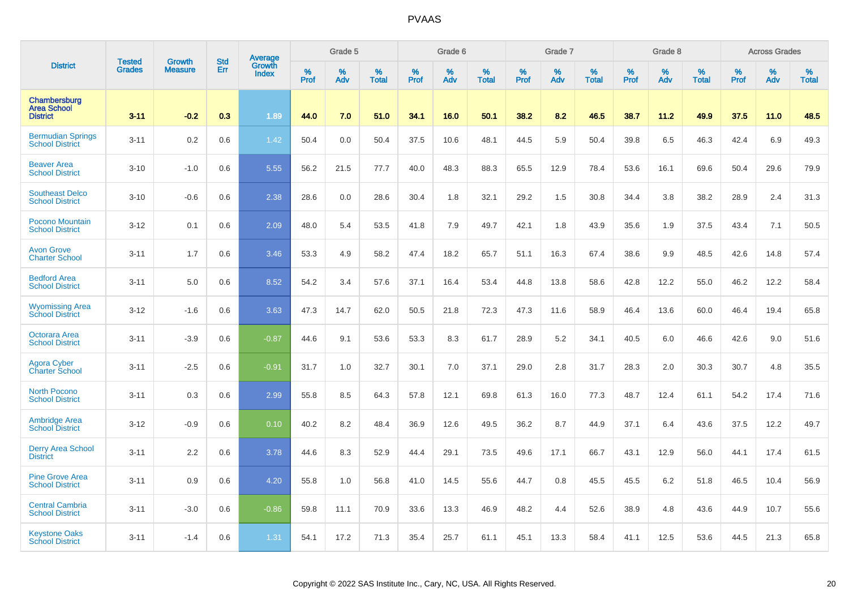|                                                       |                         | <b>Growth</b>  | <b>Std</b> | Average                |                     | Grade 5  |                      |              | Grade 6  |                      |                     | Grade 7     |                      |                     | Grade 8     |                   |                     | <b>Across Grades</b> |                   |
|-------------------------------------------------------|-------------------------|----------------|------------|------------------------|---------------------|----------|----------------------|--------------|----------|----------------------|---------------------|-------------|----------------------|---------------------|-------------|-------------------|---------------------|----------------------|-------------------|
| <b>District</b>                                       | <b>Tested</b><br>Grades | <b>Measure</b> | Err        | Growth<br><b>Index</b> | $\%$<br><b>Prof</b> | %<br>Adv | $\%$<br><b>Total</b> | $\%$<br>Prof | %<br>Adv | $\%$<br><b>Total</b> | $\%$<br><b>Prof</b> | $\%$<br>Adv | $\%$<br><b>Total</b> | $\%$<br><b>Prof</b> | $\%$<br>Adv | %<br><b>Total</b> | $\%$<br><b>Prof</b> | %<br>Adv             | %<br><b>Total</b> |
| Chambersburg<br><b>Area School</b><br><b>District</b> | $3 - 11$                | $-0.2$         | 0.3        | 1.89                   | 44.0                | 7.0      | 51.0                 | 34.1         | 16.0     | 50.1                 | 38.2                | 8.2         | 46.5                 | 38.7                | 11.2        | 49.9              | 37.5                | 11.0                 | 48.5              |
| <b>Bermudian Springs</b><br><b>School District</b>    | $3 - 11$                | 0.2            | 0.6        | 1.42                   | 50.4                | 0.0      | 50.4                 | 37.5         | 10.6     | 48.1                 | 44.5                | 5.9         | 50.4                 | 39.8                | 6.5         | 46.3              | 42.4                | 6.9                  | 49.3              |
| <b>Beaver Area</b><br><b>School District</b>          | $3 - 10$                | $-1.0$         | 0.6        | 5.55                   | 56.2                | 21.5     | 77.7                 | 40.0         | 48.3     | 88.3                 | 65.5                | 12.9        | 78.4                 | 53.6                | 16.1        | 69.6              | 50.4                | 29.6                 | 79.9              |
| <b>Southeast Delco</b><br><b>School District</b>      | $3 - 10$                | $-0.6$         | 0.6        | 2.38                   | 28.6                | 0.0      | 28.6                 | 30.4         | 1.8      | 32.1                 | 29.2                | 1.5         | 30.8                 | 34.4                | 3.8         | 38.2              | 28.9                | 2.4                  | 31.3              |
| <b>Pocono Mountain</b><br><b>School District</b>      | $3 - 12$                | 0.1            | 0.6        | 2.09                   | 48.0                | 5.4      | 53.5                 | 41.8         | 7.9      | 49.7                 | 42.1                | 1.8         | 43.9                 | 35.6                | 1.9         | 37.5              | 43.4                | 7.1                  | 50.5              |
| <b>Avon Grove</b><br><b>Charter School</b>            | $3 - 11$                | 1.7            | 0.6        | 3.46                   | 53.3                | 4.9      | 58.2                 | 47.4         | 18.2     | 65.7                 | 51.1                | 16.3        | 67.4                 | 38.6                | 9.9         | 48.5              | 42.6                | 14.8                 | 57.4              |
| <b>Bedford Area</b><br><b>School District</b>         | $3 - 11$                | 5.0            | 0.6        | 8.52                   | 54.2                | 3.4      | 57.6                 | 37.1         | 16.4     | 53.4                 | 44.8                | 13.8        | 58.6                 | 42.8                | 12.2        | 55.0              | 46.2                | 12.2                 | 58.4              |
| <b>Wyomissing Area</b><br><b>School District</b>      | $3 - 12$                | $-1.6$         | 0.6        | 3.63                   | 47.3                | 14.7     | 62.0                 | 50.5         | 21.8     | 72.3                 | 47.3                | 11.6        | 58.9                 | 46.4                | 13.6        | 60.0              | 46.4                | 19.4                 | 65.8              |
| <b>Octorara Area</b><br><b>School District</b>        | $3 - 11$                | $-3.9$         | 0.6        | $-0.87$                | 44.6                | 9.1      | 53.6                 | 53.3         | 8.3      | 61.7                 | 28.9                | 5.2         | 34.1                 | 40.5                | 6.0         | 46.6              | 42.6                | 9.0                  | 51.6              |
| <b>Agora Cyber</b><br>Charter School                  | $3 - 11$                | $-2.5$         | 0.6        | $-0.91$                | 31.7                | 1.0      | 32.7                 | 30.1         | 7.0      | 37.1                 | 29.0                | 2.8         | 31.7                 | 28.3                | 2.0         | 30.3              | 30.7                | 4.8                  | 35.5              |
| <b>North Pocono</b><br><b>School District</b>         | $3 - 11$                | 0.3            | 0.6        | 2.99                   | 55.8                | 8.5      | 64.3                 | 57.8         | 12.1     | 69.8                 | 61.3                | 16.0        | 77.3                 | 48.7                | 12.4        | 61.1              | 54.2                | 17.4                 | 71.6              |
| <b>Ambridge Area</b><br><b>School District</b>        | $3 - 12$                | $-0.9$         | 0.6        | 0.10                   | 40.2                | 8.2      | 48.4                 | 36.9         | 12.6     | 49.5                 | 36.2                | 8.7         | 44.9                 | 37.1                | 6.4         | 43.6              | 37.5                | 12.2                 | 49.7              |
| <b>Derry Area School</b><br><b>District</b>           | $3 - 11$                | 2.2            | 0.6        | 3.78                   | 44.6                | 8.3      | 52.9                 | 44.4         | 29.1     | 73.5                 | 49.6                | 17.1        | 66.7                 | 43.1                | 12.9        | 56.0              | 44.1                | 17.4                 | 61.5              |
| <b>Pine Grove Area</b><br><b>School District</b>      | $3 - 11$                | 0.9            | 0.6        | 4.20                   | 55.8                | 1.0      | 56.8                 | 41.0         | 14.5     | 55.6                 | 44.7                | 0.8         | 45.5                 | 45.5                | 6.2         | 51.8              | 46.5                | 10.4                 | 56.9              |
| <b>Central Cambria</b><br><b>School District</b>      | $3 - 11$                | $-3.0$         | 0.6        | $-0.86$                | 59.8                | 11.1     | 70.9                 | 33.6         | 13.3     | 46.9                 | 48.2                | 4.4         | 52.6                 | 38.9                | 4.8         | 43.6              | 44.9                | 10.7                 | 55.6              |
| <b>Keystone Oaks</b><br><b>School District</b>        | $3 - 11$                | $-1.4$         | 0.6        | 1.31                   | 54.1                | 17.2     | 71.3                 | 35.4         | 25.7     | 61.1                 | 45.1                | 13.3        | 58.4                 | 41.1                | 12.5        | 53.6              | 44.5                | 21.3                 | 65.8              |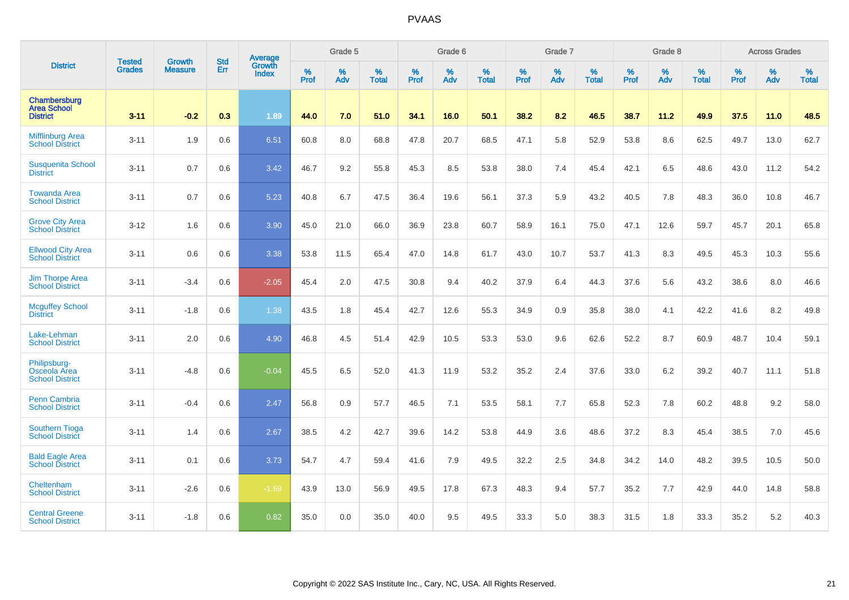|                                                        | <b>Tested</b> | <b>Growth</b>  | <b>Std</b> | <b>Average</b>         |                  | Grade 5  |                   |           | Grade 6  |                   |           | Grade 7  |                   |           | Grade 8  |                   |           | <b>Across Grades</b> |                   |
|--------------------------------------------------------|---------------|----------------|------------|------------------------|------------------|----------|-------------------|-----------|----------|-------------------|-----------|----------|-------------------|-----------|----------|-------------------|-----------|----------------------|-------------------|
| <b>District</b>                                        | <b>Grades</b> | <b>Measure</b> | <b>Err</b> | Growth<br><b>Index</b> | %<br><b>Prof</b> | %<br>Adv | %<br><b>Total</b> | %<br>Prof | %<br>Adv | %<br><b>Total</b> | %<br>Prof | %<br>Adv | %<br><b>Total</b> | %<br>Prof | %<br>Adv | %<br><b>Total</b> | %<br>Prof | %<br>Adv             | %<br><b>Total</b> |
| Chambersburg<br><b>Area School</b><br><b>District</b>  | $3 - 11$      | $-0.2$         | 0.3        | 1.89                   | 44.0             | 7.0      | 51.0              | 34.1      | 16.0     | 50.1              | 38.2      | 8.2      | 46.5              | 38.7      | 11.2     | 49.9              | 37.5      | 11.0                 | 48.5              |
| <b>Mifflinburg Area</b><br><b>School District</b>      | $3 - 11$      | 1.9            | 0.6        | 6.51                   | 60.8             | 8.0      | 68.8              | 47.8      | 20.7     | 68.5              | 47.1      | 5.8      | 52.9              | 53.8      | 8.6      | 62.5              | 49.7      | 13.0                 | 62.7              |
| <b>Susquenita School</b><br><b>District</b>            | $3 - 11$      | 0.7            | 0.6        | 3.42                   | 46.7             | 9.2      | 55.8              | 45.3      | 8.5      | 53.8              | 38.0      | 7.4      | 45.4              | 42.1      | 6.5      | 48.6              | 43.0      | 11.2                 | 54.2              |
| <b>Towanda Area</b><br><b>School District</b>          | $3 - 11$      | 0.7            | 0.6        | 5.23                   | 40.8             | 6.7      | 47.5              | 36.4      | 19.6     | 56.1              | 37.3      | 5.9      | 43.2              | 40.5      | 7.8      | 48.3              | 36.0      | 10.8                 | 46.7              |
| <b>Grove City Area</b><br><b>School District</b>       | $3 - 12$      | 1.6            | 0.6        | 3.90                   | 45.0             | 21.0     | 66.0              | 36.9      | 23.8     | 60.7              | 58.9      | 16.1     | 75.0              | 47.1      | 12.6     | 59.7              | 45.7      | 20.1                 | 65.8              |
| <b>Ellwood City Area</b><br><b>School District</b>     | $3 - 11$      | 0.6            | 0.6        | 3.38                   | 53.8             | 11.5     | 65.4              | 47.0      | 14.8     | 61.7              | 43.0      | 10.7     | 53.7              | 41.3      | 8.3      | 49.5              | 45.3      | 10.3                 | 55.6              |
| Jim Thorpe Area<br><b>School District</b>              | $3 - 11$      | $-3.4$         | 0.6        | $-2.05$                | 45.4             | 2.0      | 47.5              | 30.8      | 9.4      | 40.2              | 37.9      | 6.4      | 44.3              | 37.6      | 5.6      | 43.2              | 38.6      | 8.0                  | 46.6              |
| <b>Mcguffey School</b><br><b>District</b>              | $3 - 11$      | $-1.8$         | 0.6        | 1.38                   | 43.5             | 1.8      | 45.4              | 42.7      | 12.6     | 55.3              | 34.9      | 0.9      | 35.8              | 38.0      | 4.1      | 42.2              | 41.6      | 8.2                  | 49.8              |
| Lake-Lehman<br><b>School District</b>                  | $3 - 11$      | 2.0            | 0.6        | 4.90                   | 46.8             | 4.5      | 51.4              | 42.9      | 10.5     | 53.3              | 53.0      | 9.6      | 62.6              | 52.2      | 8.7      | 60.9              | 48.7      | 10.4                 | 59.1              |
| Philipsburg-<br>Osceola Area<br><b>School District</b> | $3 - 11$      | $-4.8$         | 0.6        | $-0.04$                | 45.5             | 6.5      | 52.0              | 41.3      | 11.9     | 53.2              | 35.2      | 2.4      | 37.6              | 33.0      | 6.2      | 39.2              | 40.7      | 11.1                 | 51.8              |
| Penn Cambria<br><b>School District</b>                 | $3 - 11$      | $-0.4$         | 0.6        | 2.47                   | 56.8             | 0.9      | 57.7              | 46.5      | 7.1      | 53.5              | 58.1      | 7.7      | 65.8              | 52.3      | 7.8      | 60.2              | 48.8      | 9.2                  | 58.0              |
| <b>Southern Tioga</b><br><b>School District</b>        | $3 - 11$      | 1.4            | 0.6        | 2.67                   | 38.5             | 4.2      | 42.7              | 39.6      | 14.2     | 53.8              | 44.9      | 3.6      | 48.6              | 37.2      | 8.3      | 45.4              | 38.5      | 7.0                  | 45.6              |
| <b>Bald Eagle Area</b><br><b>School District</b>       | $3 - 11$      | 0.1            | 0.6        | 3.73                   | 54.7             | 4.7      | 59.4              | 41.6      | 7.9      | 49.5              | 32.2      | 2.5      | 34.8              | 34.2      | 14.0     | 48.2              | 39.5      | 10.5                 | 50.0              |
| Cheltenham<br><b>School District</b>                   | $3 - 11$      | $-2.6$         | 0.6        | $-1.69$                | 43.9             | 13.0     | 56.9              | 49.5      | 17.8     | 67.3              | 48.3      | 9.4      | 57.7              | 35.2      | 7.7      | 42.9              | 44.0      | 14.8                 | 58.8              |
| <b>Central Greene</b><br><b>School District</b>        | $3 - 11$      | $-1.8$         | 0.6        | 0.82                   | 35.0             | 0.0      | 35.0              | 40.0      | 9.5      | 49.5              | 33.3      | 5.0      | 38.3              | 31.5      | 1.8      | 33.3              | 35.2      | 5.2                  | 40.3              |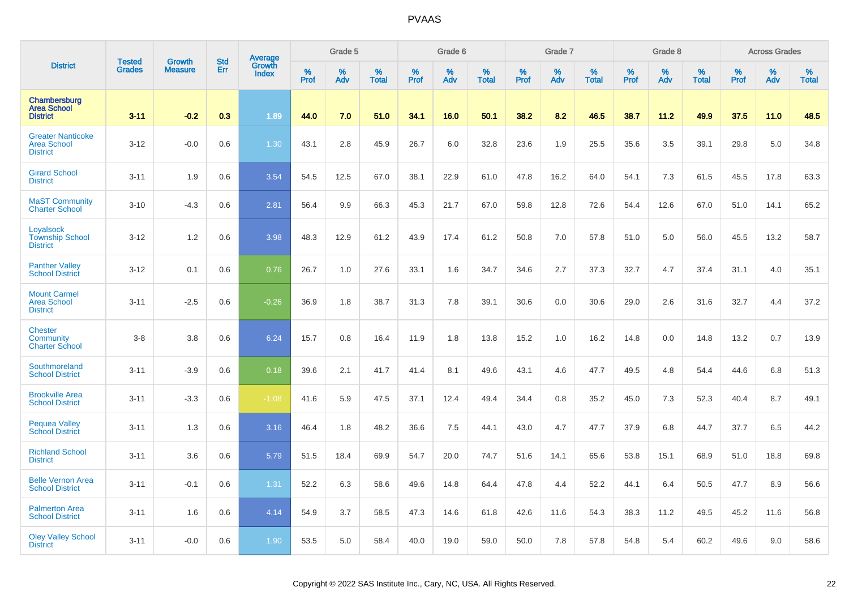|                                                                   |                                | <b>Growth</b>  | <b>Std</b> |                                          |              | Grade 5  |                   |           | Grade 6  |                   |           | Grade 7  |                   |           | Grade 8  |                   |           | <b>Across Grades</b> |                   |
|-------------------------------------------------------------------|--------------------------------|----------------|------------|------------------------------------------|--------------|----------|-------------------|-----------|----------|-------------------|-----------|----------|-------------------|-----------|----------|-------------------|-----------|----------------------|-------------------|
| <b>District</b>                                                   | <b>Tested</b><br><b>Grades</b> | <b>Measure</b> | Err        | <b>Average</b><br>Growth<br><b>Index</b> | $\%$<br>Prof | %<br>Adv | %<br><b>Total</b> | %<br>Prof | %<br>Adv | %<br><b>Total</b> | %<br>Prof | %<br>Adv | %<br><b>Total</b> | %<br>Prof | %<br>Adv | %<br><b>Total</b> | %<br>Prof | %<br>Adv             | %<br><b>Total</b> |
| Chambersburg<br><b>Area School</b><br><b>District</b>             | $3 - 11$                       | $-0.2$         | 0.3        | 1.89                                     | 44.0         | 7.0      | 51.0              | 34.1      | 16.0     | 50.1              | 38.2      | 8.2      | 46.5              | 38.7      | 11.2     | 49.9              | 37.5      | 11.0                 | 48.5              |
| <b>Greater Nanticoke</b><br><b>Area School</b><br><b>District</b> | $3 - 12$                       | $-0.0$         | 0.6        | 1.30                                     | 43.1         | 2.8      | 45.9              | 26.7      | 6.0      | 32.8              | 23.6      | 1.9      | 25.5              | 35.6      | 3.5      | 39.1              | 29.8      | 5.0                  | 34.8              |
| <b>Girard School</b><br><b>District</b>                           | $3 - 11$                       | 1.9            | 0.6        | 3.54                                     | 54.5         | 12.5     | 67.0              | 38.1      | 22.9     | 61.0              | 47.8      | 16.2     | 64.0              | 54.1      | 7.3      | 61.5              | 45.5      | 17.8                 | 63.3              |
| <b>MaST Community</b><br><b>Charter School</b>                    | $3 - 10$                       | $-4.3$         | 0.6        | 2.81                                     | 56.4         | 9.9      | 66.3              | 45.3      | 21.7     | 67.0              | 59.8      | 12.8     | 72.6              | 54.4      | 12.6     | 67.0              | 51.0      | 14.1                 | 65.2              |
| Loyalsock<br><b>Township School</b><br><b>District</b>            | $3 - 12$                       | 1.2            | 0.6        | 3.98                                     | 48.3         | 12.9     | 61.2              | 43.9      | 17.4     | 61.2              | 50.8      | 7.0      | 57.8              | 51.0      | 5.0      | 56.0              | 45.5      | 13.2                 | 58.7              |
| <b>Panther Valley</b><br><b>School District</b>                   | $3 - 12$                       | 0.1            | 0.6        | 0.76                                     | 26.7         | 1.0      | 27.6              | 33.1      | 1.6      | 34.7              | 34.6      | 2.7      | 37.3              | 32.7      | 4.7      | 37.4              | 31.1      | 4.0                  | 35.1              |
| <b>Mount Carmel</b><br><b>Area School</b><br><b>District</b>      | $3 - 11$                       | $-2.5$         | 0.6        | $-0.26$                                  | 36.9         | 1.8      | 38.7              | 31.3      | 7.8      | 39.1              | 30.6      | 0.0      | 30.6              | 29.0      | 2.6      | 31.6              | 32.7      | 4.4                  | 37.2              |
| <b>Chester</b><br>Community<br><b>Charter School</b>              | $3-8$                          | 3.8            | 0.6        | 6.24                                     | 15.7         | 0.8      | 16.4              | 11.9      | 1.8      | 13.8              | 15.2      | 1.0      | 16.2              | 14.8      | 0.0      | 14.8              | 13.2      | 0.7                  | 13.9              |
| Southmoreland<br><b>School District</b>                           | $3 - 11$                       | $-3.9$         | 0.6        | 0.18                                     | 39.6         | 2.1      | 41.7              | 41.4      | 8.1      | 49.6              | 43.1      | 4.6      | 47.7              | 49.5      | 4.8      | 54.4              | 44.6      | 6.8                  | 51.3              |
| <b>Brookville Area</b><br><b>School District</b>                  | $3 - 11$                       | $-3.3$         | 0.6        | $-1.08$                                  | 41.6         | 5.9      | 47.5              | 37.1      | 12.4     | 49.4              | 34.4      | 0.8      | 35.2              | 45.0      | 7.3      | 52.3              | 40.4      | 8.7                  | 49.1              |
| <b>Pequea Valley</b><br><b>School District</b>                    | $3 - 11$                       | 1.3            | 0.6        | 3.16                                     | 46.4         | 1.8      | 48.2              | 36.6      | 7.5      | 44.1              | 43.0      | 4.7      | 47.7              | 37.9      | 6.8      | 44.7              | 37.7      | 6.5                  | 44.2              |
| <b>Richland School</b><br><b>District</b>                         | $3 - 11$                       | 3.6            | 0.6        | 5.79                                     | 51.5         | 18.4     | 69.9              | 54.7      | 20.0     | 74.7              | 51.6      | 14.1     | 65.6              | 53.8      | 15.1     | 68.9              | 51.0      | 18.8                 | 69.8              |
| <b>Belle Vernon Area</b><br><b>School District</b>                | $3 - 11$                       | $-0.1$         | 0.6        | 1.31                                     | 52.2         | 6.3      | 58.6              | 49.6      | 14.8     | 64.4              | 47.8      | 4.4      | 52.2              | 44.1      | 6.4      | 50.5              | 47.7      | 8.9                  | 56.6              |
| <b>Palmerton Area</b><br><b>School District</b>                   | $3 - 11$                       | 1.6            | 0.6        | 4.14                                     | 54.9         | 3.7      | 58.5              | 47.3      | 14.6     | 61.8              | 42.6      | 11.6     | 54.3              | 38.3      | 11.2     | 49.5              | 45.2      | 11.6                 | 56.8              |
| <b>Oley Valley School</b><br><b>District</b>                      | $3 - 11$                       | $-0.0$         | 0.6        | 1.90                                     | 53.5         | 5.0      | 58.4              | 40.0      | 19.0     | 59.0              | 50.0      | 7.8      | 57.8              | 54.8      | 5.4      | 60.2              | 49.6      | 9.0                  | 58.6              |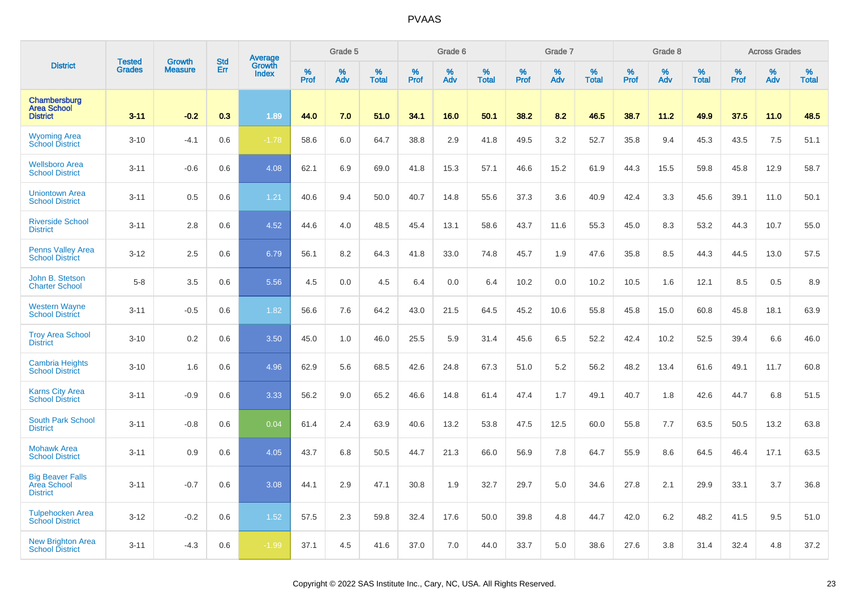|                                                           | <b>Tested</b> | <b>Growth</b>  | <b>Std</b> |                                   |                     | Grade 5  |                   |              | Grade 6  |                   |              | Grade 7  |                   |              | Grade 8  |                   |                  | <b>Across Grades</b> |                   |
|-----------------------------------------------------------|---------------|----------------|------------|-----------------------------------|---------------------|----------|-------------------|--------------|----------|-------------------|--------------|----------|-------------------|--------------|----------|-------------------|------------------|----------------------|-------------------|
| <b>District</b>                                           | <b>Grades</b> | <b>Measure</b> | Err        | Average<br>Growth<br><b>Index</b> | $\%$<br><b>Prof</b> | %<br>Adv | %<br><b>Total</b> | $\%$<br>Prof | %<br>Adv | %<br><b>Total</b> | $\%$<br>Prof | %<br>Adv | %<br><b>Total</b> | $\%$<br>Prof | %<br>Adv | %<br><b>Total</b> | %<br><b>Prof</b> | %<br>Adv             | %<br><b>Total</b> |
| Chambersburg<br><b>Area School</b><br><b>District</b>     | $3 - 11$      | $-0.2$         | 0.3        | 1.89                              | 44.0                | 7.0      | 51.0              | 34.1         | 16.0     | 50.1              | 38.2         | 8.2      | 46.5              | 38.7         | 11.2     | 49.9              | 37.5             | 11.0                 | 48.5              |
| <b>Wyoming Area</b><br><b>School District</b>             | $3 - 10$      | $-4.1$         | 0.6        | $-1.78$                           | 58.6                | 6.0      | 64.7              | 38.8         | 2.9      | 41.8              | 49.5         | 3.2      | 52.7              | 35.8         | 9.4      | 45.3              | 43.5             | 7.5                  | 51.1              |
| <b>Wellsboro Area</b><br><b>School District</b>           | $3 - 11$      | $-0.6$         | 0.6        | 4.08                              | 62.1                | 6.9      | 69.0              | 41.8         | 15.3     | 57.1              | 46.6         | 15.2     | 61.9              | 44.3         | 15.5     | 59.8              | 45.8             | 12.9                 | 58.7              |
| <b>Uniontown Area</b><br><b>School District</b>           | $3 - 11$      | 0.5            | 0.6        | 1.21                              | 40.6                | 9.4      | 50.0              | 40.7         | 14.8     | 55.6              | 37.3         | 3.6      | 40.9              | 42.4         | 3.3      | 45.6              | 39.1             | 11.0                 | 50.1              |
| <b>Riverside School</b><br><b>District</b>                | $3 - 11$      | 2.8            | 0.6        | 4.52                              | 44.6                | 4.0      | 48.5              | 45.4         | 13.1     | 58.6              | 43.7         | 11.6     | 55.3              | 45.0         | 8.3      | 53.2              | 44.3             | 10.7                 | 55.0              |
| Penns Valley Area<br><b>School District</b>               | $3-12$        | 2.5            | 0.6        | 6.79                              | 56.1                | 8.2      | 64.3              | 41.8         | 33.0     | 74.8              | 45.7         | 1.9      | 47.6              | 35.8         | 8.5      | 44.3              | 44.5             | 13.0                 | 57.5              |
| John B. Stetson<br><b>Charter School</b>                  | $5 - 8$       | 3.5            | 0.6        | 5.56                              | 4.5                 | 0.0      | 4.5               | 6.4          | 0.0      | 6.4               | 10.2         | 0.0      | 10.2              | 10.5         | 1.6      | 12.1              | 8.5              | 0.5                  | 8.9               |
| <b>Western Wayne</b><br><b>School District</b>            | $3 - 11$      | $-0.5$         | 0.6        | 1.82                              | 56.6                | 7.6      | 64.2              | 43.0         | 21.5     | 64.5              | 45.2         | 10.6     | 55.8              | 45.8         | 15.0     | 60.8              | 45.8             | 18.1                 | 63.9              |
| <b>Troy Area School</b><br><b>District</b>                | $3 - 10$      | 0.2            | 0.6        | 3.50                              | 45.0                | 1.0      | 46.0              | 25.5         | 5.9      | 31.4              | 45.6         | 6.5      | 52.2              | 42.4         | 10.2     | 52.5              | 39.4             | 6.6                  | 46.0              |
| <b>Cambria Heights</b><br><b>School District</b>          | $3 - 10$      | 1.6            | 0.6        | 4.96                              | 62.9                | 5.6      | 68.5              | 42.6         | 24.8     | 67.3              | 51.0         | 5.2      | 56.2              | 48.2         | 13.4     | 61.6              | 49.1             | 11.7                 | 60.8              |
| <b>Karns City Area</b><br><b>School District</b>          | $3 - 11$      | $-0.9$         | 0.6        | 3.33                              | 56.2                | 9.0      | 65.2              | 46.6         | 14.8     | 61.4              | 47.4         | 1.7      | 49.1              | 40.7         | 1.8      | 42.6              | 44.7             | 6.8                  | 51.5              |
| <b>South Park School</b><br><b>District</b>               | $3 - 11$      | $-0.8$         | 0.6        | 0.04                              | 61.4                | 2.4      | 63.9              | 40.6         | 13.2     | 53.8              | 47.5         | 12.5     | 60.0              | 55.8         | 7.7      | 63.5              | 50.5             | 13.2                 | 63.8              |
| <b>Mohawk Area</b><br><b>School District</b>              | $3 - 11$      | 0.9            | 0.6        | 4.05                              | 43.7                | 6.8      | 50.5              | 44.7         | 21.3     | 66.0              | 56.9         | 7.8      | 64.7              | 55.9         | 8.6      | 64.5              | 46.4             | 17.1                 | 63.5              |
| <b>Big Beaver Falls</b><br>Area School<br><b>District</b> | $3 - 11$      | $-0.7$         | 0.6        | 3.08                              | 44.1                | 2.9      | 47.1              | 30.8         | 1.9      | 32.7              | 29.7         | 5.0      | 34.6              | 27.8         | 2.1      | 29.9              | 33.1             | 3.7                  | 36.8              |
| <b>Tulpehocken Area</b><br><b>School District</b>         | $3 - 12$      | $-0.2$         | 0.6        | 1.52                              | 57.5                | 2.3      | 59.8              | 32.4         | 17.6     | 50.0              | 39.8         | 4.8      | 44.7              | 42.0         | 6.2      | 48.2              | 41.5             | 9.5                  | 51.0              |
| <b>New Brighton Area</b><br><b>School District</b>        | $3 - 11$      | $-4.3$         | 0.6        | $-1.99$                           | 37.1                | 4.5      | 41.6              | 37.0         | 7.0      | 44.0              | 33.7         | 5.0      | 38.6              | 27.6         | 3.8      | 31.4              | 32.4             | 4.8                  | 37.2              |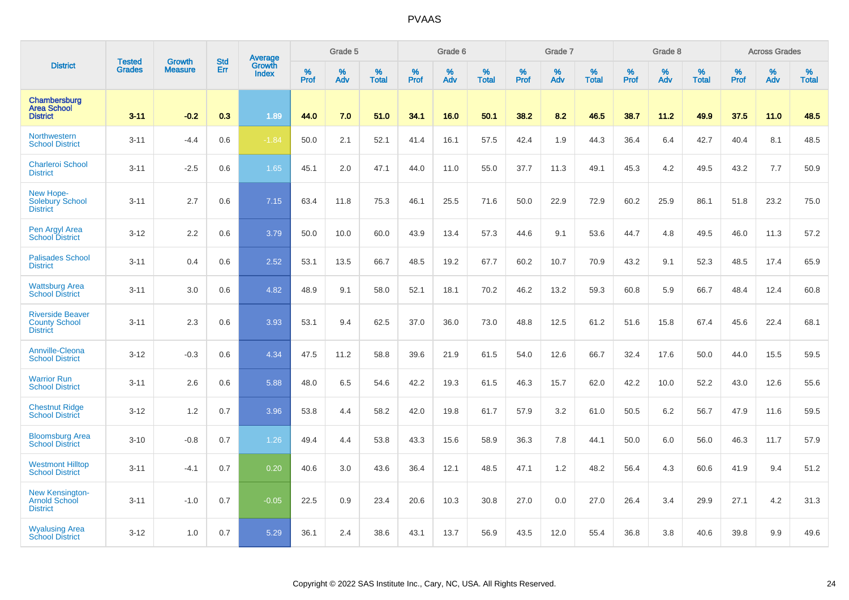|                                                                    |                                | <b>Growth</b>  | <b>Std</b> | Average         |           | Grade 5  |                   |           | Grade 6  |                   |              | Grade 7  |                   |           | Grade 8  |                   |              | <b>Across Grades</b> |                   |
|--------------------------------------------------------------------|--------------------------------|----------------|------------|-----------------|-----------|----------|-------------------|-----------|----------|-------------------|--------------|----------|-------------------|-----------|----------|-------------------|--------------|----------------------|-------------------|
| <b>District</b>                                                    | <b>Tested</b><br><b>Grades</b> | <b>Measure</b> | Err        | Growth<br>Index | %<br>Prof | %<br>Adv | %<br><b>Total</b> | %<br>Prof | %<br>Adv | %<br><b>Total</b> | $\%$<br>Prof | %<br>Adv | %<br><b>Total</b> | %<br>Prof | %<br>Adv | %<br><b>Total</b> | $\%$<br>Prof | %<br>Adv             | %<br><b>Total</b> |
| Chambersburg<br><b>Area School</b><br><b>District</b>              | $3 - 11$                       | $-0.2$         | 0.3        | 1.89            | 44.0      | 7.0      | 51.0              | 34.1      | 16.0     | 50.1              | 38.2         | 8.2      | 46.5              | 38.7      | 11.2     | 49.9              | 37.5         | 11.0                 | 48.5              |
| Northwestern<br><b>School District</b>                             | $3 - 11$                       | $-4.4$         | 0.6        | $-1.84$         | 50.0      | 2.1      | 52.1              | 41.4      | 16.1     | 57.5              | 42.4         | 1.9      | 44.3              | 36.4      | 6.4      | 42.7              | 40.4         | 8.1                  | 48.5              |
| <b>Charleroi School</b><br><b>District</b>                         | $3 - 11$                       | $-2.5$         | 0.6        | 1.65            | 45.1      | 2.0      | 47.1              | 44.0      | 11.0     | 55.0              | 37.7         | 11.3     | 49.1              | 45.3      | 4.2      | 49.5              | 43.2         | 7.7                  | 50.9              |
| New Hope-<br><b>Solebury School</b><br><b>District</b>             | $3 - 11$                       | 2.7            | 0.6        | 7.15            | 63.4      | 11.8     | 75.3              | 46.1      | 25.5     | 71.6              | 50.0         | 22.9     | 72.9              | 60.2      | 25.9     | 86.1              | 51.8         | 23.2                 | 75.0              |
| Pen Argyl Area<br><b>School District</b>                           | $3 - 12$                       | 2.2            | 0.6        | 3.79            | 50.0      | 10.0     | 60.0              | 43.9      | 13.4     | 57.3              | 44.6         | 9.1      | 53.6              | 44.7      | 4.8      | 49.5              | 46.0         | 11.3                 | 57.2              |
| <b>Palisades School</b><br><b>District</b>                         | $3 - 11$                       | 0.4            | 0.6        | 2.52            | 53.1      | 13.5     | 66.7              | 48.5      | 19.2     | 67.7              | 60.2         | 10.7     | 70.9              | 43.2      | 9.1      | 52.3              | 48.5         | 17.4                 | 65.9              |
| <b>Wattsburg Area</b><br><b>School District</b>                    | $3 - 11$                       | 3.0            | 0.6        | 4.82            | 48.9      | 9.1      | 58.0              | 52.1      | 18.1     | 70.2              | 46.2         | 13.2     | 59.3              | 60.8      | 5.9      | 66.7              | 48.4         | 12.4                 | 60.8              |
| <b>Riverside Beaver</b><br><b>County School</b><br><b>District</b> | $3 - 11$                       | 2.3            | 0.6        | 3.93            | 53.1      | 9.4      | 62.5              | 37.0      | 36.0     | 73.0              | 48.8         | 12.5     | 61.2              | 51.6      | 15.8     | 67.4              | 45.6         | 22.4                 | 68.1              |
| Annville-Cleona<br><b>School District</b>                          | $3 - 12$                       | $-0.3$         | 0.6        | 4.34            | 47.5      | 11.2     | 58.8              | 39.6      | 21.9     | 61.5              | 54.0         | 12.6     | 66.7              | 32.4      | 17.6     | 50.0              | 44.0         | 15.5                 | 59.5              |
| <b>Warrior Run</b><br><b>School District</b>                       | $3 - 11$                       | 2.6            | 0.6        | 5.88            | 48.0      | 6.5      | 54.6              | 42.2      | 19.3     | 61.5              | 46.3         | 15.7     | 62.0              | 42.2      | 10.0     | 52.2              | 43.0         | 12.6                 | 55.6              |
| <b>Chestnut Ridge</b><br><b>School District</b>                    | $3 - 12$                       | 1.2            | 0.7        | 3.96            | 53.8      | 4.4      | 58.2              | 42.0      | 19.8     | 61.7              | 57.9         | 3.2      | 61.0              | 50.5      | 6.2      | 56.7              | 47.9         | 11.6                 | 59.5              |
| <b>Bloomsburg Area</b><br><b>School District</b>                   | $3 - 10$                       | $-0.8$         | 0.7        | 1.26            | 49.4      | 4.4      | 53.8              | 43.3      | 15.6     | 58.9              | 36.3         | 7.8      | 44.1              | 50.0      | 6.0      | 56.0              | 46.3         | 11.7                 | 57.9              |
| <b>Westmont Hilltop</b><br><b>School District</b>                  | $3 - 11$                       | $-4.1$         | 0.7        | 0.20            | 40.6      | 3.0      | 43.6              | 36.4      | 12.1     | 48.5              | 47.1         | 1.2      | 48.2              | 56.4      | 4.3      | 60.6              | 41.9         | 9.4                  | 51.2              |
| New Kensington-<br>Arnold School<br><b>District</b>                | $3 - 11$                       | $-1.0$         | 0.7        | $-0.05$         | 22.5      | 0.9      | 23.4              | 20.6      | 10.3     | 30.8              | 27.0         | 0.0      | 27.0              | 26.4      | 3.4      | 29.9              | 27.1         | 4.2                  | 31.3              |
| <b>Wyalusing Area</b><br><b>School District</b>                    | $3 - 12$                       | 1.0            | 0.7        | 5.29            | 36.1      | 2.4      | 38.6              | 43.1      | 13.7     | 56.9              | 43.5         | 12.0     | 55.4              | 36.8      | 3.8      | 40.6              | 39.8         | 9.9                  | 49.6              |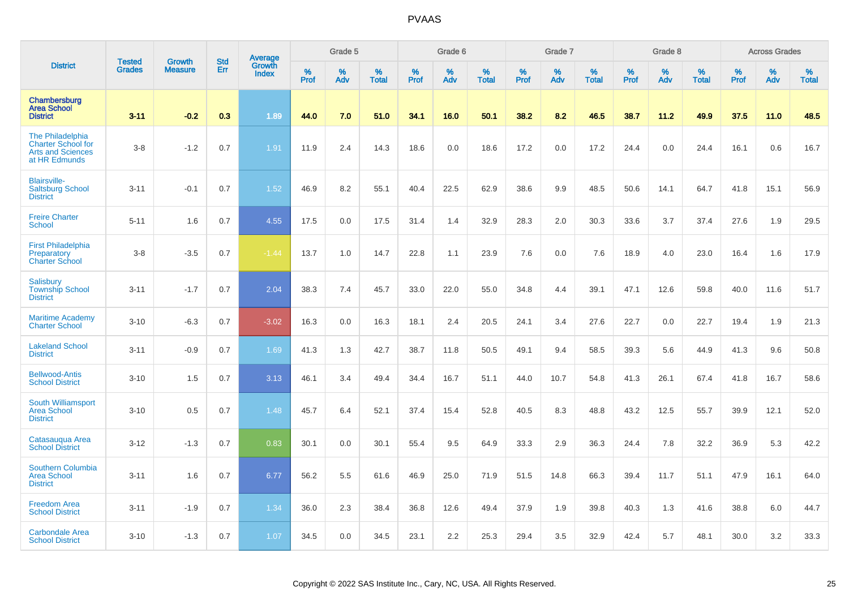|                                                                                            | <b>Tested</b> | <b>Growth</b>  | <b>Std</b> | Average                |           | Grade 5  |                   |           | Grade 6  |                   |           | Grade 7  |                   |           | Grade 8  |                   |           | <b>Across Grades</b> |                   |
|--------------------------------------------------------------------------------------------|---------------|----------------|------------|------------------------|-----------|----------|-------------------|-----------|----------|-------------------|-----------|----------|-------------------|-----------|----------|-------------------|-----------|----------------------|-------------------|
| <b>District</b>                                                                            | <b>Grades</b> | <b>Measure</b> | Err        | Growth<br><b>Index</b> | %<br>Prof | %<br>Adv | %<br><b>Total</b> | %<br>Prof | %<br>Adv | %<br><b>Total</b> | %<br>Prof | %<br>Adv | %<br><b>Total</b> | %<br>Prof | %<br>Adv | %<br><b>Total</b> | %<br>Prof | %<br>Adv             | %<br><b>Total</b> |
| Chambersburg<br><b>Area School</b><br><b>District</b>                                      | $3 - 11$      | $-0.2$         | 0.3        | 1.89                   | 44.0      | 7.0      | 51.0              | 34.1      | 16.0     | 50.1              | 38.2      | 8.2      | 46.5              | 38.7      | 11.2     | 49.9              | 37.5      | 11.0                 | 48.5              |
| The Philadelphia<br><b>Charter School for</b><br><b>Arts and Sciences</b><br>at HR Edmunds | $3-8$         | $-1.2$         | 0.7        | 1.91                   | 11.9      | 2.4      | 14.3              | 18.6      | 0.0      | 18.6              | 17.2      | 0.0      | 17.2              | 24.4      | 0.0      | 24.4              | 16.1      | 0.6                  | 16.7              |
| <b>Blairsville-</b><br><b>Saltsburg School</b><br><b>District</b>                          | $3 - 11$      | $-0.1$         | 0.7        | 1.52                   | 46.9      | 8.2      | 55.1              | 40.4      | 22.5     | 62.9              | 38.6      | 9.9      | 48.5              | 50.6      | 14.1     | 64.7              | 41.8      | 15.1                 | 56.9              |
| <b>Freire Charter</b><br><b>School</b>                                                     | $5 - 11$      | 1.6            | 0.7        | 4.55                   | 17.5      | 0.0      | 17.5              | 31.4      | 1.4      | 32.9              | 28.3      | 2.0      | 30.3              | 33.6      | 3.7      | 37.4              | 27.6      | 1.9                  | 29.5              |
| <b>First Philadelphia</b><br>Preparatory<br><b>Charter School</b>                          | $3 - 8$       | $-3.5$         | 0.7        | $-1.44$                | 13.7      | 1.0      | 14.7              | 22.8      | 1.1      | 23.9              | 7.6       | 0.0      | 7.6               | 18.9      | 4.0      | 23.0              | 16.4      | 1.6                  | 17.9              |
| Salisbury<br><b>Township School</b><br><b>District</b>                                     | $3 - 11$      | $-1.7$         | 0.7        | 2.04                   | 38.3      | 7.4      | 45.7              | 33.0      | 22.0     | 55.0              | 34.8      | 4.4      | 39.1              | 47.1      | 12.6     | 59.8              | 40.0      | 11.6                 | 51.7              |
| <b>Maritime Academy</b><br><b>Charter School</b>                                           | $3 - 10$      | $-6.3$         | 0.7        | $-3.02$                | 16.3      | 0.0      | 16.3              | 18.1      | 2.4      | 20.5              | 24.1      | 3.4      | 27.6              | 22.7      | 0.0      | 22.7              | 19.4      | 1.9                  | 21.3              |
| <b>Lakeland School</b><br><b>District</b>                                                  | $3 - 11$      | $-0.9$         | 0.7        | 1.69                   | 41.3      | 1.3      | 42.7              | 38.7      | 11.8     | 50.5              | 49.1      | 9.4      | 58.5              | 39.3      | 5.6      | 44.9              | 41.3      | 9.6                  | 50.8              |
| <b>Bellwood-Antis</b><br><b>School District</b>                                            | $3 - 10$      | 1.5            | 0.7        | 3.13                   | 46.1      | 3.4      | 49.4              | 34.4      | 16.7     | 51.1              | 44.0      | 10.7     | 54.8              | 41.3      | 26.1     | 67.4              | 41.8      | 16.7                 | 58.6              |
| <b>South Williamsport</b><br><b>Area School</b><br><b>District</b>                         | $3 - 10$      | 0.5            | 0.7        | 1.48                   | 45.7      | 6.4      | 52.1              | 37.4      | 15.4     | 52.8              | 40.5      | 8.3      | 48.8              | 43.2      | 12.5     | 55.7              | 39.9      | 12.1                 | 52.0              |
| Catasauqua Area<br><b>School District</b>                                                  | $3 - 12$      | $-1.3$         | 0.7        | 0.83                   | 30.1      | 0.0      | 30.1              | 55.4      | 9.5      | 64.9              | 33.3      | 2.9      | 36.3              | 24.4      | 7.8      | 32.2              | 36.9      | 5.3                  | 42.2              |
| <b>Southern Columbia</b><br><b>Area School</b><br><b>District</b>                          | $3 - 11$      | 1.6            | 0.7        | 6.77                   | 56.2      | 5.5      | 61.6              | 46.9      | 25.0     | 71.9              | 51.5      | 14.8     | 66.3              | 39.4      | 11.7     | 51.1              | 47.9      | 16.1                 | 64.0              |
| <b>Freedom Area</b><br><b>School District</b>                                              | $3 - 11$      | $-1.9$         | 0.7        | 1.34                   | 36.0      | 2.3      | 38.4              | 36.8      | 12.6     | 49.4              | 37.9      | 1.9      | 39.8              | 40.3      | 1.3      | 41.6              | 38.8      | 6.0                  | 44.7              |
| <b>Carbondale Area</b><br><b>School District</b>                                           | $3 - 10$      | $-1.3$         | 0.7        | 1.07                   | 34.5      | 0.0      | 34.5              | 23.1      | 2.2      | 25.3              | 29.4      | 3.5      | 32.9              | 42.4      | 5.7      | 48.1              | 30.0      | 3.2                  | 33.3              |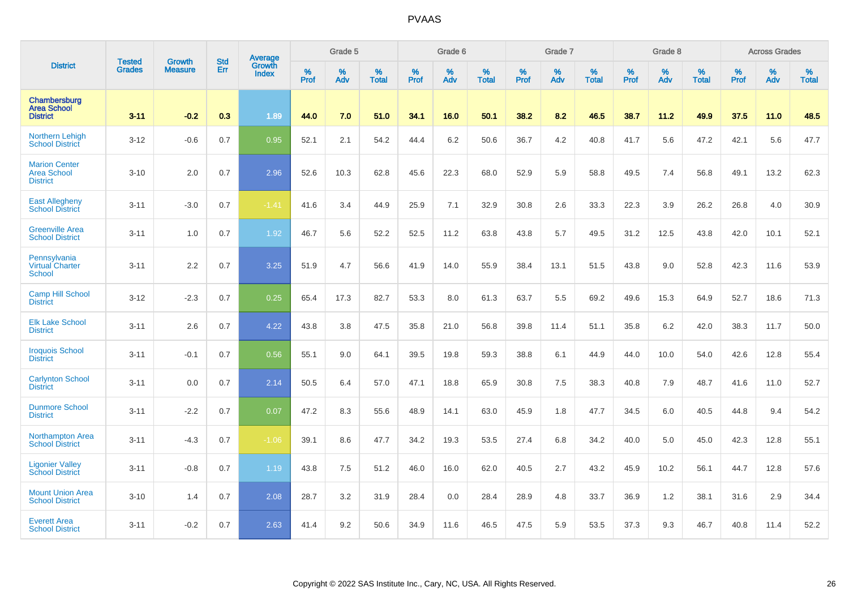|                                                               |                                | <b>Growth</b>  | <b>Std</b> | Average                       |              | Grade 5  |                   |           | Grade 6  |                   |           | Grade 7  |                   |           | Grade 8  |                   |           | <b>Across Grades</b> |                   |
|---------------------------------------------------------------|--------------------------------|----------------|------------|-------------------------------|--------------|----------|-------------------|-----------|----------|-------------------|-----------|----------|-------------------|-----------|----------|-------------------|-----------|----------------------|-------------------|
| <b>District</b>                                               | <b>Tested</b><br><b>Grades</b> | <b>Measure</b> | Err        | <b>Growth</b><br><b>Index</b> | $\%$<br>Prof | %<br>Adv | %<br><b>Total</b> | %<br>Prof | %<br>Adv | %<br><b>Total</b> | %<br>Prof | %<br>Adv | %<br><b>Total</b> | %<br>Prof | %<br>Adv | %<br><b>Total</b> | %<br>Prof | %<br>Adv             | %<br><b>Total</b> |
| Chambersburg<br><b>Area School</b><br><b>District</b>         | $3 - 11$                       | $-0.2$         | 0.3        | 1.89                          | 44.0         | 7.0      | 51.0              | 34.1      | 16.0     | 50.1              | 38.2      | 8.2      | 46.5              | 38.7      | 11.2     | 49.9              | 37.5      | 11.0                 | 48.5              |
| <b>Northern Lehigh</b><br><b>School District</b>              | $3 - 12$                       | $-0.6$         | 0.7        | 0.95                          | 52.1         | 2.1      | 54.2              | 44.4      | 6.2      | 50.6              | 36.7      | 4.2      | 40.8              | 41.7      | 5.6      | 47.2              | 42.1      | 5.6                  | 47.7              |
| <b>Marion Center</b><br><b>Area School</b><br><b>District</b> | $3 - 10$                       | 2.0            | 0.7        | 2.96                          | 52.6         | 10.3     | 62.8              | 45.6      | 22.3     | 68.0              | 52.9      | 5.9      | 58.8              | 49.5      | 7.4      | 56.8              | 49.1      | 13.2                 | 62.3              |
| <b>East Allegheny</b><br><b>School District</b>               | $3 - 11$                       | $-3.0$         | 0.7        | $-1.41$                       | 41.6         | 3.4      | 44.9              | 25.9      | 7.1      | 32.9              | 30.8      | 2.6      | 33.3              | 22.3      | 3.9      | 26.2              | 26.8      | 4.0                  | 30.9              |
| <b>Greenville Area</b><br><b>School District</b>              | $3 - 11$                       | 1.0            | 0.7        | 1.92                          | 46.7         | 5.6      | 52.2              | 52.5      | 11.2     | 63.8              | 43.8      | 5.7      | 49.5              | 31.2      | 12.5     | 43.8              | 42.0      | 10.1                 | 52.1              |
| Pennsylvania<br><b>Virtual Charter</b><br><b>School</b>       | $3 - 11$                       | 2.2            | 0.7        | 3.25                          | 51.9         | 4.7      | 56.6              | 41.9      | 14.0     | 55.9              | 38.4      | 13.1     | 51.5              | 43.8      | 9.0      | 52.8              | 42.3      | 11.6                 | 53.9              |
| <b>Camp Hill School</b><br><b>District</b>                    | $3 - 12$                       | $-2.3$         | 0.7        | 0.25                          | 65.4         | 17.3     | 82.7              | 53.3      | 8.0      | 61.3              | 63.7      | 5.5      | 69.2              | 49.6      | 15.3     | 64.9              | 52.7      | 18.6                 | 71.3              |
| <b>Elk Lake School</b><br><b>District</b>                     | $3 - 11$                       | 2.6            | 0.7        | 4.22                          | 43.8         | 3.8      | 47.5              | 35.8      | 21.0     | 56.8              | 39.8      | 11.4     | 51.1              | 35.8      | 6.2      | 42.0              | 38.3      | 11.7                 | 50.0              |
| <b>Iroquois School</b><br><b>District</b>                     | $3 - 11$                       | $-0.1$         | 0.7        | 0.56                          | 55.1         | 9.0      | 64.1              | 39.5      | 19.8     | 59.3              | 38.8      | 6.1      | 44.9              | 44.0      | 10.0     | 54.0              | 42.6      | 12.8                 | 55.4              |
| <b>Carlynton School</b><br><b>District</b>                    | $3 - 11$                       | 0.0            | 0.7        | 2.14                          | 50.5         | 6.4      | 57.0              | 47.1      | 18.8     | 65.9              | 30.8      | 7.5      | 38.3              | 40.8      | 7.9      | 48.7              | 41.6      | 11.0                 | 52.7              |
| <b>Dunmore School</b><br><b>District</b>                      | $3 - 11$                       | $-2.2$         | 0.7        | 0.07                          | 47.2         | 8.3      | 55.6              | 48.9      | 14.1     | 63.0              | 45.9      | 1.8      | 47.7              | 34.5      | 6.0      | 40.5              | 44.8      | 9.4                  | 54.2              |
| <b>Northampton Area</b><br><b>School District</b>             | $3 - 11$                       | $-4.3$         | 0.7        | $-1.06$                       | 39.1         | 8.6      | 47.7              | 34.2      | 19.3     | 53.5              | 27.4      | 6.8      | 34.2              | 40.0      | 5.0      | 45.0              | 42.3      | 12.8                 | 55.1              |
| <b>Ligonier Valley</b><br><b>School District</b>              | $3 - 11$                       | $-0.8$         | 0.7        | 1.19                          | 43.8         | 7.5      | 51.2              | 46.0      | 16.0     | 62.0              | 40.5      | 2.7      | 43.2              | 45.9      | 10.2     | 56.1              | 44.7      | 12.8                 | 57.6              |
| <b>Mount Union Area</b><br><b>School District</b>             | $3 - 10$                       | 1.4            | 0.7        | 2.08                          | 28.7         | 3.2      | 31.9              | 28.4      | 0.0      | 28.4              | 28.9      | 4.8      | 33.7              | 36.9      | 1.2      | 38.1              | 31.6      | 2.9                  | 34.4              |
| <b>Everett Area</b><br><b>School District</b>                 | $3 - 11$                       | $-0.2$         | 0.7        | 2.63                          | 41.4         | 9.2      | 50.6              | 34.9      | 11.6     | 46.5              | 47.5      | 5.9      | 53.5              | 37.3      | 9.3      | 46.7              | 40.8      | 11.4                 | 52.2              |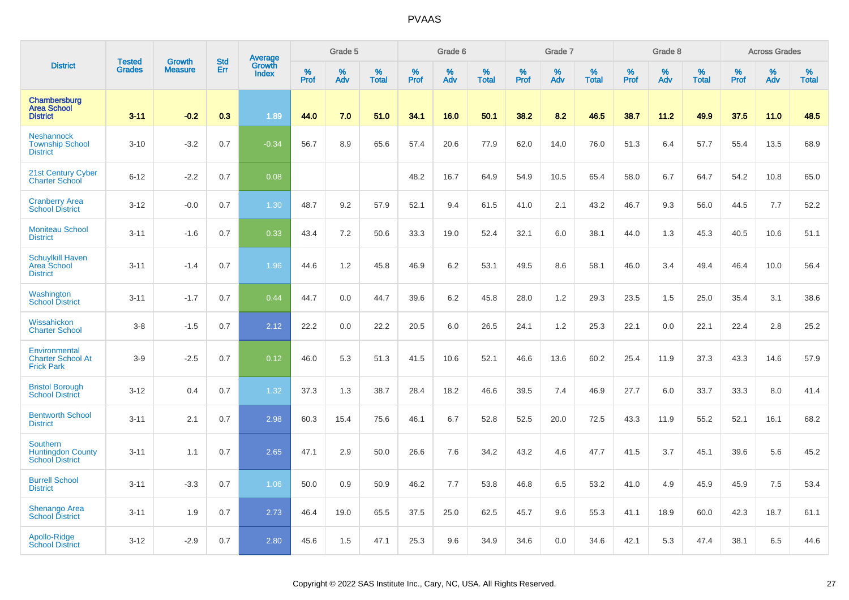|                                                                       | <b>Tested</b> | <b>Growth</b>  | <b>Std</b> | Average                |              | Grade 5  |                   |           | Grade 6  |                   |           | Grade 7  |                   |           | Grade 8  |                   |           | <b>Across Grades</b> |                   |
|-----------------------------------------------------------------------|---------------|----------------|------------|------------------------|--------------|----------|-------------------|-----------|----------|-------------------|-----------|----------|-------------------|-----------|----------|-------------------|-----------|----------------------|-------------------|
| <b>District</b>                                                       | <b>Grades</b> | <b>Measure</b> | Err        | Growth<br><b>Index</b> | $\%$<br>Prof | %<br>Adv | %<br><b>Total</b> | %<br>Prof | %<br>Adv | %<br><b>Total</b> | %<br>Prof | %<br>Adv | %<br><b>Total</b> | %<br>Prof | %<br>Adv | %<br><b>Total</b> | %<br>Prof | %<br>Adv             | %<br><b>Total</b> |
| Chambersburg<br><b>Area School</b><br><b>District</b>                 | $3 - 11$      | $-0.2$         | 0.3        | 1.89                   | 44.0         | 7.0      | 51.0              | 34.1      | 16.0     | 50.1              | 38.2      | 8.2      | 46.5              | 38.7      | 11.2     | 49.9              | 37.5      | 11.0                 | 48.5              |
| <b>Neshannock</b><br><b>Township School</b><br><b>District</b>        | $3 - 10$      | $-3.2$         | 0.7        | $-0.34$                | 56.7         | 8.9      | 65.6              | 57.4      | 20.6     | 77.9              | 62.0      | 14.0     | 76.0              | 51.3      | 6.4      | 57.7              | 55.4      | 13.5                 | 68.9              |
| 21st Century Cyber<br><b>Charter School</b>                           | $6 - 12$      | $-2.2$         | 0.7        | 0.08                   |              |          |                   | 48.2      | 16.7     | 64.9              | 54.9      | 10.5     | 65.4              | 58.0      | 6.7      | 64.7              | 54.2      | 10.8                 | 65.0              |
| <b>Cranberry Area</b><br><b>School District</b>                       | $3 - 12$      | $-0.0$         | 0.7        | 1.30                   | 48.7         | 9.2      | 57.9              | 52.1      | 9.4      | 61.5              | 41.0      | 2.1      | 43.2              | 46.7      | 9.3      | 56.0              | 44.5      | 7.7                  | 52.2              |
| <b>Moniteau School</b><br><b>District</b>                             | $3 - 11$      | $-1.6$         | 0.7        | 0.33                   | 43.4         | 7.2      | 50.6              | 33.3      | 19.0     | 52.4              | 32.1      | 6.0      | 38.1              | 44.0      | 1.3      | 45.3              | 40.5      | 10.6                 | 51.1              |
| <b>Schuylkill Haven</b><br>Area School<br><b>District</b>             | $3 - 11$      | $-1.4$         | 0.7        | 1.96                   | 44.6         | 1.2      | 45.8              | 46.9      | 6.2      | 53.1              | 49.5      | 8.6      | 58.1              | 46.0      | 3.4      | 49.4              | 46.4      | 10.0                 | 56.4              |
| Washington<br><b>School District</b>                                  | $3 - 11$      | $-1.7$         | 0.7        | 0.44                   | 44.7         | 0.0      | 44.7              | 39.6      | 6.2      | 45.8              | 28.0      | 1.2      | 29.3              | 23.5      | 1.5      | 25.0              | 35.4      | 3.1                  | 38.6              |
| Wissahickon<br><b>Charter School</b>                                  | $3 - 8$       | $-1.5$         | 0.7        | 2.12                   | 22.2         | 0.0      | 22.2              | 20.5      | 6.0      | 26.5              | 24.1      | 1.2      | 25.3              | 22.1      | 0.0      | 22.1              | 22.4      | 2.8                  | 25.2              |
| Environmental<br><b>Charter School At</b><br><b>Frick Park</b>        | $3-9$         | $-2.5$         | 0.7        | 0.12                   | 46.0         | 5.3      | 51.3              | 41.5      | 10.6     | 52.1              | 46.6      | 13.6     | 60.2              | 25.4      | 11.9     | 37.3              | 43.3      | 14.6                 | 57.9              |
| <b>Bristol Borough</b><br><b>School District</b>                      | $3 - 12$      | 0.4            | 0.7        | 1.32                   | 37.3         | 1.3      | 38.7              | 28.4      | 18.2     | 46.6              | 39.5      | 7.4      | 46.9              | 27.7      | 6.0      | 33.7              | 33.3      | 8.0                  | 41.4              |
| <b>Bentworth School</b><br><b>District</b>                            | $3 - 11$      | 2.1            | 0.7        | 2.98                   | 60.3         | 15.4     | 75.6              | 46.1      | 6.7      | 52.8              | 52.5      | 20.0     | 72.5              | 43.3      | 11.9     | 55.2              | 52.1      | 16.1                 | 68.2              |
| <b>Southern</b><br><b>Huntingdon County</b><br><b>School District</b> | $3 - 11$      | 1.1            | 0.7        | 2.65                   | 47.1         | 2.9      | 50.0              | 26.6      | 7.6      | 34.2              | 43.2      | 4.6      | 47.7              | 41.5      | 3.7      | 45.1              | 39.6      | 5.6                  | 45.2              |
| <b>Burrell School</b><br><b>District</b>                              | $3 - 11$      | $-3.3$         | 0.7        | 1.06                   | 50.0         | 0.9      | 50.9              | 46.2      | 7.7      | 53.8              | 46.8      | 6.5      | 53.2              | 41.0      | 4.9      | 45.9              | 45.9      | 7.5                  | 53.4              |
| <b>Shenango Area</b><br><b>School District</b>                        | $3 - 11$      | 1.9            | 0.7        | 2.73                   | 46.4         | 19.0     | 65.5              | 37.5      | 25.0     | 62.5              | 45.7      | 9.6      | 55.3              | 41.1      | 18.9     | 60.0              | 42.3      | 18.7                 | 61.1              |
| Apollo-Ridge<br><b>School District</b>                                | $3 - 12$      | $-2.9$         | 0.7        | 2.80                   | 45.6         | 1.5      | 47.1              | 25.3      | 9.6      | 34.9              | 34.6      | 0.0      | 34.6              | 42.1      | 5.3      | 47.4              | 38.1      | 6.5                  | 44.6              |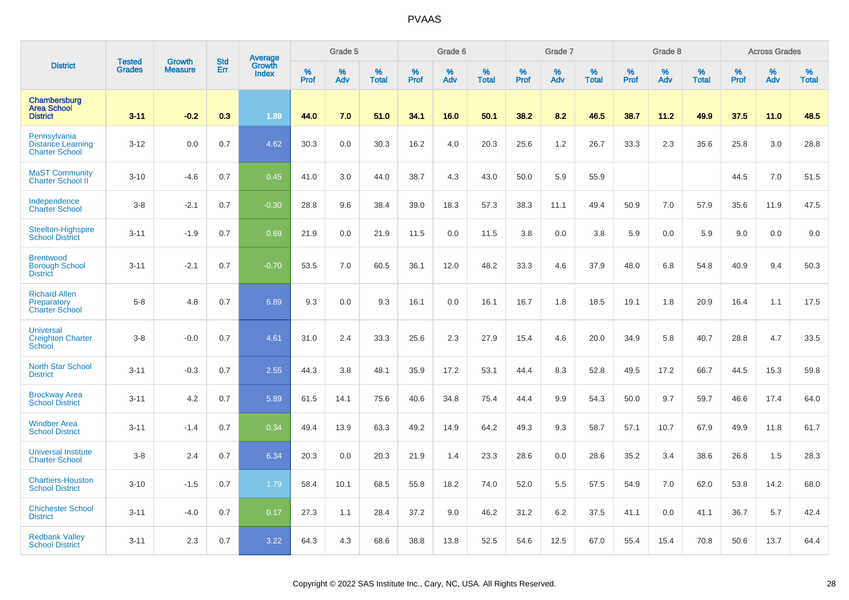|                                                                   | <b>Tested</b> | <b>Growth</b>  | <b>Std</b> | <b>Average</b><br>Growth |                  | Grade 5  |                   |           | Grade 6  |                   |           | Grade 7  |                   |           | Grade 8  |                   |                  | <b>Across Grades</b> |                   |
|-------------------------------------------------------------------|---------------|----------------|------------|--------------------------|------------------|----------|-------------------|-----------|----------|-------------------|-----------|----------|-------------------|-----------|----------|-------------------|------------------|----------------------|-------------------|
| <b>District</b>                                                   | Grades        | <b>Measure</b> | Err        | <b>Index</b>             | %<br><b>Prof</b> | %<br>Adv | %<br><b>Total</b> | %<br>Prof | %<br>Adv | %<br><b>Total</b> | %<br>Prof | %<br>Adv | %<br><b>Total</b> | %<br>Prof | %<br>Adv | %<br><b>Total</b> | %<br><b>Prof</b> | %<br>Adv             | %<br><b>Total</b> |
| Chambersburg<br><b>Area School</b><br><b>District</b>             | $3 - 11$      | $-0.2$         | 0.3        | 1.89                     | 44.0             | 7.0      | 51.0              | 34.1      | 16.0     | 50.1              | 38.2      | 8.2      | 46.5              | 38.7      | 11.2     | 49.9              | 37.5             | 11.0                 | 48.5              |
| Pennsylvania<br><b>Distance Learning</b><br><b>Charter School</b> | $3 - 12$      | 0.0            | 0.7        | 4.62                     | 30.3             | 0.0      | 30.3              | 16.2      | 4.0      | 20.3              | 25.6      | 1.2      | 26.7              | 33.3      | 2.3      | 35.6              | 25.8             | 3.0                  | 28.8              |
| <b>MaST Community</b><br><b>Charter School II</b>                 | $3 - 10$      | $-4.6$         | 0.7        | 0.45                     | 41.0             | 3.0      | 44.0              | 38.7      | 4.3      | 43.0              | 50.0      | 5.9      | 55.9              |           |          |                   | 44.5             | 7.0                  | 51.5              |
| Independence<br><b>Charter School</b>                             | $3 - 8$       | $-2.1$         | 0.7        | $-0.30$                  | 28.8             | 9.6      | 38.4              | 39.0      | 18.3     | 57.3              | 38.3      | 11.1     | 49.4              | 50.9      | 7.0      | 57.9              | 35.6             | 11.9                 | 47.5              |
| Steelton-Highspire<br><b>School District</b>                      | $3 - 11$      | $-1.9$         | 0.7        | 0.69                     | 21.9             | 0.0      | 21.9              | 11.5      | 0.0      | 11.5              | 3.8       | 0.0      | 3.8               | 5.9       | 0.0      | 5.9               | 9.0              | 0.0                  | 9.0               |
| <b>Brentwood</b><br><b>Borough School</b><br><b>District</b>      | $3 - 11$      | $-2.1$         | 0.7        | $-0.70$                  | 53.5             | 7.0      | 60.5              | 36.1      | 12.0     | 48.2              | 33.3      | 4.6      | 37.9              | 48.0      | 6.8      | 54.8              | 40.9             | 9.4                  | 50.3              |
| <b>Richard Allen</b><br>Preparatory<br><b>Charter School</b>      | $5 - 8$       | 4.8            | 0.7        | 6.89                     | 9.3              | 0.0      | 9.3               | 16.1      | 0.0      | 16.1              | 16.7      | 1.8      | 18.5              | 19.1      | 1.8      | 20.9              | 16.4             | 1.1                  | 17.5              |
| <b>Universal</b><br><b>Creighton Charter</b><br>School            | $3 - 8$       | $-0.0$         | 0.7        | 4.61                     | 31.0             | 2.4      | 33.3              | 25.6      | 2.3      | 27.9              | 15.4      | 4.6      | 20.0              | 34.9      | 5.8      | 40.7              | 28.8             | 4.7                  | 33.5              |
| <b>North Star School</b><br><b>District</b>                       | $3 - 11$      | $-0.3$         | 0.7        | 2.55                     | 44.3             | 3.8      | 48.1              | 35.9      | 17.2     | 53.1              | 44.4      | 8.3      | 52.8              | 49.5      | 17.2     | 66.7              | 44.5             | 15.3                 | 59.8              |
| <b>Brockway Area</b><br><b>School District</b>                    | $3 - 11$      | 4.2            | 0.7        | 5.89                     | 61.5             | 14.1     | 75.6              | 40.6      | 34.8     | 75.4              | 44.4      | 9.9      | 54.3              | 50.0      | 9.7      | 59.7              | 46.6             | 17.4                 | 64.0              |
| <b>Windber Area</b><br><b>School District</b>                     | $3 - 11$      | $-1.4$         | 0.7        | 0.34                     | 49.4             | 13.9     | 63.3              | 49.2      | 14.9     | 64.2              | 49.3      | 9.3      | 58.7              | 57.1      | 10.7     | 67.9              | 49.9             | 11.8                 | 61.7              |
| <b>Universal Institute</b><br><b>Charter School</b>               | $3 - 8$       | 2.4            | 0.7        | 6.34                     | 20.3             | 0.0      | 20.3              | 21.9      | 1.4      | 23.3              | 28.6      | 0.0      | 28.6              | 35.2      | 3.4      | 38.6              | 26.8             | 1.5                  | 28.3              |
| <b>Chartiers-Houston</b><br><b>School District</b>                | $3 - 10$      | $-1.5$         | 0.7        | 1.79                     | 58.4             | 10.1     | 68.5              | 55.8      | 18.2     | 74.0              | 52.0      | 5.5      | 57.5              | 54.9      | 7.0      | 62.0              | 53.8             | 14.2                 | 68.0              |
| <b>Chichester School</b><br><b>District</b>                       | $3 - 11$      | $-4.0$         | 0.7        | 0.17                     | 27.3             | 1.1      | 28.4              | 37.2      | 9.0      | 46.2              | 31.2      | 6.2      | 37.5              | 41.1      | 0.0      | 41.1              | 36.7             | 5.7                  | 42.4              |
| <b>Redbank Valley</b><br><b>School District</b>                   | $3 - 11$      | 2.3            | 0.7        | 3.22                     | 64.3             | 4.3      | 68.6              | 38.8      | 13.8     | 52.5              | 54.6      | 12.5     | 67.0              | 55.4      | 15.4     | 70.8              | 50.6             | 13.7                 | 64.4              |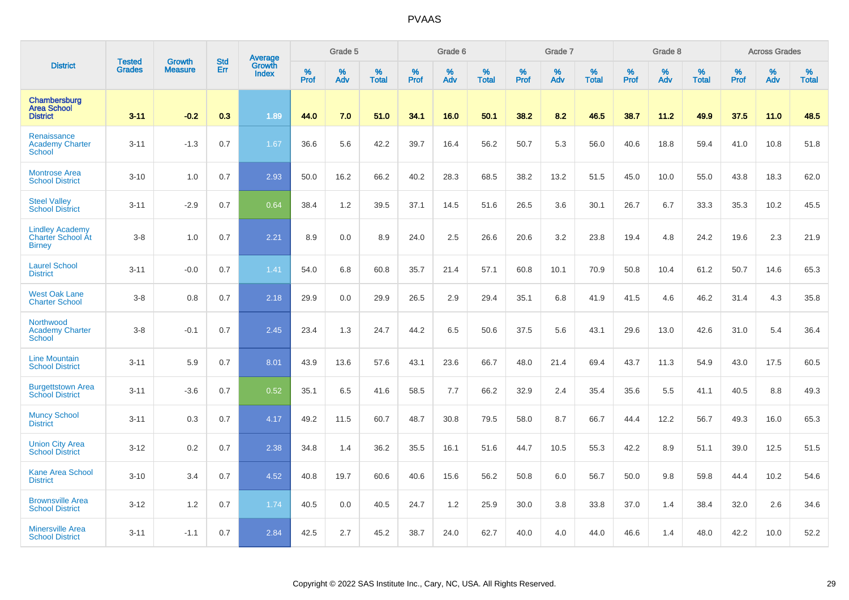|                                                              | <b>Tested</b> | <b>Growth</b>  | <b>Std</b> | <b>Average</b><br>Growth |              | Grade 5  |                   |           | Grade 6  |                   |           | Grade 7  |                   |           | Grade 8  |                   |              | <b>Across Grades</b> |                   |
|--------------------------------------------------------------|---------------|----------------|------------|--------------------------|--------------|----------|-------------------|-----------|----------|-------------------|-----------|----------|-------------------|-----------|----------|-------------------|--------------|----------------------|-------------------|
| <b>District</b>                                              | Grades        | <b>Measure</b> | <b>Err</b> | <b>Index</b>             | $\%$<br>Prof | %<br>Adv | %<br><b>Total</b> | %<br>Prof | %<br>Adv | %<br><b>Total</b> | %<br>Prof | %<br>Adv | %<br><b>Total</b> | %<br>Prof | %<br>Adv | %<br><b>Total</b> | $\%$<br>Prof | $\%$<br>Adv          | %<br><b>Total</b> |
| Chambersburg<br><b>Area School</b><br><b>District</b>        | $3 - 11$      | $-0.2$         | 0.3        | 1.89                     | 44.0         | 7.0      | 51.0              | 34.1      | 16.0     | 50.1              | 38.2      | 8.2      | 46.5              | 38.7      | 11.2     | 49.9              | 37.5         | 11.0                 | 48.5              |
| Renaissance<br><b>Academy Charter</b><br>School              | $3 - 11$      | $-1.3$         | 0.7        | 1.67                     | 36.6         | 5.6      | 42.2              | 39.7      | 16.4     | 56.2              | 50.7      | 5.3      | 56.0              | 40.6      | 18.8     | 59.4              | 41.0         | 10.8                 | 51.8              |
| <b>Montrose Area</b><br><b>School District</b>               | $3 - 10$      | 1.0            | 0.7        | 2.93                     | 50.0         | 16.2     | 66.2              | 40.2      | 28.3     | 68.5              | 38.2      | 13.2     | 51.5              | 45.0      | 10.0     | 55.0              | 43.8         | 18.3                 | 62.0              |
| <b>Steel Valley</b><br><b>School District</b>                | $3 - 11$      | $-2.9$         | 0.7        | 0.64                     | 38.4         | 1.2      | 39.5              | 37.1      | 14.5     | 51.6              | 26.5      | 3.6      | 30.1              | 26.7      | 6.7      | 33.3              | 35.3         | 10.2                 | 45.5              |
| <b>Lindley Academy</b><br>Charter School At<br><b>Birney</b> | $3-8$         | 1.0            | 0.7        | 2.21                     | 8.9          | 0.0      | 8.9               | 24.0      | 2.5      | 26.6              | 20.6      | 3.2      | 23.8              | 19.4      | 4.8      | 24.2              | 19.6         | 2.3                  | 21.9              |
| <b>Laurel School</b><br><b>District</b>                      | $3 - 11$      | $-0.0$         | 0.7        | 1.41                     | 54.0         | 6.8      | 60.8              | 35.7      | 21.4     | 57.1              | 60.8      | 10.1     | 70.9              | 50.8      | 10.4     | 61.2              | 50.7         | 14.6                 | 65.3              |
| <b>West Oak Lane</b><br><b>Charter School</b>                | $3-8$         | 0.8            | 0.7        | 2.18                     | 29.9         | 0.0      | 29.9              | 26.5      | 2.9      | 29.4              | 35.1      | 6.8      | 41.9              | 41.5      | 4.6      | 46.2              | 31.4         | 4.3                  | 35.8              |
| Northwood<br><b>Academy Charter</b><br><b>School</b>         | $3-8$         | $-0.1$         | 0.7        | 2.45                     | 23.4         | 1.3      | 24.7              | 44.2      | 6.5      | 50.6              | 37.5      | 5.6      | 43.1              | 29.6      | 13.0     | 42.6              | 31.0         | 5.4                  | 36.4              |
| <b>Line Mountain</b><br><b>School District</b>               | $3 - 11$      | 5.9            | 0.7        | 8.01                     | 43.9         | 13.6     | 57.6              | 43.1      | 23.6     | 66.7              | 48.0      | 21.4     | 69.4              | 43.7      | 11.3     | 54.9              | 43.0         | 17.5                 | 60.5              |
| <b>Burgettstown Area</b><br><b>School District</b>           | $3 - 11$      | $-3.6$         | 0.7        | 0.52                     | 35.1         | 6.5      | 41.6              | 58.5      | 7.7      | 66.2              | 32.9      | 2.4      | 35.4              | 35.6      | 5.5      | 41.1              | 40.5         | 8.8                  | 49.3              |
| <b>Muncy School</b><br><b>District</b>                       | $3 - 11$      | 0.3            | 0.7        | 4.17                     | 49.2         | 11.5     | 60.7              | 48.7      | 30.8     | 79.5              | 58.0      | 8.7      | 66.7              | 44.4      | 12.2     | 56.7              | 49.3         | 16.0                 | 65.3              |
| <b>Union City Area</b><br><b>School District</b>             | $3 - 12$      | 0.2            | 0.7        | 2.38                     | 34.8         | 1.4      | 36.2              | 35.5      | 16.1     | 51.6              | 44.7      | 10.5     | 55.3              | 42.2      | 8.9      | 51.1              | 39.0         | 12.5                 | 51.5              |
| <b>Kane Area School</b><br><b>District</b>                   | $3 - 10$      | 3.4            | 0.7        | 4.52                     | 40.8         | 19.7     | 60.6              | 40.6      | 15.6     | 56.2              | 50.8      | 6.0      | 56.7              | 50.0      | 9.8      | 59.8              | 44.4         | 10.2                 | 54.6              |
| <b>Brownsville Area</b><br><b>School District</b>            | $3 - 12$      | 1.2            | 0.7        | 1.74                     | 40.5         | 0.0      | 40.5              | 24.7      | 1.2      | 25.9              | 30.0      | 3.8      | 33.8              | 37.0      | 1.4      | 38.4              | 32.0         | 2.6                  | 34.6              |
| <b>Minersville Area</b><br><b>School District</b>            | $3 - 11$      | $-1.1$         | 0.7        | 2.84                     | 42.5         | 2.7      | 45.2              | 38.7      | 24.0     | 62.7              | 40.0      | 4.0      | 44.0              | 46.6      | 1.4      | 48.0              | 42.2         | 10.0                 | 52.2              |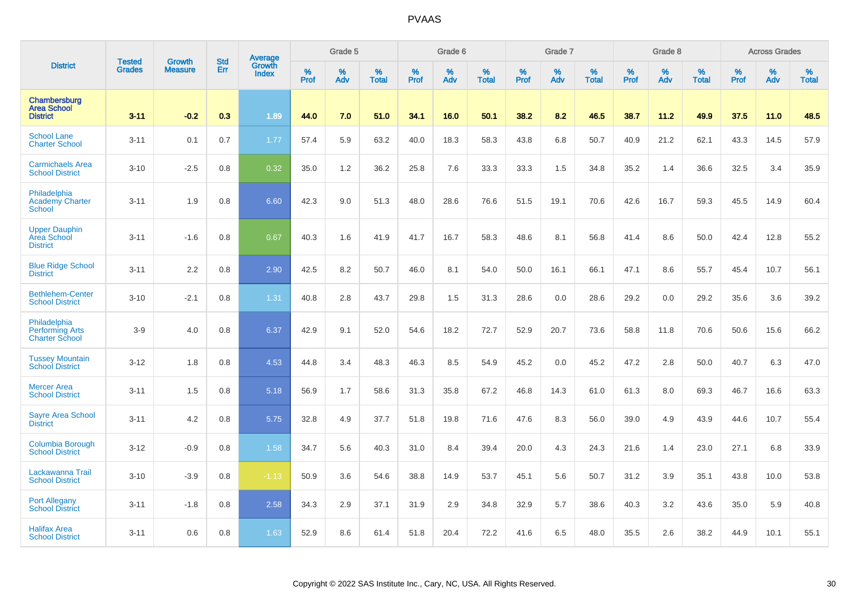|                                                                 |                                | <b>Growth</b>  | <b>Std</b> | Average                |              | Grade 5  |                   |           | Grade 6  |                   |           | Grade 7  |                   |           | Grade 8  |                   |           | <b>Across Grades</b> |                   |
|-----------------------------------------------------------------|--------------------------------|----------------|------------|------------------------|--------------|----------|-------------------|-----------|----------|-------------------|-----------|----------|-------------------|-----------|----------|-------------------|-----------|----------------------|-------------------|
| <b>District</b>                                                 | <b>Tested</b><br><b>Grades</b> | <b>Measure</b> | Err        | Growth<br><b>Index</b> | $\%$<br>Prof | %<br>Adv | %<br><b>Total</b> | %<br>Prof | %<br>Adv | %<br><b>Total</b> | %<br>Prof | %<br>Adv | %<br><b>Total</b> | %<br>Prof | %<br>Adv | %<br><b>Total</b> | %<br>Prof | %<br>Adv             | %<br><b>Total</b> |
| Chambersburg<br><b>Area School</b><br><b>District</b>           | $3 - 11$                       | $-0.2$         | 0.3        | 1.89                   | 44.0         | 7.0      | 51.0              | 34.1      | 16.0     | 50.1              | 38.2      | 8.2      | 46.5              | 38.7      | 11.2     | 49.9              | 37.5      | 11.0                 | 48.5              |
| <b>School Lane</b><br><b>Charter School</b>                     | $3 - 11$                       | 0.1            | 0.7        | 1.77                   | 57.4         | 5.9      | 63.2              | 40.0      | 18.3     | 58.3              | 43.8      | 6.8      | 50.7              | 40.9      | 21.2     | 62.1              | 43.3      | 14.5                 | 57.9              |
| <b>Carmichaels Area</b><br><b>School District</b>               | $3 - 10$                       | $-2.5$         | 0.8        | 0.32                   | 35.0         | 1.2      | 36.2              | 25.8      | 7.6      | 33.3              | 33.3      | 1.5      | 34.8              | 35.2      | 1.4      | 36.6              | 32.5      | 3.4                  | 35.9              |
| Philadelphia<br><b>Academy Charter</b><br><b>School</b>         | $3 - 11$                       | 1.9            | 0.8        | 6.60                   | 42.3         | 9.0      | 51.3              | 48.0      | 28.6     | 76.6              | 51.5      | 19.1     | 70.6              | 42.6      | 16.7     | 59.3              | 45.5      | 14.9                 | 60.4              |
| <b>Upper Dauphin</b><br>Area School<br><b>District</b>          | $3 - 11$                       | $-1.6$         | 0.8        | 0.67                   | 40.3         | 1.6      | 41.9              | 41.7      | 16.7     | 58.3              | 48.6      | 8.1      | 56.8              | 41.4      | 8.6      | 50.0              | 42.4      | 12.8                 | 55.2              |
| <b>Blue Ridge School</b><br><b>District</b>                     | $3 - 11$                       | 2.2            | 0.8        | 2.90                   | 42.5         | 8.2      | 50.7              | 46.0      | 8.1      | 54.0              | 50.0      | 16.1     | 66.1              | 47.1      | 8.6      | 55.7              | 45.4      | 10.7                 | 56.1              |
| <b>Bethlehem-Center</b><br><b>School District</b>               | $3 - 10$                       | $-2.1$         | 0.8        | 1.31                   | 40.8         | 2.8      | 43.7              | 29.8      | 1.5      | 31.3              | 28.6      | 0.0      | 28.6              | 29.2      | 0.0      | 29.2              | 35.6      | 3.6                  | 39.2              |
| Philadelphia<br><b>Performing Arts</b><br><b>Charter School</b> | $3-9$                          | 4.0            | 0.8        | 6.37                   | 42.9         | 9.1      | 52.0              | 54.6      | 18.2     | 72.7              | 52.9      | 20.7     | 73.6              | 58.8      | 11.8     | 70.6              | 50.6      | 15.6                 | 66.2              |
| <b>Tussey Mountain</b><br><b>School District</b>                | $3 - 12$                       | 1.8            | 0.8        | 4.53                   | 44.8         | 3.4      | 48.3              | 46.3      | 8.5      | 54.9              | 45.2      | 0.0      | 45.2              | 47.2      | 2.8      | 50.0              | 40.7      | 6.3                  | 47.0              |
| <b>Mercer Area</b><br><b>School District</b>                    | $3 - 11$                       | 1.5            | 0.8        | 5.18                   | 56.9         | 1.7      | 58.6              | 31.3      | 35.8     | 67.2              | 46.8      | 14.3     | 61.0              | 61.3      | 8.0      | 69.3              | 46.7      | 16.6                 | 63.3              |
| <b>Sayre Area School</b><br><b>District</b>                     | $3 - 11$                       | 4.2            | 0.8        | 5.75                   | 32.8         | 4.9      | 37.7              | 51.8      | 19.8     | 71.6              | 47.6      | 8.3      | 56.0              | 39.0      | 4.9      | 43.9              | 44.6      | 10.7                 | 55.4              |
| <b>Columbia Borough</b><br><b>School District</b>               | $3 - 12$                       | $-0.9$         | 0.8        | 1.58                   | 34.7         | 5.6      | 40.3              | 31.0      | 8.4      | 39.4              | 20.0      | 4.3      | 24.3              | 21.6      | 1.4      | 23.0              | 27.1      | 6.8                  | 33.9              |
| Lackawanna Trail<br><b>School District</b>                      | $3 - 10$                       | $-3.9$         | 0.8        | $-1.13$                | 50.9         | 3.6      | 54.6              | 38.8      | 14.9     | 53.7              | 45.1      | 5.6      | 50.7              | 31.2      | 3.9      | 35.1              | 43.8      | 10.0                 | 53.8              |
| <b>Port Allegany</b><br><b>School District</b>                  | $3 - 11$                       | $-1.8$         | 0.8        | 2.58                   | 34.3         | 2.9      | 37.1              | 31.9      | 2.9      | 34.8              | 32.9      | 5.7      | 38.6              | 40.3      | 3.2      | 43.6              | 35.0      | 5.9                  | 40.8              |
| <b>Halifax Area</b><br><b>School District</b>                   | $3 - 11$                       | 0.6            | 0.8        | 1.63                   | 52.9         | 8.6      | 61.4              | 51.8      | 20.4     | 72.2              | 41.6      | 6.5      | 48.0              | 35.5      | 2.6      | 38.2              | 44.9      | 10.1                 | 55.1              |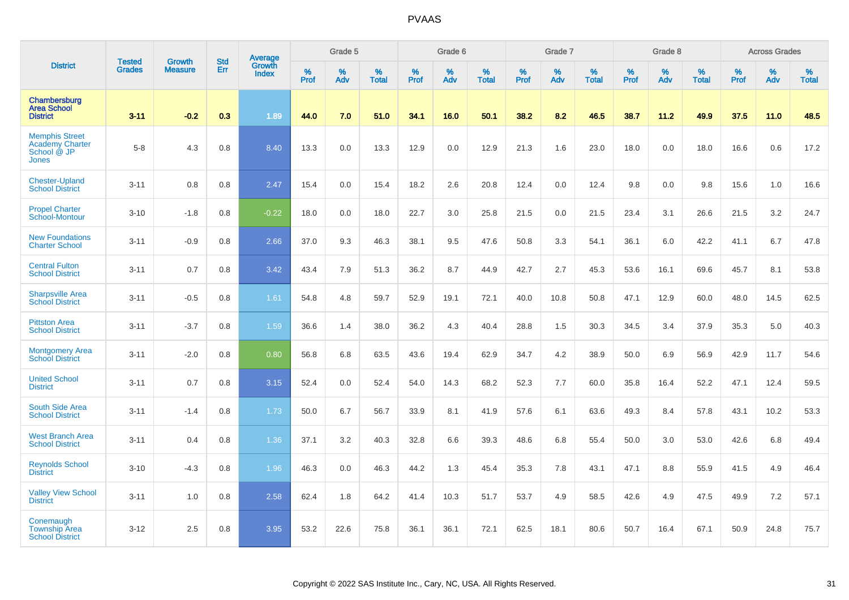|                                                                                | <b>Tested</b> | <b>Growth</b>  | <b>Std</b> | Average                |                  | Grade 5  |                   |           | Grade 6  |                   |           | Grade 7  |                   |           | Grade 8  |                   |           | <b>Across Grades</b> |                   |
|--------------------------------------------------------------------------------|---------------|----------------|------------|------------------------|------------------|----------|-------------------|-----------|----------|-------------------|-----------|----------|-------------------|-----------|----------|-------------------|-----------|----------------------|-------------------|
| <b>District</b>                                                                | <b>Grades</b> | <b>Measure</b> | Err        | Growth<br><b>Index</b> | %<br><b>Prof</b> | %<br>Adv | %<br><b>Total</b> | %<br>Prof | %<br>Adv | %<br><b>Total</b> | %<br>Prof | %<br>Adv | %<br><b>Total</b> | %<br>Prof | %<br>Adv | %<br><b>Total</b> | %<br>Prof | %<br>Adv             | %<br><b>Total</b> |
| Chambersburg<br><b>Area School</b><br><b>District</b>                          | $3 - 11$      | $-0.2$         | 0.3        | 1.89                   | 44.0             | 7.0      | 51.0              | 34.1      | 16.0     | 50.1              | 38.2      | 8.2      | 46.5              | 38.7      | 11.2     | 49.9              | 37.5      | 11.0                 | 48.5              |
| <b>Memphis Street</b><br><b>Academy Charter</b><br>School @ JP<br><b>Jones</b> | $5 - 8$       | 4.3            | 0.8        | 8.40                   | 13.3             | 0.0      | 13.3              | 12.9      | 0.0      | 12.9              | 21.3      | 1.6      | 23.0              | 18.0      | 0.0      | 18.0              | 16.6      | 0.6                  | 17.2              |
| <b>Chester-Upland</b><br><b>School District</b>                                | $3 - 11$      | 0.8            | 0.8        | 2.47                   | 15.4             | 0.0      | 15.4              | 18.2      | 2.6      | 20.8              | 12.4      | 0.0      | 12.4              | 9.8       | 0.0      | 9.8               | 15.6      | 1.0                  | 16.6              |
| <b>Propel Charter</b><br>School-Montour                                        | $3 - 10$      | $-1.8$         | 0.8        | $-0.22$                | 18.0             | 0.0      | 18.0              | 22.7      | 3.0      | 25.8              | 21.5      | 0.0      | 21.5              | 23.4      | 3.1      | 26.6              | 21.5      | 3.2                  | 24.7              |
| <b>New Foundations</b><br><b>Charter School</b>                                | $3 - 11$      | $-0.9$         | 0.8        | 2.66                   | 37.0             | 9.3      | 46.3              | 38.1      | 9.5      | 47.6              | 50.8      | 3.3      | 54.1              | 36.1      | 6.0      | 42.2              | 41.1      | 6.7                  | 47.8              |
| <b>Central Fulton</b><br><b>School District</b>                                | $3 - 11$      | 0.7            | 0.8        | 3.42                   | 43.4             | 7.9      | 51.3              | 36.2      | 8.7      | 44.9              | 42.7      | 2.7      | 45.3              | 53.6      | 16.1     | 69.6              | 45.7      | 8.1                  | 53.8              |
| <b>Sharpsville Area</b><br><b>School District</b>                              | $3 - 11$      | $-0.5$         | 0.8        | 1.61                   | 54.8             | 4.8      | 59.7              | 52.9      | 19.1     | 72.1              | 40.0      | 10.8     | 50.8              | 47.1      | 12.9     | 60.0              | 48.0      | 14.5                 | 62.5              |
| <b>Pittston Area</b><br><b>School District</b>                                 | $3 - 11$      | $-3.7$         | 0.8        | 1.59                   | 36.6             | 1.4      | 38.0              | 36.2      | 4.3      | 40.4              | 28.8      | 1.5      | 30.3              | 34.5      | 3.4      | 37.9              | 35.3      | 5.0                  | 40.3              |
| <b>Montgomery Area</b><br><b>School District</b>                               | $3 - 11$      | $-2.0$         | 0.8        | 0.80                   | 56.8             | 6.8      | 63.5              | 43.6      | 19.4     | 62.9              | 34.7      | 4.2      | 38.9              | 50.0      | 6.9      | 56.9              | 42.9      | 11.7                 | 54.6              |
| <b>United School</b><br><b>District</b>                                        | $3 - 11$      | 0.7            | 0.8        | 3.15                   | 52.4             | 0.0      | 52.4              | 54.0      | 14.3     | 68.2              | 52.3      | 7.7      | 60.0              | 35.8      | 16.4     | 52.2              | 47.1      | 12.4                 | 59.5              |
| South Side Area<br><b>School District</b>                                      | $3 - 11$      | $-1.4$         | 0.8        | 1.73                   | 50.0             | 6.7      | 56.7              | 33.9      | 8.1      | 41.9              | 57.6      | 6.1      | 63.6              | 49.3      | 8.4      | 57.8              | 43.1      | 10.2                 | 53.3              |
| <b>West Branch Area</b><br><b>School District</b>                              | $3 - 11$      | 0.4            | 0.8        | 1.36                   | 37.1             | 3.2      | 40.3              | 32.8      | 6.6      | 39.3              | 48.6      | 6.8      | 55.4              | 50.0      | 3.0      | 53.0              | 42.6      | 6.8                  | 49.4              |
| <b>Reynolds School</b><br><b>District</b>                                      | $3 - 10$      | $-4.3$         | 0.8        | 1.96                   | 46.3             | 0.0      | 46.3              | 44.2      | 1.3      | 45.4              | 35.3      | 7.8      | 43.1              | 47.1      | 8.8      | 55.9              | 41.5      | 4.9                  | 46.4              |
| <b>Valley View School</b><br><b>District</b>                                   | $3 - 11$      | 1.0            | 0.8        | 2.58                   | 62.4             | 1.8      | 64.2              | 41.4      | 10.3     | 51.7              | 53.7      | 4.9      | 58.5              | 42.6      | 4.9      | 47.5              | 49.9      | 7.2                  | 57.1              |
| Conemaugh<br><b>Township Area</b><br><b>School District</b>                    | $3 - 12$      | 2.5            | 0.8        | 3.95                   | 53.2             | 22.6     | 75.8              | 36.1      | 36.1     | 72.1              | 62.5      | 18.1     | 80.6              | 50.7      | 16.4     | 67.1              | 50.9      | 24.8                 | 75.7              |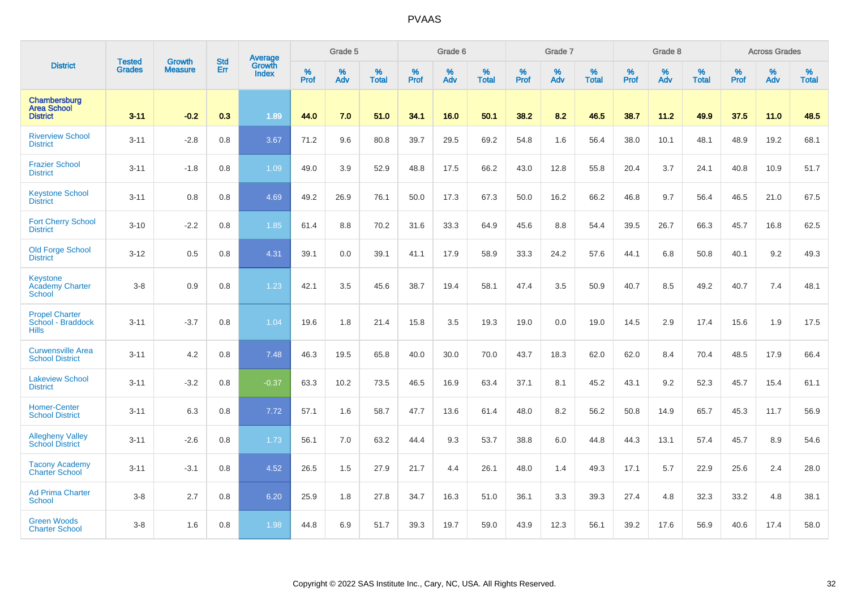|                                                            | <b>Tested</b> | <b>Growth</b>  | <b>Std</b> | Average                |           | Grade 5  |                   |           | Grade 6  |                   |           | Grade 7  |                   |           | Grade 8  |                   |           | <b>Across Grades</b> |                   |
|------------------------------------------------------------|---------------|----------------|------------|------------------------|-----------|----------|-------------------|-----------|----------|-------------------|-----------|----------|-------------------|-----------|----------|-------------------|-----------|----------------------|-------------------|
| <b>District</b>                                            | <b>Grades</b> | <b>Measure</b> | Err        | <b>Growth</b><br>Index | %<br>Prof | %<br>Adv | %<br><b>Total</b> | %<br>Prof | %<br>Adv | %<br><b>Total</b> | %<br>Prof | %<br>Adv | %<br><b>Total</b> | %<br>Prof | %<br>Adv | %<br><b>Total</b> | %<br>Prof | %<br>Adv             | %<br><b>Total</b> |
| Chambersburg<br><b>Area School</b><br><b>District</b>      | $3 - 11$      | $-0.2$         | 0.3        | 1.89                   | 44.0      | 7.0      | 51.0              | 34.1      | 16.0     | 50.1              | 38.2      | 8.2      | 46.5              | 38.7      | 11.2     | 49.9              | 37.5      | 11.0                 | 48.5              |
| <b>Riverview School</b><br><b>District</b>                 | $3 - 11$      | $-2.8$         | 0.8        | 3.67                   | 71.2      | 9.6      | 80.8              | 39.7      | 29.5     | 69.2              | 54.8      | 1.6      | 56.4              | 38.0      | 10.1     | 48.1              | 48.9      | 19.2                 | 68.1              |
| <b>Frazier School</b><br><b>District</b>                   | $3 - 11$      | $-1.8$         | 0.8        | 1.09                   | 49.0      | 3.9      | 52.9              | 48.8      | 17.5     | 66.2              | 43.0      | 12.8     | 55.8              | 20.4      | 3.7      | 24.1              | 40.8      | 10.9                 | 51.7              |
| <b>Keystone School</b><br><b>District</b>                  | $3 - 11$      | 0.8            | 0.8        | 4.69                   | 49.2      | 26.9     | 76.1              | 50.0      | 17.3     | 67.3              | 50.0      | 16.2     | 66.2              | 46.8      | 9.7      | 56.4              | 46.5      | 21.0                 | 67.5              |
| <b>Fort Cherry School</b><br><b>District</b>               | $3 - 10$      | $-2.2$         | 0.8        | 1.85                   | 61.4      | 8.8      | 70.2              | 31.6      | 33.3     | 64.9              | 45.6      | 8.8      | 54.4              | 39.5      | 26.7     | 66.3              | 45.7      | 16.8                 | 62.5              |
| <b>Old Forge School</b><br><b>District</b>                 | $3 - 12$      | 0.5            | 0.8        | 4.31                   | 39.1      | 0.0      | 39.1              | 41.1      | 17.9     | 58.9              | 33.3      | 24.2     | 57.6              | 44.1      | 6.8      | 50.8              | 40.1      | 9.2                  | 49.3              |
| Keystone<br><b>Academy Charter</b><br><b>School</b>        | $3-8$         | 0.9            | 0.8        | 1.23                   | 42.1      | 3.5      | 45.6              | 38.7      | 19.4     | 58.1              | 47.4      | 3.5      | 50.9              | 40.7      | 8.5      | 49.2              | 40.7      | 7.4                  | 48.1              |
| <b>Propel Charter</b><br>School - Braddock<br><b>Hills</b> | $3 - 11$      | $-3.7$         | 0.8        | 1.04                   | 19.6      | 1.8      | 21.4              | 15.8      | 3.5      | 19.3              | 19.0      | 0.0      | 19.0              | 14.5      | 2.9      | 17.4              | 15.6      | 1.9                  | 17.5              |
| <b>Curwensville Area</b><br><b>School District</b>         | $3 - 11$      | 4.2            | 0.8        | 7.48                   | 46.3      | 19.5     | 65.8              | 40.0      | 30.0     | 70.0              | 43.7      | 18.3     | 62.0              | 62.0      | 8.4      | 70.4              | 48.5      | 17.9                 | 66.4              |
| <b>Lakeview School</b><br><b>District</b>                  | $3 - 11$      | $-3.2$         | 0.8        | $-0.37$                | 63.3      | 10.2     | 73.5              | 46.5      | 16.9     | 63.4              | 37.1      | 8.1      | 45.2              | 43.1      | 9.2      | 52.3              | 45.7      | 15.4                 | 61.1              |
| <b>Homer-Center</b><br><b>School District</b>              | $3 - 11$      | 6.3            | 0.8        | 7.72                   | 57.1      | 1.6      | 58.7              | 47.7      | 13.6     | 61.4              | 48.0      | 8.2      | 56.2              | 50.8      | 14.9     | 65.7              | 45.3      | 11.7                 | 56.9              |
| <b>Allegheny Valley</b><br><b>School District</b>          | $3 - 11$      | $-2.6$         | 0.8        | 1.73                   | 56.1      | 7.0      | 63.2              | 44.4      | 9.3      | 53.7              | 38.8      | 6.0      | 44.8              | 44.3      | 13.1     | 57.4              | 45.7      | 8.9                  | 54.6              |
| <b>Tacony Academy</b><br><b>Charter School</b>             | $3 - 11$      | $-3.1$         | 0.8        | 4.52                   | 26.5      | 1.5      | 27.9              | 21.7      | 4.4      | 26.1              | 48.0      | 1.4      | 49.3              | 17.1      | 5.7      | 22.9              | 25.6      | 2.4                  | 28.0              |
| <b>Ad Prima Charter</b><br>School                          | $3 - 8$       | 2.7            | 0.8        | 6.20                   | 25.9      | 1.8      | 27.8              | 34.7      | 16.3     | 51.0              | 36.1      | 3.3      | 39.3              | 27.4      | 4.8      | 32.3              | 33.2      | 4.8                  | 38.1              |
| <b>Green Woods</b><br><b>Charter School</b>                | $3 - 8$       | 1.6            | 0.8        | 1.98                   | 44.8      | 6.9      | 51.7              | 39.3      | 19.7     | 59.0              | 43.9      | 12.3     | 56.1              | 39.2      | 17.6     | 56.9              | 40.6      | 17.4                 | 58.0              |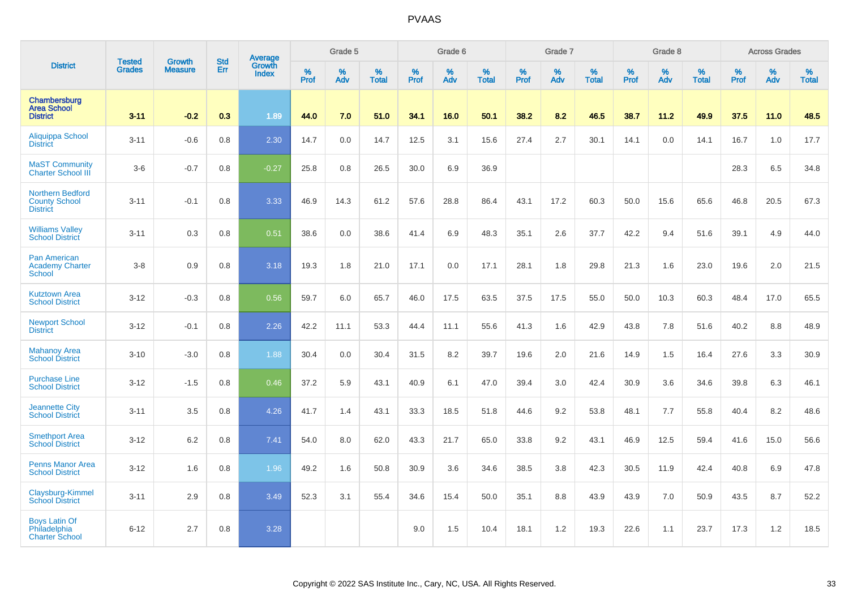|                                                                    |                                |                                 | <b>Std</b> | Average                |              | Grade 5  |                   |           | Grade 6  |                   |           | Grade 7  |                   |           | Grade 8  |                   |           | <b>Across Grades</b> |                   |
|--------------------------------------------------------------------|--------------------------------|---------------------------------|------------|------------------------|--------------|----------|-------------------|-----------|----------|-------------------|-----------|----------|-------------------|-----------|----------|-------------------|-----------|----------------------|-------------------|
| <b>District</b>                                                    | <b>Tested</b><br><b>Grades</b> | <b>Growth</b><br><b>Measure</b> | Err        | Growth<br><b>Index</b> | $\%$<br>Prof | %<br>Adv | %<br><b>Total</b> | %<br>Prof | %<br>Adv | %<br><b>Total</b> | %<br>Prof | %<br>Adv | %<br><b>Total</b> | %<br>Prof | %<br>Adv | %<br><b>Total</b> | %<br>Prof | %<br>Adv             | %<br><b>Total</b> |
| Chambersburg<br><b>Area School</b><br><b>District</b>              | $3 - 11$                       | $-0.2$                          | 0.3        | 1.89                   | 44.0         | 7.0      | 51.0              | 34.1      | 16.0     | 50.1              | 38.2      | 8.2      | 46.5              | 38.7      | 11.2     | 49.9              | 37.5      | 11.0                 | 48.5              |
| <b>Aliquippa School</b><br><b>District</b>                         | $3 - 11$                       | $-0.6$                          | 0.8        | 2.30                   | 14.7         | 0.0      | 14.7              | 12.5      | 3.1      | 15.6              | 27.4      | 2.7      | 30.1              | 14.1      | 0.0      | 14.1              | 16.7      | 1.0                  | 17.7              |
| <b>MaST Community</b><br>Charter School III                        | $3-6$                          | $-0.7$                          | 0.8        | $-0.27$                | 25.8         | 0.8      | 26.5              | 30.0      | 6.9      | 36.9              |           |          |                   |           |          |                   | 28.3      | 6.5                  | 34.8              |
| <b>Northern Bedford</b><br><b>County School</b><br><b>District</b> | $3 - 11$                       | $-0.1$                          | 0.8        | 3.33                   | 46.9         | 14.3     | 61.2              | 57.6      | 28.8     | 86.4              | 43.1      | 17.2     | 60.3              | 50.0      | 15.6     | 65.6              | 46.8      | 20.5                 | 67.3              |
| <b>Williams Valley</b><br><b>School District</b>                   | $3 - 11$                       | 0.3                             | 0.8        | 0.51                   | 38.6         | 0.0      | 38.6              | 41.4      | 6.9      | 48.3              | 35.1      | 2.6      | 37.7              | 42.2      | 9.4      | 51.6              | 39.1      | 4.9                  | 44.0              |
| Pan American<br><b>Academy Charter</b><br><b>School</b>            | $3-8$                          | 0.9                             | 0.8        | 3.18                   | 19.3         | 1.8      | 21.0              | 17.1      | 0.0      | 17.1              | 28.1      | 1.8      | 29.8              | 21.3      | 1.6      | 23.0              | 19.6      | 2.0                  | 21.5              |
| <b>Kutztown Area</b><br><b>School District</b>                     | $3 - 12$                       | $-0.3$                          | 0.8        | 0.56                   | 59.7         | 6.0      | 65.7              | 46.0      | 17.5     | 63.5              | 37.5      | 17.5     | 55.0              | 50.0      | 10.3     | 60.3              | 48.4      | 17.0                 | 65.5              |
| <b>Newport School</b><br><b>District</b>                           | $3 - 12$                       | $-0.1$                          | 0.8        | 2.26                   | 42.2         | 11.1     | 53.3              | 44.4      | 11.1     | 55.6              | 41.3      | 1.6      | 42.9              | 43.8      | 7.8      | 51.6              | 40.2      | 8.8                  | 48.9              |
| <b>Mahanoy Area</b><br><b>School District</b>                      | $3 - 10$                       | $-3.0$                          | 0.8        | 1.88                   | 30.4         | 0.0      | 30.4              | 31.5      | 8.2      | 39.7              | 19.6      | 2.0      | 21.6              | 14.9      | 1.5      | 16.4              | 27.6      | 3.3                  | 30.9              |
| <b>Purchase Line</b><br><b>School District</b>                     | $3 - 12$                       | $-1.5$                          | 0.8        | 0.46                   | 37.2         | 5.9      | 43.1              | 40.9      | 6.1      | 47.0              | 39.4      | 3.0      | 42.4              | 30.9      | 3.6      | 34.6              | 39.8      | 6.3                  | 46.1              |
| <b>Jeannette City</b><br><b>School District</b>                    | $3 - 11$                       | 3.5                             | 0.8        | 4.26                   | 41.7         | 1.4      | 43.1              | 33.3      | 18.5     | 51.8              | 44.6      | 9.2      | 53.8              | 48.1      | 7.7      | 55.8              | 40.4      | 8.2                  | 48.6              |
| <b>Smethport Area</b><br><b>School District</b>                    | $3 - 12$                       | 6.2                             | 0.8        | 7.41                   | 54.0         | 8.0      | 62.0              | 43.3      | 21.7     | 65.0              | 33.8      | 9.2      | 43.1              | 46.9      | 12.5     | 59.4              | 41.6      | 15.0                 | 56.6              |
| <b>Penns Manor Area</b><br><b>School District</b>                  | $3 - 12$                       | 1.6                             | 0.8        | 1.96                   | 49.2         | 1.6      | 50.8              | 30.9      | 3.6      | 34.6              | 38.5      | 3.8      | 42.3              | 30.5      | 11.9     | 42.4              | 40.8      | 6.9                  | 47.8              |
| Claysburg-Kimmel<br><b>School District</b>                         | $3 - 11$                       | 2.9                             | 0.8        | 3.49                   | 52.3         | 3.1      | 55.4              | 34.6      | 15.4     | 50.0              | 35.1      | 8.8      | 43.9              | 43.9      | 7.0      | 50.9              | 43.5      | 8.7                  | 52.2              |
| <b>Boys Latin Of</b><br>Philadelphia<br><b>Charter School</b>      | $6 - 12$                       | 2.7                             | 0.8        | 3.28                   |              |          |                   | 9.0       | 1.5      | 10.4              | 18.1      | 1.2      | 19.3              | 22.6      | 1.1      | 23.7              | 17.3      | 1.2                  | 18.5              |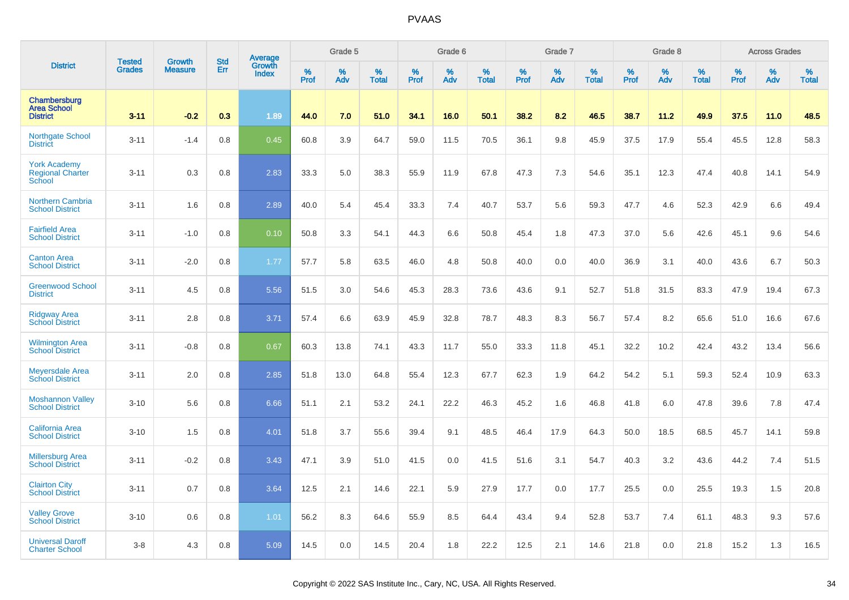|                                                          | <b>Tested</b> | <b>Growth</b>  | <b>Std</b> | Average                |           | Grade 5  |                   |           | Grade 6  |                   |           | Grade 7  |                   |           | Grade 8  |                   |           | <b>Across Grades</b> |                   |
|----------------------------------------------------------|---------------|----------------|------------|------------------------|-----------|----------|-------------------|-----------|----------|-------------------|-----------|----------|-------------------|-----------|----------|-------------------|-----------|----------------------|-------------------|
| <b>District</b>                                          | <b>Grades</b> | <b>Measure</b> | Err        | Growth<br><b>Index</b> | %<br>Prof | %<br>Adv | %<br><b>Total</b> | %<br>Prof | %<br>Adv | %<br><b>Total</b> | %<br>Prof | %<br>Adv | %<br><b>Total</b> | %<br>Prof | %<br>Adv | %<br><b>Total</b> | %<br>Prof | %<br>Adv             | %<br><b>Total</b> |
| Chambersburg<br><b>Area School</b><br><b>District</b>    | $3 - 11$      | $-0.2$         | 0.3        | 1.89                   | 44.0      | 7.0      | 51.0              | 34.1      | 16.0     | 50.1              | 38.2      | 8.2      | 46.5              | 38.7      | 11.2     | 49.9              | 37.5      | 11.0                 | 48.5              |
| <b>Northgate School</b><br><b>District</b>               | $3 - 11$      | $-1.4$         | 0.8        | 0.45                   | 60.8      | 3.9      | 64.7              | 59.0      | 11.5     | 70.5              | 36.1      | 9.8      | 45.9              | 37.5      | 17.9     | 55.4              | 45.5      | 12.8                 | 58.3              |
| <b>York Academy</b><br><b>Regional Charter</b><br>School | $3 - 11$      | 0.3            | 0.8        | 2.83                   | 33.3      | 5.0      | 38.3              | 55.9      | 11.9     | 67.8              | 47.3      | 7.3      | 54.6              | 35.1      | 12.3     | 47.4              | 40.8      | 14.1                 | 54.9              |
| <b>Northern Cambria</b><br><b>School District</b>        | $3 - 11$      | 1.6            | 0.8        | 2.89                   | 40.0      | 5.4      | 45.4              | 33.3      | 7.4      | 40.7              | 53.7      | 5.6      | 59.3              | 47.7      | 4.6      | 52.3              | 42.9      | 6.6                  | 49.4              |
| <b>Fairfield Area</b><br><b>School District</b>          | $3 - 11$      | $-1.0$         | 0.8        | 0.10                   | 50.8      | 3.3      | 54.1              | 44.3      | 6.6      | 50.8              | 45.4      | 1.8      | 47.3              | 37.0      | 5.6      | 42.6              | 45.1      | 9.6                  | 54.6              |
| <b>Canton Area</b><br><b>School District</b>             | $3 - 11$      | $-2.0$         | 0.8        | 1.77                   | 57.7      | 5.8      | 63.5              | 46.0      | 4.8      | 50.8              | 40.0      | 0.0      | 40.0              | 36.9      | 3.1      | 40.0              | 43.6      | 6.7                  | 50.3              |
| <b>Greenwood School</b><br><b>District</b>               | $3 - 11$      | 4.5            | 0.8        | 5.56                   | 51.5      | 3.0      | 54.6              | 45.3      | 28.3     | 73.6              | 43.6      | 9.1      | 52.7              | 51.8      | 31.5     | 83.3              | 47.9      | 19.4                 | 67.3              |
| <b>Ridgway Area</b><br><b>School District</b>            | $3 - 11$      | 2.8            | 0.8        | 3.71                   | 57.4      | 6.6      | 63.9              | 45.9      | 32.8     | 78.7              | 48.3      | 8.3      | 56.7              | 57.4      | 8.2      | 65.6              | 51.0      | 16.6                 | 67.6              |
| <b>Wilmington Area</b><br><b>School District</b>         | $3 - 11$      | $-0.8$         | 0.8        | 0.67                   | 60.3      | 13.8     | 74.1              | 43.3      | 11.7     | 55.0              | 33.3      | 11.8     | 45.1              | 32.2      | 10.2     | 42.4              | 43.2      | 13.4                 | 56.6              |
| <b>Meyersdale Area</b><br><b>School District</b>         | $3 - 11$      | 2.0            | 0.8        | 2.85                   | 51.8      | 13.0     | 64.8              | 55.4      | 12.3     | 67.7              | 62.3      | 1.9      | 64.2              | 54.2      | 5.1      | 59.3              | 52.4      | 10.9                 | 63.3              |
| <b>Moshannon Valley</b><br><b>School District</b>        | $3 - 10$      | 5.6            | 0.8        | 6.66                   | 51.1      | 2.1      | 53.2              | 24.1      | 22.2     | 46.3              | 45.2      | 1.6      | 46.8              | 41.8      | 6.0      | 47.8              | 39.6      | 7.8                  | 47.4              |
| <b>California Area</b><br><b>School District</b>         | $3 - 10$      | 1.5            | 0.8        | 4.01                   | 51.8      | 3.7      | 55.6              | 39.4      | 9.1      | 48.5              | 46.4      | 17.9     | 64.3              | 50.0      | 18.5     | 68.5              | 45.7      | 14.1                 | 59.8              |
| <b>Millersburg Area</b><br><b>School District</b>        | $3 - 11$      | $-0.2$         | 0.8        | 3.43                   | 47.1      | 3.9      | 51.0              | 41.5      | 0.0      | 41.5              | 51.6      | 3.1      | 54.7              | 40.3      | 3.2      | 43.6              | 44.2      | 7.4                  | 51.5              |
| <b>Clairton City</b><br><b>School District</b>           | $3 - 11$      | 0.7            | 0.8        | 3.64                   | 12.5      | 2.1      | 14.6              | 22.1      | 5.9      | 27.9              | 17.7      | 0.0      | 17.7              | 25.5      | 0.0      | 25.5              | 19.3      | 1.5                  | 20.8              |
| <b>Valley Grove</b><br><b>School District</b>            | $3 - 10$      | 0.6            | 0.8        | 1.01                   | 56.2      | 8.3      | 64.6              | 55.9      | 8.5      | 64.4              | 43.4      | 9.4      | 52.8              | 53.7      | 7.4      | 61.1              | 48.3      | 9.3                  | 57.6              |
| <b>Universal Daroff</b><br><b>Charter School</b>         | $3 - 8$       | 4.3            | 0.8        | 5.09                   | 14.5      | 0.0      | 14.5              | 20.4      | 1.8      | 22.2              | 12.5      | 2.1      | 14.6              | 21.8      | 0.0      | 21.8              | 15.2      | 1.3                  | 16.5              |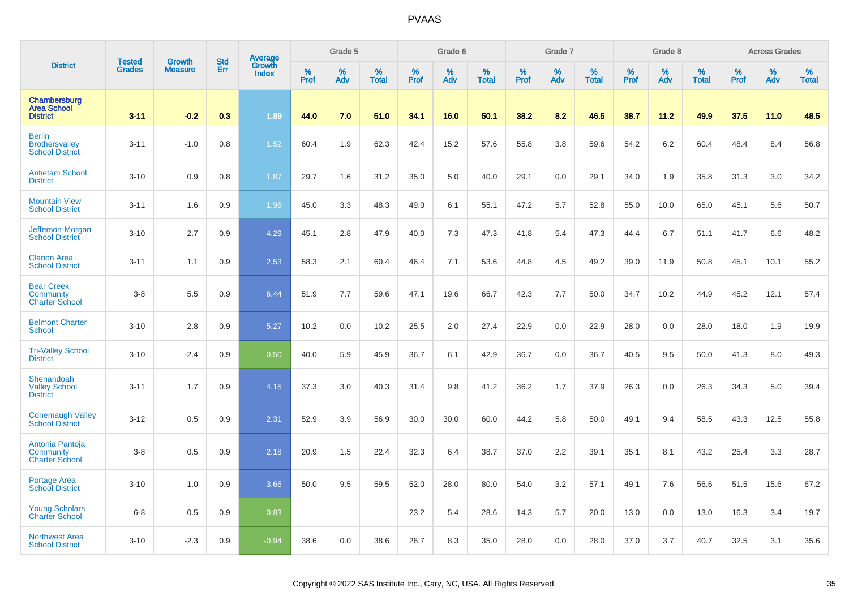|                                                                  | <b>Tested</b> | <b>Growth</b>  | <b>Std</b> |                                   |              | Grade 5  |                   |           | Grade 6  |                   |           | Grade 7  |                   |           | Grade 8  |                   |           | <b>Across Grades</b> |                   |
|------------------------------------------------------------------|---------------|----------------|------------|-----------------------------------|--------------|----------|-------------------|-----------|----------|-------------------|-----------|----------|-------------------|-----------|----------|-------------------|-----------|----------------------|-------------------|
| <b>District</b>                                                  | <b>Grades</b> | <b>Measure</b> | Err        | Average<br>Growth<br><b>Index</b> | $\%$<br>Prof | %<br>Adv | %<br><b>Total</b> | %<br>Prof | %<br>Adv | %<br><b>Total</b> | %<br>Prof | %<br>Adv | %<br><b>Total</b> | %<br>Prof | %<br>Adv | %<br><b>Total</b> | %<br>Prof | %<br>Adv             | %<br><b>Total</b> |
| Chambersburg<br><b>Area School</b><br><b>District</b>            | $3 - 11$      | $-0.2$         | 0.3        | 1.89                              | 44.0         | 7.0      | 51.0              | 34.1      | 16.0     | 50.1              | 38.2      | 8.2      | 46.5              | 38.7      | 11.2     | 49.9              | 37.5      | 11.0                 | 48.5              |
| <b>Berlin</b><br><b>Brothersvalley</b><br><b>School District</b> | $3 - 11$      | $-1.0$         | 0.8        | 1.52                              | 60.4         | 1.9      | 62.3              | 42.4      | 15.2     | 57.6              | 55.8      | 3.8      | 59.6              | 54.2      | 6.2      | 60.4              | 48.4      | 8.4                  | 56.8              |
| <b>Antietam School</b><br><b>District</b>                        | $3 - 10$      | 0.9            | 0.8        | 1.87                              | 29.7         | 1.6      | 31.2              | 35.0      | 5.0      | 40.0              | 29.1      | 0.0      | 29.1              | 34.0      | 1.9      | 35.8              | 31.3      | 3.0                  | 34.2              |
| <b>Mountain View</b><br><b>School District</b>                   | $3 - 11$      | 1.6            | 0.9        | 1.96                              | 45.0         | 3.3      | 48.3              | 49.0      | 6.1      | 55.1              | 47.2      | 5.7      | 52.8              | 55.0      | 10.0     | 65.0              | 45.1      | 5.6                  | 50.7              |
| Jefferson-Morgan<br><b>School District</b>                       | $3 - 10$      | 2.7            | 0.9        | 4.29                              | 45.1         | 2.8      | 47.9              | 40.0      | 7.3      | 47.3              | 41.8      | 5.4      | 47.3              | 44.4      | 6.7      | 51.1              | 41.7      | 6.6                  | 48.2              |
| <b>Clarion Area</b><br><b>School District</b>                    | $3 - 11$      | 1.1            | 0.9        | 2.53                              | 58.3         | 2.1      | 60.4              | 46.4      | 7.1      | 53.6              | 44.8      | 4.5      | 49.2              | 39.0      | 11.9     | 50.8              | 45.1      | 10.1                 | 55.2              |
| <b>Bear Creek</b><br>Community<br><b>Charter School</b>          | $3 - 8$       | 5.5            | 0.9        | 6.44                              | 51.9         | 7.7      | 59.6              | 47.1      | 19.6     | 66.7              | 42.3      | 7.7      | 50.0              | 34.7      | 10.2     | 44.9              | 45.2      | 12.1                 | 57.4              |
| <b>Belmont Charter</b><br><b>School</b>                          | $3 - 10$      | 2.8            | 0.9        | 5.27                              | 10.2         | 0.0      | 10.2              | 25.5      | 2.0      | 27.4              | 22.9      | 0.0      | 22.9              | 28.0      | 0.0      | 28.0              | 18.0      | 1.9                  | 19.9              |
| <b>Tri-Valley School</b><br><b>District</b>                      | $3 - 10$      | $-2.4$         | 0.9        | 0.50                              | 40.0         | 5.9      | 45.9              | 36.7      | 6.1      | 42.9              | 36.7      | 0.0      | 36.7              | 40.5      | 9.5      | 50.0              | 41.3      | 8.0                  | 49.3              |
| Shenandoah<br><b>Valley School</b><br><b>District</b>            | $3 - 11$      | 1.7            | 0.9        | 4.15                              | 37.3         | 3.0      | 40.3              | 31.4      | 9.8      | 41.2              | 36.2      | 1.7      | 37.9              | 26.3      | 0.0      | 26.3              | 34.3      | 5.0                  | 39.4              |
| <b>Conemaugh Valley</b><br><b>School District</b>                | $3 - 12$      | 0.5            | 0.9        | 2.31                              | 52.9         | 3.9      | 56.9              | 30.0      | 30.0     | 60.0              | 44.2      | 5.8      | 50.0              | 49.1      | 9.4      | 58.5              | 43.3      | 12.5                 | 55.8              |
| Antonia Pantoja<br><b>Community</b><br><b>Charter School</b>     | $3 - 8$       | 0.5            | 0.9        | 2.18                              | 20.9         | 1.5      | 22.4              | 32.3      | 6.4      | 38.7              | 37.0      | 2.2      | 39.1              | 35.1      | 8.1      | 43.2              | 25.4      | 3.3                  | 28.7              |
| <b>Portage Area</b><br><b>School District</b>                    | $3 - 10$      | 1.0            | 0.9        | 3.66                              | 50.0         | 9.5      | 59.5              | 52.0      | 28.0     | 80.0              | 54.0      | 3.2      | 57.1              | 49.1      | 7.6      | 56.6              | 51.5      | 15.6                 | 67.2              |
| <b>Young Scholars</b><br><b>Charter School</b>                   | $6 - 8$       | 0.5            | 0.9        | 0.83                              |              |          |                   | 23.2      | 5.4      | 28.6              | 14.3      | 5.7      | 20.0              | 13.0      | 0.0      | 13.0              | 16.3      | 3.4                  | 19.7              |
| <b>Northwest Area</b><br><b>School District</b>                  | $3 - 10$      | $-2.3$         | 0.9        | $-0.94$                           | 38.6         | 0.0      | 38.6              | 26.7      | 8.3      | 35.0              | 28.0      | 0.0      | 28.0              | 37.0      | 3.7      | 40.7              | 32.5      | 3.1                  | 35.6              |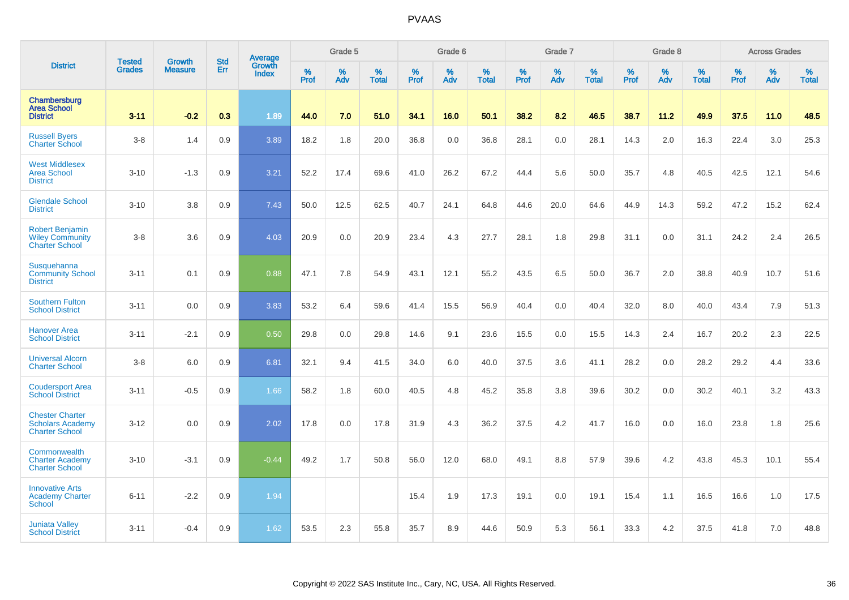|                                                                            |                                |                                 | <b>Std</b> | Average                |                  | Grade 5  |                   |           | Grade 6  |                   |           | Grade 7  |                   |           | Grade 8  |                   |           | <b>Across Grades</b> |                   |
|----------------------------------------------------------------------------|--------------------------------|---------------------------------|------------|------------------------|------------------|----------|-------------------|-----------|----------|-------------------|-----------|----------|-------------------|-----------|----------|-------------------|-----------|----------------------|-------------------|
| <b>District</b>                                                            | <b>Tested</b><br><b>Grades</b> | <b>Growth</b><br><b>Measure</b> | Err        | Growth<br><b>Index</b> | %<br><b>Prof</b> | %<br>Adv | %<br><b>Total</b> | %<br>Prof | %<br>Adv | %<br><b>Total</b> | %<br>Prof | %<br>Adv | %<br><b>Total</b> | %<br>Prof | %<br>Adv | %<br><b>Total</b> | %<br>Prof | %<br>Adv             | %<br><b>Total</b> |
| Chambersburg<br><b>Area School</b><br><b>District</b>                      | $3 - 11$                       | $-0.2$                          | 0.3        | 1.89                   | 44.0             | 7.0      | 51.0              | 34.1      | 16.0     | 50.1              | 38.2      | 8.2      | 46.5              | 38.7      | 11.2     | 49.9              | 37.5      | 11.0                 | 48.5              |
| <b>Russell Byers</b><br><b>Charter School</b>                              | $3-8$                          | 1.4                             | 0.9        | 3.89                   | 18.2             | 1.8      | 20.0              | 36.8      | 0.0      | 36.8              | 28.1      | 0.0      | 28.1              | 14.3      | 2.0      | 16.3              | 22.4      | 3.0                  | 25.3              |
| <b>West Middlesex</b><br><b>Area School</b><br><b>District</b>             | $3 - 10$                       | $-1.3$                          | 0.9        | 3.21                   | 52.2             | 17.4     | 69.6              | 41.0      | 26.2     | 67.2              | 44.4      | 5.6      | 50.0              | 35.7      | 4.8      | 40.5              | 42.5      | 12.1                 | 54.6              |
| <b>Glendale School</b><br><b>District</b>                                  | $3 - 10$                       | 3.8                             | 0.9        | 7.43                   | 50.0             | 12.5     | 62.5              | 40.7      | 24.1     | 64.8              | 44.6      | 20.0     | 64.6              | 44.9      | 14.3     | 59.2              | 47.2      | 15.2                 | 62.4              |
| <b>Robert Benjamin</b><br><b>Wiley Community</b><br><b>Charter School</b>  | $3-8$                          | 3.6                             | 0.9        | 4.03                   | 20.9             | 0.0      | 20.9              | 23.4      | 4.3      | 27.7              | 28.1      | 1.8      | 29.8              | 31.1      | 0.0      | 31.1              | 24.2      | 2.4                  | 26.5              |
| Susquehanna<br><b>Community School</b><br><b>District</b>                  | $3 - 11$                       | 0.1                             | 0.9        | 0.88                   | 47.1             | 7.8      | 54.9              | 43.1      | 12.1     | 55.2              | 43.5      | 6.5      | 50.0              | 36.7      | 2.0      | 38.8              | 40.9      | 10.7                 | 51.6              |
| <b>Southern Fulton</b><br><b>School District</b>                           | $3 - 11$                       | 0.0                             | 0.9        | 3.83                   | 53.2             | 6.4      | 59.6              | 41.4      | 15.5     | 56.9              | 40.4      | 0.0      | 40.4              | 32.0      | 8.0      | 40.0              | 43.4      | 7.9                  | 51.3              |
| <b>Hanover Area</b><br><b>School District</b>                              | $3 - 11$                       | $-2.1$                          | 0.9        | 0.50                   | 29.8             | 0.0      | 29.8              | 14.6      | 9.1      | 23.6              | 15.5      | 0.0      | 15.5              | 14.3      | 2.4      | 16.7              | 20.2      | 2.3                  | 22.5              |
| <b>Universal Alcorn</b><br><b>Charter School</b>                           | $3-8$                          | 6.0                             | 0.9        | 6.81                   | 32.1             | 9.4      | 41.5              | 34.0      | 6.0      | 40.0              | 37.5      | 3.6      | 41.1              | 28.2      | 0.0      | 28.2              | 29.2      | 4.4                  | 33.6              |
| <b>Coudersport Area</b><br><b>School District</b>                          | $3 - 11$                       | $-0.5$                          | 0.9        | 1.66                   | 58.2             | 1.8      | 60.0              | 40.5      | 4.8      | 45.2              | 35.8      | 3.8      | 39.6              | 30.2      | 0.0      | 30.2              | 40.1      | 3.2                  | 43.3              |
| <b>Chester Charter</b><br><b>Scholars Academy</b><br><b>Charter School</b> | $3 - 12$                       | 0.0                             | 0.9        | 2.02                   | 17.8             | 0.0      | 17.8              | 31.9      | 4.3      | 36.2              | 37.5      | 4.2      | 41.7              | 16.0      | 0.0      | 16.0              | 23.8      | 1.8                  | 25.6              |
| Commonwealth<br><b>Charter Academy</b><br><b>Charter School</b>            | $3 - 10$                       | $-3.1$                          | 0.9        | $-0.44$                | 49.2             | 1.7      | 50.8              | 56.0      | 12.0     | 68.0              | 49.1      | 8.8      | 57.9              | 39.6      | 4.2      | 43.8              | 45.3      | 10.1                 | 55.4              |
| <b>Innovative Arts</b><br><b>Academy Charter</b><br>School                 | $6 - 11$                       | $-2.2$                          | 0.9        | 1.94                   |                  |          |                   | 15.4      | 1.9      | 17.3              | 19.1      | 0.0      | 19.1              | 15.4      | 1.1      | 16.5              | 16.6      | 1.0                  | 17.5              |
| <b>Juniata Valley</b><br><b>School District</b>                            | $3 - 11$                       | $-0.4$                          | 0.9        | 1.62                   | 53.5             | 2.3      | 55.8              | 35.7      | 8.9      | 44.6              | 50.9      | 5.3      | 56.1              | 33.3      | 4.2      | 37.5              | 41.8      | 7.0                  | 48.8              |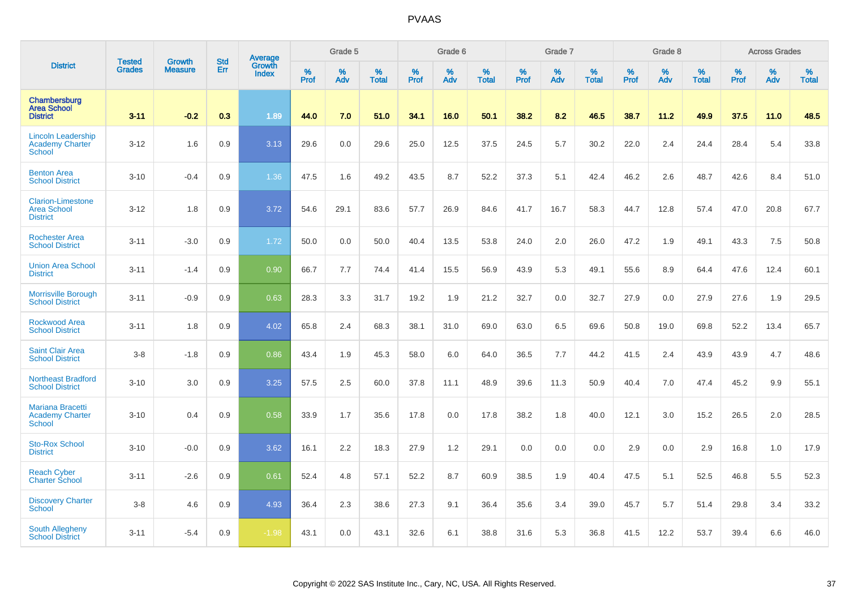|                                                                    | <b>Tested</b> | <b>Growth</b>  | <b>Std</b> | <b>Average</b><br>Growth |                     | Grade 5  |                   |           | Grade 6  |                   |           | Grade 7  |                   |           | Grade 8  |                   |                  | <b>Across Grades</b> |                   |
|--------------------------------------------------------------------|---------------|----------------|------------|--------------------------|---------------------|----------|-------------------|-----------|----------|-------------------|-----------|----------|-------------------|-----------|----------|-------------------|------------------|----------------------|-------------------|
| <b>District</b>                                                    | <b>Grades</b> | <b>Measure</b> | Err        | <b>Index</b>             | $\%$<br><b>Prof</b> | %<br>Adv | %<br><b>Total</b> | %<br>Prof | %<br>Adv | %<br><b>Total</b> | %<br>Prof | %<br>Adv | %<br><b>Total</b> | %<br>Prof | %<br>Adv | %<br><b>Total</b> | %<br><b>Prof</b> | %<br>Adv             | %<br><b>Total</b> |
| Chambersburg<br><b>Area School</b><br><b>District</b>              | $3 - 11$      | $-0.2$         | 0.3        | 1.89                     | 44.0                | 7.0      | 51.0              | 34.1      | 16.0     | 50.1              | 38.2      | 8.2      | 46.5              | 38.7      | 11.2     | 49.9              | 37.5             | 11.0                 | 48.5              |
| <b>Lincoln Leadership</b><br>Academy Charter<br><b>School</b>      | $3 - 12$      | 1.6            | 0.9        | 3.13                     | 29.6                | 0.0      | 29.6              | 25.0      | 12.5     | 37.5              | 24.5      | 5.7      | 30.2              | 22.0      | 2.4      | 24.4              | 28.4             | 5.4                  | 33.8              |
| <b>Benton Area</b><br><b>School District</b>                       | $3 - 10$      | $-0.4$         | 0.9        | 1.36                     | 47.5                | 1.6      | 49.2              | 43.5      | 8.7      | 52.2              | 37.3      | 5.1      | 42.4              | 46.2      | 2.6      | 48.7              | 42.6             | 8.4                  | 51.0              |
| <b>Clarion-Limestone</b><br><b>Area School</b><br><b>District</b>  | $3 - 12$      | 1.8            | 0.9        | 3.72                     | 54.6                | 29.1     | 83.6              | 57.7      | 26.9     | 84.6              | 41.7      | 16.7     | 58.3              | 44.7      | 12.8     | 57.4              | 47.0             | 20.8                 | 67.7              |
| <b>Rochester Area</b><br><b>School District</b>                    | $3 - 11$      | $-3.0$         | 0.9        | 1.72                     | 50.0                | 0.0      | 50.0              | 40.4      | 13.5     | 53.8              | 24.0      | 2.0      | 26.0              | 47.2      | 1.9      | 49.1              | 43.3             | 7.5                  | 50.8              |
| <b>Union Area School</b><br><b>District</b>                        | $3 - 11$      | $-1.4$         | 0.9        | 0.90                     | 66.7                | 7.7      | 74.4              | 41.4      | 15.5     | 56.9              | 43.9      | 5.3      | 49.1              | 55.6      | 8.9      | 64.4              | 47.6             | 12.4                 | 60.1              |
| <b>Morrisville Borough</b><br><b>School District</b>               | $3 - 11$      | $-0.9$         | 0.9        | 0.63                     | 28.3                | 3.3      | 31.7              | 19.2      | 1.9      | 21.2              | 32.7      | 0.0      | 32.7              | 27.9      | 0.0      | 27.9              | 27.6             | 1.9                  | 29.5              |
| <b>Rockwood Area</b><br><b>School District</b>                     | $3 - 11$      | 1.8            | 0.9        | 4.02                     | 65.8                | 2.4      | 68.3              | 38.1      | 31.0     | 69.0              | 63.0      | 6.5      | 69.6              | 50.8      | 19.0     | 69.8              | 52.2             | 13.4                 | 65.7              |
| <b>Saint Clair Area</b><br><b>School District</b>                  | $3-8$         | $-1.8$         | 0.9        | 0.86                     | 43.4                | 1.9      | 45.3              | 58.0      | 6.0      | 64.0              | 36.5      | 7.7      | 44.2              | 41.5      | 2.4      | 43.9              | 43.9             | 4.7                  | 48.6              |
| <b>Northeast Bradford</b><br><b>School District</b>                | $3 - 10$      | 3.0            | 0.9        | 3.25                     | 57.5                | 2.5      | 60.0              | 37.8      | 11.1     | 48.9              | 39.6      | 11.3     | 50.9              | 40.4      | 7.0      | 47.4              | 45.2             | 9.9                  | 55.1              |
| <b>Mariana Bracetti</b><br><b>Academy Charter</b><br><b>School</b> | $3 - 10$      | 0.4            | 0.9        | 0.58                     | 33.9                | 1.7      | 35.6              | 17.8      | 0.0      | 17.8              | 38.2      | 1.8      | 40.0              | 12.1      | 3.0      | 15.2              | 26.5             | 2.0                  | 28.5              |
| <b>Sto-Rox School</b><br><b>District</b>                           | $3 - 10$      | $-0.0$         | 0.9        | 3.62                     | 16.1                | 2.2      | 18.3              | 27.9      | 1.2      | 29.1              | 0.0       | 0.0      | 0.0               | 2.9       | 0.0      | 2.9               | 16.8             | 1.0                  | 17.9              |
| <b>Reach Cyber</b><br><b>Charter School</b>                        | $3 - 11$      | $-2.6$         | 0.9        | 0.61                     | 52.4                | 4.8      | 57.1              | 52.2      | 8.7      | 60.9              | 38.5      | 1.9      | 40.4              | 47.5      | 5.1      | 52.5              | 46.8             | 5.5                  | 52.3              |
| <b>Discovery Charter</b><br><b>School</b>                          | $3-8$         | 4.6            | 0.9        | 4.93                     | 36.4                | 2.3      | 38.6              | 27.3      | 9.1      | 36.4              | 35.6      | 3.4      | 39.0              | 45.7      | 5.7      | 51.4              | 29.8             | 3.4                  | 33.2              |
| <b>South Allegheny</b><br><b>School District</b>                   | $3 - 11$      | $-5.4$         | 0.9        | $-1.98$                  | 43.1                | 0.0      | 43.1              | 32.6      | 6.1      | 38.8              | 31.6      | 5.3      | 36.8              | 41.5      | 12.2     | 53.7              | 39.4             | 6.6                  | 46.0              |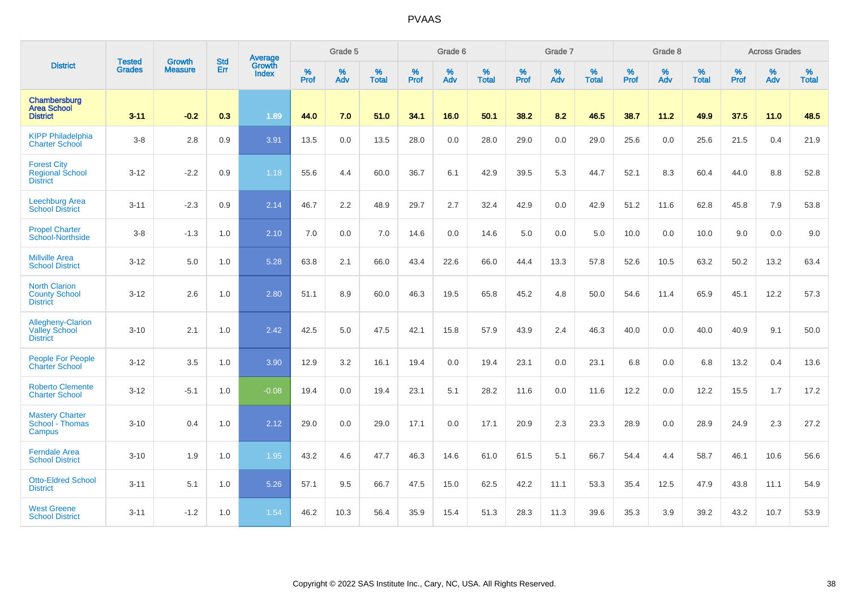|                                                                 | <b>Tested</b> | <b>Growth</b>  | <b>Std</b> | Average                |                     | Grade 5  |                   |                     | Grade 6  |                   |              | Grade 7  |                   |              | Grade 8  |                   |                     | <b>Across Grades</b> |                   |
|-----------------------------------------------------------------|---------------|----------------|------------|------------------------|---------------------|----------|-------------------|---------------------|----------|-------------------|--------------|----------|-------------------|--------------|----------|-------------------|---------------------|----------------------|-------------------|
| <b>District</b>                                                 | <b>Grades</b> | <b>Measure</b> | <b>Err</b> | Growth<br><b>Index</b> | $\%$<br><b>Prof</b> | %<br>Adv | %<br><b>Total</b> | $\%$<br><b>Prof</b> | %<br>Adv | %<br><b>Total</b> | $\%$<br>Prof | %<br>Adv | %<br><b>Total</b> | $\%$<br>Prof | %<br>Adv | %<br><b>Total</b> | $\%$<br><b>Prof</b> | %<br>Adv             | %<br><b>Total</b> |
| Chambersburg<br><b>Area School</b><br><b>District</b>           | $3 - 11$      | $-0.2$         | 0.3        | 1.89                   | 44.0                | 7.0      | 51.0              | 34.1                | 16.0     | 50.1              | 38.2         | 8.2      | 46.5              | 38.7         | 11.2     | 49.9              | 37.5                | $11.0$               | 48.5              |
| <b>KIPP Philadelphia</b><br><b>Charter School</b>               | $3-8$         | 2.8            | 0.9        | 3.91                   | 13.5                | 0.0      | 13.5              | 28.0                | 0.0      | 28.0              | 29.0         | 0.0      | 29.0              | 25.6         | 0.0      | 25.6              | 21.5                | 0.4                  | 21.9              |
| <b>Forest City</b><br>Regional School<br><b>District</b>        | $3 - 12$      | $-2.2$         | 0.9        | 1.18                   | 55.6                | 4.4      | 60.0              | 36.7                | 6.1      | 42.9              | 39.5         | 5.3      | 44.7              | 52.1         | 8.3      | 60.4              | 44.0                | 8.8                  | 52.8              |
| Leechburg Area<br><b>School District</b>                        | $3 - 11$      | $-2.3$         | 0.9        | 2.14                   | 46.7                | 2.2      | 48.9              | 29.7                | 2.7      | 32.4              | 42.9         | 0.0      | 42.9              | 51.2         | 11.6     | 62.8              | 45.8                | 7.9                  | 53.8              |
| <b>Propel Charter</b><br>School-Northside                       | $3 - 8$       | $-1.3$         | 1.0        | 2.10                   | 7.0                 | 0.0      | 7.0               | 14.6                | 0.0      | 14.6              | 5.0          | 0.0      | 5.0               | 10.0         | 0.0      | 10.0              | 9.0                 | 0.0                  | 9.0               |
| <b>Millville Area</b><br><b>School District</b>                 | $3 - 12$      | 5.0            | 1.0        | 5.28                   | 63.8                | 2.1      | 66.0              | 43.4                | 22.6     | 66.0              | 44.4         | 13.3     | 57.8              | 52.6         | 10.5     | 63.2              | 50.2                | 13.2                 | 63.4              |
| <b>North Clarion</b><br><b>County School</b><br><b>District</b> | $3 - 12$      | 2.6            | 1.0        | 2.80                   | 51.1                | 8.9      | 60.0              | 46.3                | 19.5     | 65.8              | 45.2         | 4.8      | 50.0              | 54.6         | 11.4     | 65.9              | 45.1                | 12.2                 | 57.3              |
| Allegheny-Clarion<br>Valley School<br><b>District</b>           | $3 - 10$      | 2.1            | 1.0        | 2.42                   | 42.5                | 5.0      | 47.5              | 42.1                | 15.8     | 57.9              | 43.9         | 2.4      | 46.3              | 40.0         | 0.0      | 40.0              | 40.9                | 9.1                  | 50.0              |
| <b>People For People</b><br><b>Charter School</b>               | $3 - 12$      | 3.5            | 1.0        | 3.90                   | 12.9                | 3.2      | 16.1              | 19.4                | 0.0      | 19.4              | 23.1         | 0.0      | 23.1              | 6.8          | 0.0      | 6.8               | 13.2                | 0.4                  | 13.6              |
| <b>Roberto Clemente</b><br><b>Charter School</b>                | $3 - 12$      | $-5.1$         | 1.0        | $-0.08$                | 19.4                | 0.0      | 19.4              | 23.1                | 5.1      | 28.2              | 11.6         | 0.0      | 11.6              | 12.2         | 0.0      | 12.2              | 15.5                | 1.7                  | 17.2              |
| <b>Mastery Charter</b><br>School - Thomas<br><b>Campus</b>      | $3 - 10$      | 0.4            | 1.0        | 2.12                   | 29.0                | 0.0      | 29.0              | 17.1                | 0.0      | 17.1              | 20.9         | 2.3      | 23.3              | 28.9         | 0.0      | 28.9              | 24.9                | 2.3                  | 27.2              |
| <b>Ferndale Area</b><br><b>School District</b>                  | $3 - 10$      | 1.9            | 1.0        | 1.95                   | 43.2                | 4.6      | 47.7              | 46.3                | 14.6     | 61.0              | 61.5         | 5.1      | 66.7              | 54.4         | 4.4      | 58.7              | 46.1                | 10.6                 | 56.6              |
| <b>Otto-Eldred School</b><br><b>District</b>                    | $3 - 11$      | 5.1            | 1.0        | 5.26                   | 57.1                | 9.5      | 66.7              | 47.5                | 15.0     | 62.5              | 42.2         | 11.1     | 53.3              | 35.4         | 12.5     | 47.9              | 43.8                | 11.1                 | 54.9              |
| <b>West Greene</b><br><b>School District</b>                    | $3 - 11$      | $-1.2$         | 1.0        | 1.54                   | 46.2                | 10.3     | 56.4              | 35.9                | 15.4     | 51.3              | 28.3         | 11.3     | 39.6              | 35.3         | 3.9      | 39.2              | 43.2                | 10.7                 | 53.9              |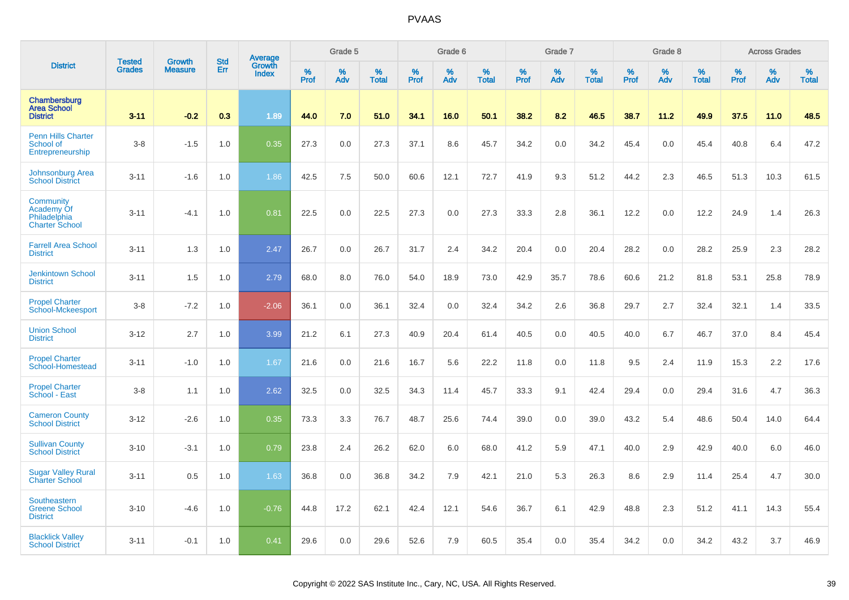|                                                                  | <b>Tested</b> | <b>Growth</b>  | <b>Std</b> |                                          |              | Grade 5  |                   |           | Grade 6  |                   |           | Grade 7  |                   |           | Grade 8  |                   |           | <b>Across Grades</b> |                   |
|------------------------------------------------------------------|---------------|----------------|------------|------------------------------------------|--------------|----------|-------------------|-----------|----------|-------------------|-----------|----------|-------------------|-----------|----------|-------------------|-----------|----------------------|-------------------|
| <b>District</b>                                                  | <b>Grades</b> | <b>Measure</b> | Err        | <b>Average</b><br>Growth<br><b>Index</b> | $\%$<br>Prof | %<br>Adv | %<br><b>Total</b> | %<br>Prof | %<br>Adv | %<br><b>Total</b> | %<br>Prof | %<br>Adv | %<br><b>Total</b> | %<br>Prof | %<br>Adv | %<br><b>Total</b> | %<br>Prof | %<br>Adv             | %<br><b>Total</b> |
| Chambersburg<br><b>Area School</b><br><b>District</b>            | $3 - 11$      | $-0.2$         | 0.3        | 1.89                                     | 44.0         | 7.0      | 51.0              | 34.1      | 16.0     | 50.1              | 38.2      | 8.2      | 46.5              | 38.7      | 11.2     | 49.9              | 37.5      | 11.0                 | 48.5              |
| <b>Penn Hills Charter</b><br>School of<br>Entrepreneurship       | $3-8$         | $-1.5$         | 1.0        | 0.35                                     | 27.3         | 0.0      | 27.3              | 37.1      | 8.6      | 45.7              | 34.2      | 0.0      | 34.2              | 45.4      | 0.0      | 45.4              | 40.8      | 6.4                  | 47.2              |
| Johnsonburg Area<br><b>School District</b>                       | $3 - 11$      | $-1.6$         | 1.0        | 1.86                                     | 42.5         | 7.5      | 50.0              | 60.6      | 12.1     | 72.7              | 41.9      | 9.3      | 51.2              | 44.2      | 2.3      | 46.5              | 51.3      | 10.3                 | 61.5              |
| Community<br>Academy Of<br>Philadelphia<br><b>Charter School</b> | $3 - 11$      | $-4.1$         | 1.0        | 0.81                                     | 22.5         | 0.0      | 22.5              | 27.3      | 0.0      | 27.3              | 33.3      | 2.8      | 36.1              | 12.2      | 0.0      | 12.2              | 24.9      | 1.4                  | 26.3              |
| <b>Farrell Area School</b><br><b>District</b>                    | $3 - 11$      | 1.3            | 1.0        | 2.47                                     | 26.7         | 0.0      | 26.7              | 31.7      | 2.4      | 34.2              | 20.4      | 0.0      | 20.4              | 28.2      | 0.0      | 28.2              | 25.9      | 2.3                  | 28.2              |
| <b>Jenkintown School</b><br><b>District</b>                      | $3 - 11$      | 1.5            | 1.0        | 2.79                                     | 68.0         | 8.0      | 76.0              | 54.0      | 18.9     | 73.0              | 42.9      | 35.7     | 78.6              | 60.6      | 21.2     | 81.8              | 53.1      | 25.8                 | 78.9              |
| <b>Propel Charter</b><br>School-Mckeesport                       | $3-8$         | $-7.2$         | 1.0        | $-2.06$                                  | 36.1         | 0.0      | 36.1              | 32.4      | 0.0      | 32.4              | 34.2      | 2.6      | 36.8              | 29.7      | 2.7      | 32.4              | 32.1      | 1.4                  | 33.5              |
| <b>Union School</b><br><b>District</b>                           | $3 - 12$      | 2.7            | 1.0        | 3.99                                     | 21.2         | 6.1      | 27.3              | 40.9      | 20.4     | 61.4              | 40.5      | 0.0      | 40.5              | 40.0      | 6.7      | 46.7              | 37.0      | 8.4                  | 45.4              |
| <b>Propel Charter</b><br>School-Homestead                        | $3 - 11$      | $-1.0$         | 1.0        | 1.67                                     | 21.6         | 0.0      | 21.6              | 16.7      | 5.6      | 22.2              | 11.8      | 0.0      | 11.8              | 9.5       | 2.4      | 11.9              | 15.3      | 2.2                  | 17.6              |
| <b>Propel Charter</b><br>School - East                           | $3-8$         | 1.1            | 1.0        | 2.62                                     | 32.5         | 0.0      | 32.5              | 34.3      | 11.4     | 45.7              | 33.3      | 9.1      | 42.4              | 29.4      | 0.0      | 29.4              | 31.6      | 4.7                  | 36.3              |
| <b>Cameron County</b><br><b>School District</b>                  | $3 - 12$      | $-2.6$         | 1.0        | 0.35                                     | 73.3         | 3.3      | 76.7              | 48.7      | 25.6     | 74.4              | 39.0      | 0.0      | 39.0              | 43.2      | 5.4      | 48.6              | 50.4      | 14.0                 | 64.4              |
| <b>Sullivan County</b><br><b>School District</b>                 | $3 - 10$      | $-3.1$         | 1.0        | 0.79                                     | 23.8         | 2.4      | 26.2              | 62.0      | 6.0      | 68.0              | 41.2      | 5.9      | 47.1              | 40.0      | 2.9      | 42.9              | 40.0      | 6.0                  | 46.0              |
| <b>Sugar Valley Rural</b><br><b>Charter School</b>               | $3 - 11$      | 0.5            | 1.0        | 1.63                                     | 36.8         | 0.0      | 36.8              | 34.2      | 7.9      | 42.1              | 21.0      | 5.3      | 26.3              | 8.6       | 2.9      | 11.4              | 25.4      | 4.7                  | 30.0              |
| Southeastern<br><b>Greene School</b><br><b>District</b>          | $3 - 10$      | $-4.6$         | 1.0        | $-0.76$                                  | 44.8         | 17.2     | 62.1              | 42.4      | 12.1     | 54.6              | 36.7      | 6.1      | 42.9              | 48.8      | 2.3      | 51.2              | 41.1      | 14.3                 | 55.4              |
| <b>Blacklick Valley</b><br><b>School District</b>                | $3 - 11$      | $-0.1$         | 1.0        | 0.41                                     | 29.6         | 0.0      | 29.6              | 52.6      | 7.9      | 60.5              | 35.4      | 0.0      | 35.4              | 34.2      | 0.0      | 34.2              | 43.2      | 3.7                  | 46.9              |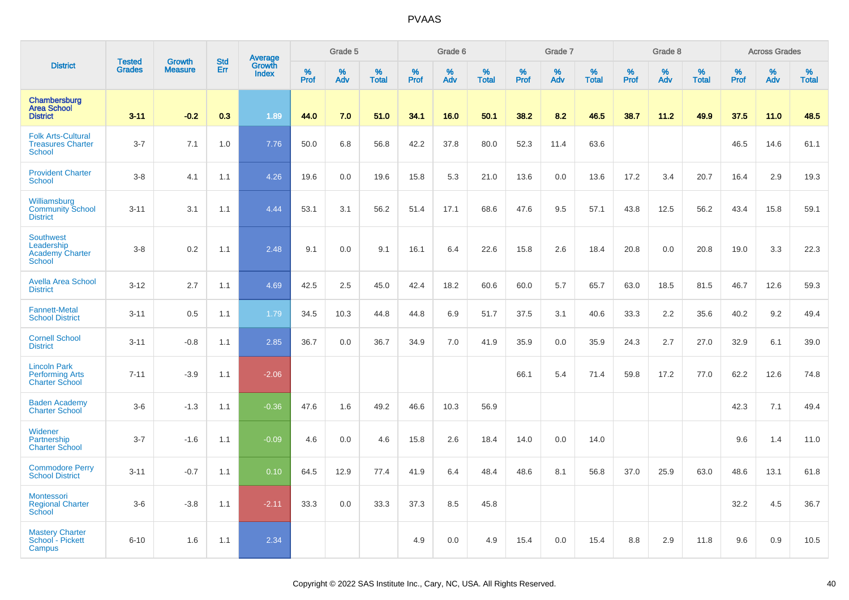|                                                                           | <b>Tested</b> | <b>Growth</b>  | <b>Std</b> | <b>Average</b><br>Growth |                     | Grade 5  |                   |                  | Grade 6  |                   |              | Grade 7  |                   |              | Grade 8  |                   |              | <b>Across Grades</b> |                   |
|---------------------------------------------------------------------------|---------------|----------------|------------|--------------------------|---------------------|----------|-------------------|------------------|----------|-------------------|--------------|----------|-------------------|--------------|----------|-------------------|--------------|----------------------|-------------------|
| <b>District</b>                                                           | <b>Grades</b> | <b>Measure</b> | Err        | <b>Index</b>             | $\%$<br><b>Prof</b> | %<br>Adv | %<br><b>Total</b> | %<br><b>Prof</b> | %<br>Adv | %<br><b>Total</b> | $\%$<br>Prof | %<br>Adv | %<br><b>Total</b> | $\%$<br>Prof | %<br>Adv | %<br><b>Total</b> | $\%$<br>Prof | $\%$<br>Adv          | %<br><b>Total</b> |
| Chambersburg<br><b>Area School</b><br><b>District</b>                     | $3 - 11$      | $-0.2$         | 0.3        | 1.89                     | 44.0                | 7.0      | 51.0              | 34.1             | 16.0     | 50.1              | 38.2         | 8.2      | 46.5              | 38.7         | 11.2     | 49.9              | 37.5         | 11.0                 | 48.5              |
| <b>Folk Arts-Cultural</b><br><b>Treasures Charter</b><br><b>School</b>    | $3 - 7$       | 7.1            | 1.0        | 7.76                     | 50.0                | 6.8      | 56.8              | 42.2             | 37.8     | 80.0              | 52.3         | 11.4     | 63.6              |              |          |                   | 46.5         | 14.6                 | 61.1              |
| <b>Provident Charter</b><br><b>School</b>                                 | $3 - 8$       | 4.1            | 1.1        | 4.26                     | 19.6                | 0.0      | 19.6              | 15.8             | 5.3      | 21.0              | 13.6         | 0.0      | 13.6              | 17.2         | 3.4      | 20.7              | 16.4         | 2.9                  | 19.3              |
| Williamsburg<br><b>Community School</b><br><b>District</b>                | $3 - 11$      | 3.1            | 1.1        | 4.44                     | 53.1                | 3.1      | 56.2              | 51.4             | 17.1     | 68.6              | 47.6         | 9.5      | 57.1              | 43.8         | 12.5     | 56.2              | 43.4         | 15.8                 | 59.1              |
| <b>Southwest</b><br>Leadership<br><b>Academy Charter</b><br><b>School</b> | $3 - 8$       | 0.2            | 1.1        | 2.48                     | 9.1                 | 0.0      | 9.1               | 16.1             | 6.4      | 22.6              | 15.8         | 2.6      | 18.4              | 20.8         | 0.0      | 20.8              | 19.0         | 3.3                  | 22.3              |
| <b>Avella Area School</b><br><b>District</b>                              | $3 - 12$      | 2.7            | 1.1        | 4.69                     | 42.5                | 2.5      | 45.0              | 42.4             | 18.2     | 60.6              | 60.0         | 5.7      | 65.7              | 63.0         | 18.5     | 81.5              | 46.7         | 12.6                 | 59.3              |
| <b>Fannett-Metal</b><br><b>School District</b>                            | $3 - 11$      | 0.5            | 1.1        | 1.79                     | 34.5                | 10.3     | 44.8              | 44.8             | 6.9      | 51.7              | 37.5         | 3.1      | 40.6              | 33.3         | 2.2      | 35.6              | 40.2         | 9.2                  | 49.4              |
| <b>Cornell School</b><br><b>District</b>                                  | $3 - 11$      | $-0.8$         | 1.1        | 2.85                     | 36.7                | 0.0      | 36.7              | 34.9             | 7.0      | 41.9              | 35.9         | 0.0      | 35.9              | 24.3         | 2.7      | 27.0              | 32.9         | 6.1                  | 39.0              |
| <b>Lincoln Park</b><br><b>Performing Arts</b><br><b>Charter School</b>    | $7 - 11$      | $-3.9$         | 1.1        | $-2.06$                  |                     |          |                   |                  |          |                   | 66.1         | 5.4      | 71.4              | 59.8         | 17.2     | 77.0              | 62.2         | 12.6                 | 74.8              |
| <b>Baden Academy</b><br><b>Charter School</b>                             | $3-6$         | $-1.3$         | 1.1        | $-0.36$                  | 47.6                | 1.6      | 49.2              | 46.6             | 10.3     | 56.9              |              |          |                   |              |          |                   | 42.3         | 7.1                  | 49.4              |
| Widener<br>Partnership<br><b>Charter School</b>                           | $3 - 7$       | $-1.6$         | 1.1        | $-0.09$                  | 4.6                 | 0.0      | 4.6               | 15.8             | 2.6      | 18.4              | 14.0         | 0.0      | 14.0              |              |          |                   | 9.6          | 1.4                  | 11.0              |
| <b>Commodore Perry</b><br><b>School District</b>                          | $3 - 11$      | $-0.7$         | 1.1        | 0.10                     | 64.5                | 12.9     | 77.4              | 41.9             | 6.4      | 48.4              | 48.6         | 8.1      | 56.8              | 37.0         | 25.9     | 63.0              | 48.6         | 13.1                 | 61.8              |
| <b>Montessori</b><br><b>Regional Charter</b><br>School                    | $3-6$         | $-3.8$         | 1.1        | $-2.11$                  | 33.3                | 0.0      | 33.3              | 37.3             | 8.5      | 45.8              |              |          |                   |              |          |                   | 32.2         | 4.5                  | 36.7              |
| <b>Mastery Charter</b><br>School - Pickett<br>Campus                      | $6 - 10$      | 1.6            | 1.1        | 2.34                     |                     |          |                   | 4.9              | 0.0      | 4.9               | 15.4         | 0.0      | 15.4              | 8.8          | 2.9      | 11.8              | 9.6          | 0.9                  | 10.5              |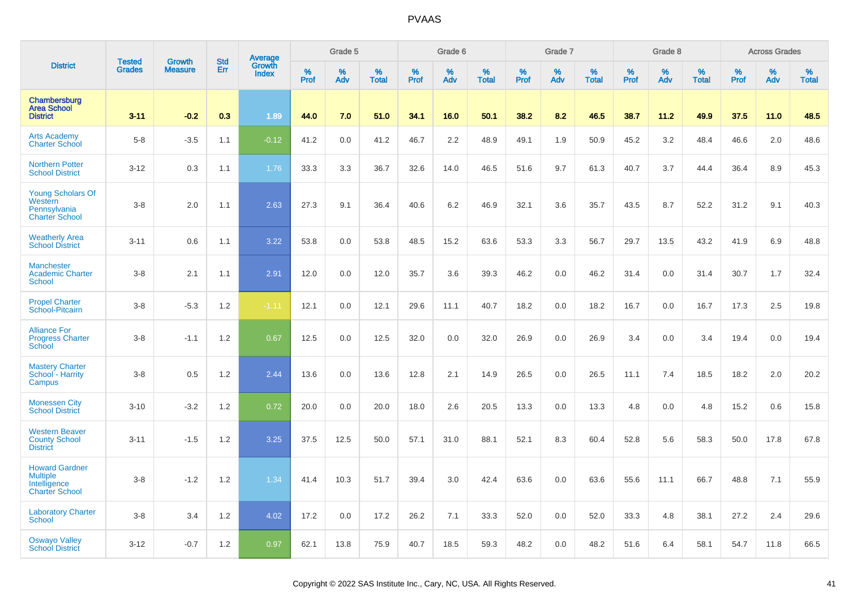|                                                                                   | <b>Tested</b> | <b>Growth</b>  | <b>Std</b> |                                   |           | Grade 5  |                   |              | Grade 6  |                   |              | Grade 7  |                   |              | Grade 8  |                   |           | <b>Across Grades</b> |                   |
|-----------------------------------------------------------------------------------|---------------|----------------|------------|-----------------------------------|-----------|----------|-------------------|--------------|----------|-------------------|--------------|----------|-------------------|--------------|----------|-------------------|-----------|----------------------|-------------------|
| <b>District</b>                                                                   | <b>Grades</b> | <b>Measure</b> | Err        | Average<br>Growth<br><b>Index</b> | %<br>Prof | %<br>Adv | %<br><b>Total</b> | $\%$<br>Prof | %<br>Adv | %<br><b>Total</b> | $\%$<br>Prof | %<br>Adv | %<br><b>Total</b> | $\%$<br>Prof | %<br>Adv | %<br><b>Total</b> | %<br>Prof | %<br>Adv             | %<br><b>Total</b> |
| Chambersburg<br><b>Area School</b><br><b>District</b>                             | $3 - 11$      | $-0.2$         | 0.3        | 1.89                              | 44.0      | 7.0      | 51.0              | 34.1         | 16.0     | 50.1              | 38.2         | 8.2      | 46.5              | 38.7         | 11.2     | 49.9              | 37.5      | 11.0                 | 48.5              |
| <b>Arts Academy</b><br><b>Charter School</b>                                      | $5-8$         | $-3.5$         | 1.1        | $-0.12$                           | 41.2      | 0.0      | 41.2              | 46.7         | 2.2      | 48.9              | 49.1         | 1.9      | 50.9              | 45.2         | 3.2      | 48.4              | 46.6      | 2.0                  | 48.6              |
| <b>Northern Potter</b><br><b>School District</b>                                  | $3 - 12$      | 0.3            | 1.1        | 1.76                              | 33.3      | 3.3      | 36.7              | 32.6         | 14.0     | 46.5              | 51.6         | 9.7      | 61.3              | 40.7         | 3.7      | 44.4              | 36.4      | 8.9                  | 45.3              |
| <b>Young Scholars Of</b><br>Western<br>Pennsylvania<br><b>Charter School</b>      | $3-8$         | 2.0            | 1.1        | 2.63                              | 27.3      | 9.1      | 36.4              | 40.6         | 6.2      | 46.9              | 32.1         | 3.6      | 35.7              | 43.5         | 8.7      | 52.2              | 31.2      | 9.1                  | 40.3              |
| <b>Weatherly Area</b><br><b>School District</b>                                   | $3 - 11$      | 0.6            | 1.1        | 3.22                              | 53.8      | 0.0      | 53.8              | 48.5         | 15.2     | 63.6              | 53.3         | 3.3      | 56.7              | 29.7         | 13.5     | 43.2              | 41.9      | 6.9                  | 48.8              |
| <b>Manchester</b><br><b>Academic Charter</b><br><b>School</b>                     | $3 - 8$       | 2.1            | 1.1        | 2.91                              | 12.0      | 0.0      | 12.0              | 35.7         | 3.6      | 39.3              | 46.2         | 0.0      | 46.2              | 31.4         | 0.0      | 31.4              | 30.7      | 1.7                  | 32.4              |
| <b>Propel Charter</b><br>School-Pitcairn                                          | $3-8$         | $-5.3$         | 1.2        | $-1.11$                           | 12.1      | 0.0      | 12.1              | 29.6         | 11.1     | 40.7              | 18.2         | 0.0      | 18.2              | 16.7         | 0.0      | 16.7              | 17.3      | 2.5                  | 19.8              |
| <b>Alliance For</b><br><b>Progress Charter</b><br>School                          | $3-8$         | $-1.1$         | 1.2        | 0.67                              | 12.5      | 0.0      | 12.5              | 32.0         | 0.0      | 32.0              | 26.9         | 0.0      | 26.9              | 3.4          | 0.0      | 3.4               | 19.4      | 0.0                  | 19.4              |
| <b>Mastery Charter</b><br>School - Harrity<br>Campus                              | $3-8$         | 0.5            | 1.2        | 2.44                              | 13.6      | 0.0      | 13.6              | 12.8         | 2.1      | 14.9              | 26.5         | 0.0      | 26.5              | 11.1         | 7.4      | 18.5              | 18.2      | 2.0                  | 20.2              |
| <b>Monessen City</b><br><b>School District</b>                                    | $3 - 10$      | $-3.2$         | 1.2        | 0.72                              | 20.0      | 0.0      | 20.0              | 18.0         | 2.6      | 20.5              | 13.3         | 0.0      | 13.3              | 4.8          | 0.0      | 4.8               | 15.2      | 0.6                  | 15.8              |
| <b>Western Beaver</b><br><b>County School</b><br><b>District</b>                  | $3 - 11$      | $-1.5$         | 1.2        | 3.25                              | 37.5      | 12.5     | 50.0              | 57.1         | 31.0     | 88.1              | 52.1         | 8.3      | 60.4              | 52.8         | 5.6      | 58.3              | 50.0      | 17.8                 | 67.8              |
| <b>Howard Gardner</b><br><b>Multiple</b><br>Intelligence<br><b>Charter School</b> | $3-8$         | $-1.2$         | 1.2        | 1.34                              | 41.4      | 10.3     | 51.7              | 39.4         | 3.0      | 42.4              | 63.6         | 0.0      | 63.6              | 55.6         | 11.1     | 66.7              | 48.8      | 7.1                  | 55.9              |
| <b>Laboratory Charter</b><br><b>School</b>                                        | $3-8$         | 3.4            | 1.2        | 4.02                              | 17.2      | 0.0      | 17.2              | 26.2         | 7.1      | 33.3              | 52.0         | 0.0      | 52.0              | 33.3         | 4.8      | 38.1              | 27.2      | 2.4                  | 29.6              |
| <b>Oswayo Valley</b><br>School District                                           | $3 - 12$      | $-0.7$         | 1.2        | 0.97                              | 62.1      | 13.8     | 75.9              | 40.7         | 18.5     | 59.3              | 48.2         | 0.0      | 48.2              | 51.6         | 6.4      | 58.1              | 54.7      | 11.8                 | 66.5              |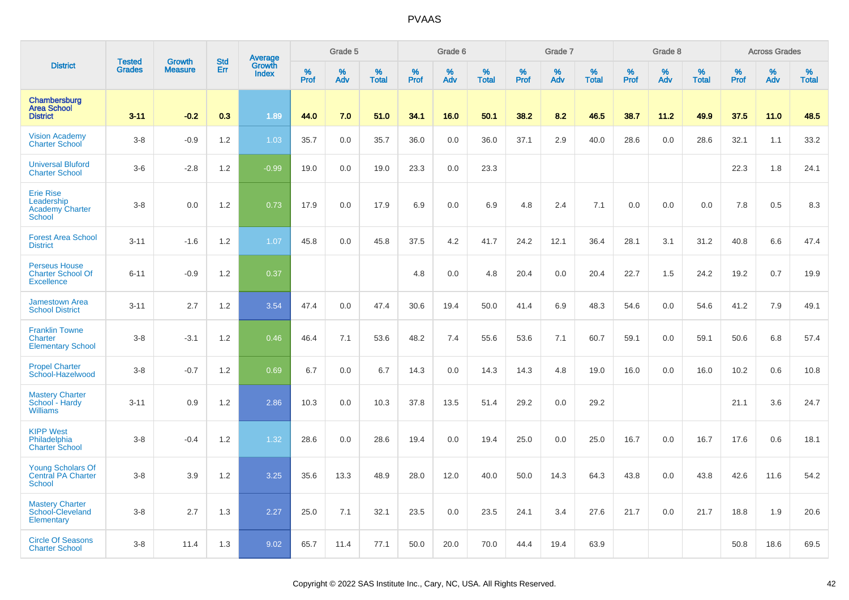|                                                                           | <b>Tested</b> | <b>Growth</b>  | <b>Std</b> |                                   |              | Grade 5  |                   |              | Grade 6  |                   |              | Grade 7  |                   |                     | Grade 8  |                   |              | <b>Across Grades</b> |                   |
|---------------------------------------------------------------------------|---------------|----------------|------------|-----------------------------------|--------------|----------|-------------------|--------------|----------|-------------------|--------------|----------|-------------------|---------------------|----------|-------------------|--------------|----------------------|-------------------|
| <b>District</b>                                                           | <b>Grades</b> | <b>Measure</b> | Err        | Average<br>Growth<br><b>Index</b> | $\%$<br>Prof | %<br>Adv | %<br><b>Total</b> | $\%$<br>Prof | %<br>Adv | %<br><b>Total</b> | $\%$<br>Prof | %<br>Adv | %<br><b>Total</b> | $\%$<br><b>Prof</b> | %<br>Adv | %<br><b>Total</b> | $\%$<br>Prof | %<br>Adv             | %<br><b>Total</b> |
| Chambersburg<br><b>Area School</b><br><b>District</b>                     | $3 - 11$      | $-0.2$         | 0.3        | 1.89                              | 44.0         | 7.0      | 51.0              | 34.1         | 16.0     | 50.1              | 38.2         | 8.2      | 46.5              | 38.7                | 11.2     | 49.9              | 37.5         | 11.0                 | 48.5              |
| <b>Vision Academy</b><br><b>Charter School</b>                            | $3 - 8$       | $-0.9$         | 1.2        | 1.03                              | 35.7         | $0.0\,$  | 35.7              | 36.0         | 0.0      | 36.0              | 37.1         | 2.9      | 40.0              | 28.6                | 0.0      | 28.6              | 32.1         | 1.1                  | 33.2              |
| <b>Universal Bluford</b><br><b>Charter School</b>                         | $3-6$         | $-2.8$         | 1.2        | $-0.99$                           | 19.0         | 0.0      | 19.0              | 23.3         | 0.0      | 23.3              |              |          |                   |                     |          |                   | 22.3         | 1.8                  | 24.1              |
| <b>Erie Rise</b><br>Leadership<br><b>Academy Charter</b><br><b>School</b> | $3-8$         | 0.0            | 1.2        | 0.73                              | 17.9         | 0.0      | 17.9              | 6.9          | 0.0      | 6.9               | 4.8          | 2.4      | 7.1               | 0.0                 | 0.0      | 0.0               | 7.8          | 0.5                  | 8.3               |
| <b>Forest Area School</b><br><b>District</b>                              | $3 - 11$      | $-1.6$         | 1.2        | 1.07                              | 45.8         | 0.0      | 45.8              | 37.5         | 4.2      | 41.7              | 24.2         | 12.1     | 36.4              | 28.1                | 3.1      | 31.2              | 40.8         | 6.6                  | 47.4              |
| <b>Perseus House</b><br><b>Charter School Of</b><br><b>Excellence</b>     | $6 - 11$      | $-0.9$         | 1.2        | 0.37                              |              |          |                   | 4.8          | 0.0      | 4.8               | 20.4         | 0.0      | 20.4              | 22.7                | 1.5      | 24.2              | 19.2         | 0.7                  | 19.9              |
| <b>Jamestown Area</b><br><b>School District</b>                           | $3 - 11$      | 2.7            | 1.2        | 3.54                              | 47.4         | 0.0      | 47.4              | 30.6         | 19.4     | 50.0              | 41.4         | 6.9      | 48.3              | 54.6                | 0.0      | 54.6              | 41.2         | 7.9                  | 49.1              |
| <b>Franklin Towne</b><br>Charter<br><b>Elementary School</b>              | $3-8$         | $-3.1$         | 1.2        | 0.46                              | 46.4         | 7.1      | 53.6              | 48.2         | 7.4      | 55.6              | 53.6         | 7.1      | 60.7              | 59.1                | 0.0      | 59.1              | 50.6         | 6.8                  | 57.4              |
| <b>Propel Charter</b><br>School-Hazelwood                                 | $3 - 8$       | $-0.7$         | 1.2        | 0.69                              | 6.7          | 0.0      | 6.7               | 14.3         | 0.0      | 14.3              | 14.3         | 4.8      | 19.0              | 16.0                | 0.0      | 16.0              | 10.2         | 0.6                  | 10.8              |
| <b>Mastery Charter</b><br>School - Hardy<br><b>Williams</b>               | $3 - 11$      | 0.9            | 1.2        | 2.86                              | 10.3         | 0.0      | 10.3              | 37.8         | 13.5     | 51.4              | 29.2         | 0.0      | 29.2              |                     |          |                   | 21.1         | 3.6                  | 24.7              |
| <b>KIPP West</b><br>Philadelphia<br><b>Charter School</b>                 | $3 - 8$       | $-0.4$         | 1.2        | 1.32                              | 28.6         | 0.0      | 28.6              | 19.4         | 0.0      | 19.4              | 25.0         | 0.0      | 25.0              | 16.7                | 0.0      | 16.7              | 17.6         | 0.6                  | 18.1              |
| <b>Young Scholars Of</b><br><b>Central PA Charter</b><br><b>School</b>    | $3-8$         | 3.9            | 1.2        | 3.25                              | 35.6         | 13.3     | 48.9              | 28.0         | 12.0     | 40.0              | 50.0         | 14.3     | 64.3              | 43.8                | 0.0      | 43.8              | 42.6         | 11.6                 | 54.2              |
| <b>Mastery Charter</b><br>School-Cleveland<br>Elementary                  | $3-8$         | 2.7            | 1.3        | 2.27                              | 25.0         | 7.1      | 32.1              | 23.5         | 0.0      | 23.5              | 24.1         | 3.4      | 27.6              | 21.7                | 0.0      | 21.7              | 18.8         | 1.9                  | 20.6              |
| <b>Circle Of Seasons</b><br><b>Charter School</b>                         | $3 - 8$       | 11.4           | 1.3        | 9.02                              | 65.7         | 11.4     | 77.1              | 50.0         | 20.0     | 70.0              | 44.4         | 19.4     | 63.9              |                     |          |                   | 50.8         | 18.6                 | 69.5              |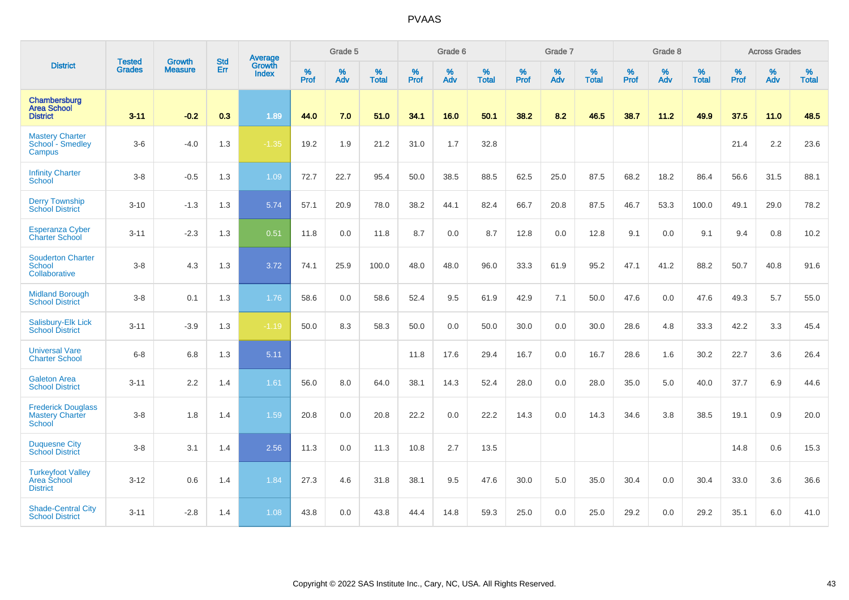|                                                                      | <b>Tested</b> | <b>Growth</b>  | <b>Std</b> | Average                |           | Grade 5  |                   |           | Grade 6  |                   |           | Grade 7  |                   |           | Grade 8  |                   |           | <b>Across Grades</b> |                   |
|----------------------------------------------------------------------|---------------|----------------|------------|------------------------|-----------|----------|-------------------|-----------|----------|-------------------|-----------|----------|-------------------|-----------|----------|-------------------|-----------|----------------------|-------------------|
| <b>District</b>                                                      | <b>Grades</b> | <b>Measure</b> | Err        | Growth<br><b>Index</b> | %<br>Prof | %<br>Adv | %<br><b>Total</b> | %<br>Prof | %<br>Adv | %<br><b>Total</b> | %<br>Prof | %<br>Adv | %<br><b>Total</b> | %<br>Prof | %<br>Adv | %<br><b>Total</b> | %<br>Prof | %<br>Adv             | %<br><b>Total</b> |
| Chambersburg<br><b>Area School</b><br><b>District</b>                | $3 - 11$      | $-0.2$         | 0.3        | 1.89                   | 44.0      | 7.0      | 51.0              | 34.1      | 16.0     | 50.1              | 38.2      | 8.2      | 46.5              | 38.7      | 11.2     | 49.9              | 37.5      | 11.0                 | 48.5              |
| <b>Mastery Charter</b><br>School - Smedley<br>Campus                 | $3-6$         | $-4.0$         | 1.3        | $-1.35$                | 19.2      | 1.9      | 21.2              | 31.0      | 1.7      | 32.8              |           |          |                   |           |          |                   | 21.4      | 2.2                  | 23.6              |
| <b>Infinity Charter</b><br>School                                    | $3-8$         | $-0.5$         | 1.3        | 1.09                   | 72.7      | 22.7     | 95.4              | 50.0      | 38.5     | 88.5              | 62.5      | 25.0     | 87.5              | 68.2      | 18.2     | 86.4              | 56.6      | 31.5                 | 88.1              |
| <b>Derry Township</b><br><b>School District</b>                      | $3 - 10$      | $-1.3$         | 1.3        | 5.74                   | 57.1      | 20.9     | 78.0              | 38.2      | 44.1     | 82.4              | 66.7      | 20.8     | 87.5              | 46.7      | 53.3     | 100.0             | 49.1      | 29.0                 | 78.2              |
| <b>Esperanza Cyber</b><br><b>Charter School</b>                      | $3 - 11$      | $-2.3$         | 1.3        | 0.51                   | 11.8      | 0.0      | 11.8              | 8.7       | 0.0      | 8.7               | 12.8      | 0.0      | 12.8              | 9.1       | 0.0      | 9.1               | 9.4       | 0.8                  | 10.2              |
| <b>Souderton Charter</b><br>School<br>Collaborative                  | $3 - 8$       | 4.3            | 1.3        | 3.72                   | 74.1      | 25.9     | 100.0             | 48.0      | 48.0     | 96.0              | 33.3      | 61.9     | 95.2              | 47.1      | 41.2     | 88.2              | 50.7      | 40.8                 | 91.6              |
| <b>Midland Borough</b><br><b>School District</b>                     | $3-8$         | 0.1            | 1.3        | 1.76                   | 58.6      | 0.0      | 58.6              | 52.4      | 9.5      | 61.9              | 42.9      | 7.1      | 50.0              | 47.6      | 0.0      | 47.6              | 49.3      | 5.7                  | 55.0              |
| Salisbury-Elk Lick<br><b>School District</b>                         | $3 - 11$      | $-3.9$         | 1.3        | $-1.19$                | 50.0      | 8.3      | 58.3              | 50.0      | 0.0      | 50.0              | 30.0      | 0.0      | 30.0              | 28.6      | 4.8      | 33.3              | 42.2      | 3.3                  | 45.4              |
| <b>Universal Vare</b><br><b>Charter School</b>                       | $6 - 8$       | 6.8            | 1.3        | 5.11                   |           |          |                   | 11.8      | 17.6     | 29.4              | 16.7      | 0.0      | 16.7              | 28.6      | 1.6      | 30.2              | 22.7      | 3.6                  | 26.4              |
| <b>Galeton Area</b><br><b>School District</b>                        | $3 - 11$      | 2.2            | 1.4        | 1.61                   | 56.0      | 8.0      | 64.0              | 38.1      | 14.3     | 52.4              | 28.0      | 0.0      | 28.0              | 35.0      | 5.0      | 40.0              | 37.7      | 6.9                  | 44.6              |
| <b>Frederick Douglass</b><br><b>Mastery Charter</b><br><b>School</b> | $3 - 8$       | 1.8            | 1.4        | 1.59                   | 20.8      | 0.0      | 20.8              | 22.2      | 0.0      | 22.2              | 14.3      | 0.0      | 14.3              | 34.6      | 3.8      | 38.5              | 19.1      | 0.9                  | 20.0              |
| <b>Duquesne City</b><br><b>School District</b>                       | $3 - 8$       | 3.1            | 1.4        | 2.56                   | 11.3      | 0.0      | 11.3              | 10.8      | 2.7      | 13.5              |           |          |                   |           |          |                   | 14.8      | 0.6                  | 15.3              |
| <b>Turkeyfoot Valley</b><br>Area School<br><b>District</b>           | $3 - 12$      | 0.6            | 1.4        | 1.84                   | 27.3      | 4.6      | 31.8              | 38.1      | 9.5      | 47.6              | 30.0      | 5.0      | 35.0              | 30.4      | 0.0      | 30.4              | 33.0      | 3.6                  | 36.6              |
| <b>Shade-Central City</b><br><b>School District</b>                  | $3 - 11$      | $-2.8$         | 1.4        | 1.08                   | 43.8      | 0.0      | 43.8              | 44.4      | 14.8     | 59.3              | 25.0      | 0.0      | 25.0              | 29.2      | 0.0      | 29.2              | 35.1      | 6.0                  | 41.0              |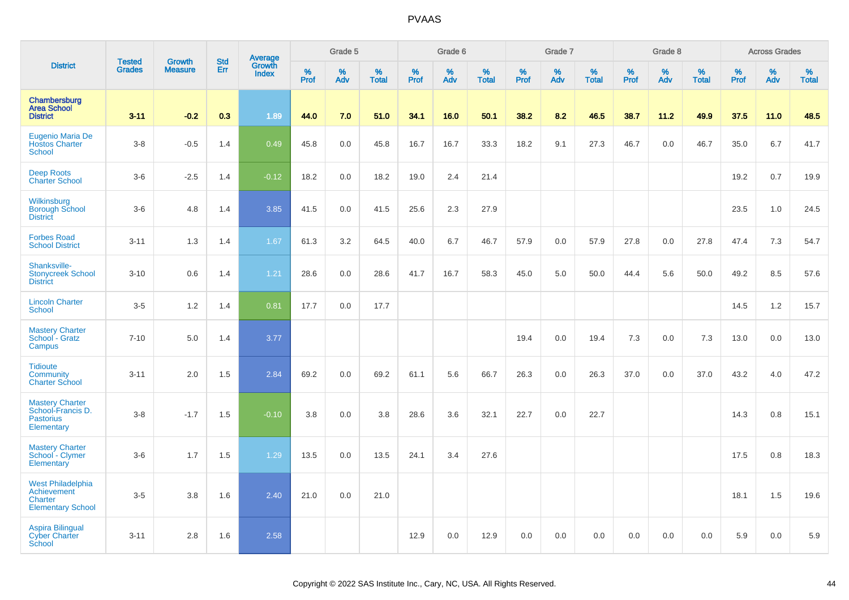|                                                                                |                                |                          |                   | Average                |                     | Grade 5  |                   |                  | Grade 6  |                   |                  | Grade 7  |                   |           | Grade 8  |                   |           | <b>Across Grades</b> |                   |
|--------------------------------------------------------------------------------|--------------------------------|--------------------------|-------------------|------------------------|---------------------|----------|-------------------|------------------|----------|-------------------|------------------|----------|-------------------|-----------|----------|-------------------|-----------|----------------------|-------------------|
| <b>District</b>                                                                | <b>Tested</b><br><b>Grades</b> | Growth<br><b>Measure</b> | <b>Std</b><br>Err | Growth<br><b>Index</b> | $\%$<br><b>Prof</b> | %<br>Adv | %<br><b>Total</b> | %<br><b>Prof</b> | %<br>Adv | %<br><b>Total</b> | %<br><b>Prof</b> | %<br>Adv | %<br><b>Total</b> | %<br>Prof | %<br>Adv | %<br><b>Total</b> | %<br>Prof | $\%$<br>Adv          | %<br><b>Total</b> |
| Chambersburg<br><b>Area School</b><br><b>District</b>                          | $3 - 11$                       | $-0.2$                   | 0.3               | 1.89                   | 44.0                | 7.0      | 51.0              | 34.1             | 16.0     | 50.1              | 38.2             | 8.2      | 46.5              | 38.7      | 11.2     | 49.9              | 37.5      | $11.0$               | 48.5              |
| Eugenio Maria De<br><b>Hostos Charter</b><br><b>School</b>                     | $3-8$                          | $-0.5$                   | 1.4               | 0.49                   | 45.8                | 0.0      | 45.8              | 16.7             | 16.7     | 33.3              | 18.2             | 9.1      | 27.3              | 46.7      | 0.0      | 46.7              | 35.0      | 6.7                  | 41.7              |
| <b>Deep Roots</b><br><b>Charter School</b>                                     | $3-6$                          | $-2.5$                   | 1.4               | $-0.12$                | 18.2                | 0.0      | 18.2              | 19.0             | 2.4      | 21.4              |                  |          |                   |           |          |                   | 19.2      | 0.7                  | 19.9              |
| Wilkinsburg<br><b>Borough School</b><br><b>District</b>                        | $3-6$                          | 4.8                      | 1.4               | 3.85                   | 41.5                | 0.0      | 41.5              | 25.6             | 2.3      | 27.9              |                  |          |                   |           |          |                   | 23.5      | 1.0                  | 24.5              |
| <b>Forbes Road</b><br><b>School District</b>                                   | $3 - 11$                       | 1.3                      | 1.4               | 1.67                   | 61.3                | 3.2      | 64.5              | 40.0             | 6.7      | 46.7              | 57.9             | 0.0      | 57.9              | 27.8      | 0.0      | 27.8              | 47.4      | 7.3                  | 54.7              |
| Shanksville-<br><b>Stonycreek School</b><br><b>District</b>                    | $3 - 10$                       | 0.6                      | 1.4               | 1.21                   | 28.6                | 0.0      | 28.6              | 41.7             | 16.7     | 58.3              | 45.0             | 5.0      | 50.0              | 44.4      | 5.6      | 50.0              | 49.2      | 8.5                  | 57.6              |
| <b>Lincoln Charter</b><br><b>School</b>                                        | $3-5$                          | 1.2                      | 1.4               | 0.81                   | 17.7                | 0.0      | 17.7              |                  |          |                   |                  |          |                   |           |          |                   | 14.5      | 1.2                  | 15.7              |
| <b>Mastery Charter</b><br>School - Gratz<br>Campus                             | $7 - 10$                       | 5.0                      | 1.4               | 3.77                   |                     |          |                   |                  |          |                   | 19.4             | 0.0      | 19.4              | 7.3       | 0.0      | 7.3               | 13.0      | 0.0                  | 13.0              |
| <b>Tidioute</b><br>Community<br><b>Charter School</b>                          | $3 - 11$                       | 2.0                      | 1.5               | 2.84                   | 69.2                | 0.0      | 69.2              | 61.1             | 5.6      | 66.7              | 26.3             | 0.0      | 26.3              | 37.0      | 0.0      | 37.0              | 43.2      | 4.0                  | 47.2              |
| <b>Mastery Charter</b><br>School-Francis D.<br><b>Pastorius</b><br>Elementary  | $3-8$                          | $-1.7$                   | 1.5               | $-0.10$                | 3.8                 | 0.0      | 3.8               | 28.6             | 3.6      | 32.1              | 22.7             | 0.0      | 22.7              |           |          |                   | 14.3      | 0.8                  | 15.1              |
| <b>Mastery Charter</b><br>School - Clymer<br>Elementary                        | $3-6$                          | 1.7                      | 1.5               | 1.29                   | 13.5                | 0.0      | 13.5              | 24.1             | 3.4      | 27.6              |                  |          |                   |           |          |                   | 17.5      | 0.8                  | 18.3              |
| <b>West Philadelphia</b><br>Achievement<br>Charter<br><b>Elementary School</b> | $3-5$                          | 3.8                      | 1.6               | 2.40                   | 21.0                | 0.0      | 21.0              |                  |          |                   |                  |          |                   |           |          |                   | 18.1      | 1.5                  | 19.6              |
| <b>Aspira Bilingual</b><br><b>Cyber Charter</b><br><b>School</b>               | $3 - 11$                       | 2.8                      | 1.6               | 2.58                   |                     |          |                   | 12.9             | 0.0      | 12.9              | 0.0              | 0.0      | 0.0               | 0.0       | 0.0      | 0.0               | 5.9       | 0.0                  | 5.9               |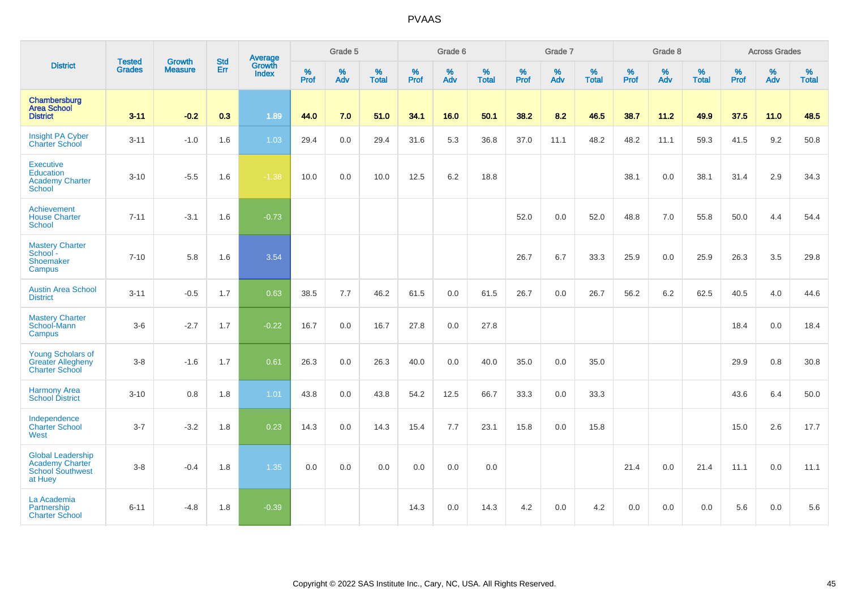|                                                                                          |                                |                                 | <b>Std</b> | Average                |                     | Grade 5  |                      |                     | Grade 6  |                   |                     | Grade 7     |                   |                     | Grade 8  |                   |                     | <b>Across Grades</b> |                   |
|------------------------------------------------------------------------------------------|--------------------------------|---------------------------------|------------|------------------------|---------------------|----------|----------------------|---------------------|----------|-------------------|---------------------|-------------|-------------------|---------------------|----------|-------------------|---------------------|----------------------|-------------------|
| <b>District</b>                                                                          | <b>Tested</b><br><b>Grades</b> | <b>Growth</b><br><b>Measure</b> | Err        | Growth<br><b>Index</b> | $\%$<br><b>Prof</b> | %<br>Adv | $\%$<br><b>Total</b> | $\%$<br><b>Prof</b> | %<br>Adv | %<br><b>Total</b> | $\%$<br><b>Prof</b> | $\%$<br>Adv | %<br><b>Total</b> | $\%$<br><b>Prof</b> | %<br>Adv | %<br><b>Total</b> | $\%$<br><b>Prof</b> | $\%$<br>Adv          | %<br><b>Total</b> |
| Chambersburg<br><b>Area School</b><br><b>District</b>                                    | $3 - 11$                       | $-0.2$                          | 0.3        | 1.89                   | 44.0                | 7.0      | 51.0                 | 34.1                | 16.0     | 50.1              | 38.2                | 8.2         | 46.5              | 38.7                | 11.2     | 49.9              | 37.5                | $11.0$               | 48.5              |
| Insight PA Cyber<br><b>Charter School</b>                                                | $3 - 11$                       | $-1.0$                          | 1.6        | 1.03                   | 29.4                | 0.0      | 29.4                 | 31.6                | 5.3      | 36.8              | 37.0                | 11.1        | 48.2              | 48.2                | 11.1     | 59.3              | 41.5                | 9.2                  | 50.8              |
| <b>Executive</b><br><b>Education</b><br><b>Academy Charter</b><br><b>School</b>          | $3 - 10$                       | $-5.5$                          | 1.6        | $-1.38$                | 10.0                | 0.0      | 10.0                 | 12.5                | 6.2      | 18.8              |                     |             |                   | 38.1                | 0.0      | 38.1              | 31.4                | 2.9                  | 34.3              |
| Achievement<br><b>House Charter</b><br><b>School</b>                                     | $7 - 11$                       | $-3.1$                          | 1.6        | $-0.73$                |                     |          |                      |                     |          |                   | 52.0                | 0.0         | 52.0              | 48.8                | 7.0      | 55.8              | 50.0                | 4.4                  | 54.4              |
| <b>Mastery Charter</b><br>School -<br>Shoemaker<br>Campus                                | $7 - 10$                       | 5.8                             | 1.6        | 3.54                   |                     |          |                      |                     |          |                   | 26.7                | 6.7         | 33.3              | 25.9                | 0.0      | 25.9              | 26.3                | 3.5                  | 29.8              |
| <b>Austin Area School</b><br><b>District</b>                                             | $3 - 11$                       | $-0.5$                          | 1.7        | 0.63                   | 38.5                | 7.7      | 46.2                 | 61.5                | 0.0      | 61.5              | 26.7                | 0.0         | 26.7              | 56.2                | 6.2      | 62.5              | 40.5                | 4.0                  | 44.6              |
| <b>Mastery Charter</b><br>School-Mann<br><b>Campus</b>                                   | $3-6$                          | $-2.7$                          | 1.7        | $-0.22$                | 16.7                | 0.0      | 16.7                 | 27.8                | 0.0      | 27.8              |                     |             |                   |                     |          |                   | 18.4                | 0.0                  | 18.4              |
| <b>Young Scholars of</b><br><b>Greater Allegheny</b><br><b>Charter School</b>            | $3-8$                          | $-1.6$                          | 1.7        | 0.61                   | 26.3                | 0.0      | 26.3                 | 40.0                | 0.0      | 40.0              | 35.0                | 0.0         | 35.0              |                     |          |                   | 29.9                | 0.8                  | 30.8              |
| <b>Harmony Area</b><br><b>School District</b>                                            | $3 - 10$                       | 0.8                             | 1.8        | $1.01$                 | 43.8                | 0.0      | 43.8                 | 54.2                | 12.5     | 66.7              | 33.3                | 0.0         | 33.3              |                     |          |                   | 43.6                | 6.4                  | 50.0              |
| Independence<br><b>Charter School</b><br>West                                            | $3 - 7$                        | $-3.2$                          | 1.8        | 0.23                   | 14.3                | 0.0      | 14.3                 | 15.4                | 7.7      | 23.1              | 15.8                | 0.0         | 15.8              |                     |          |                   | 15.0                | 2.6                  | 17.7              |
| <b>Global Leadership</b><br><b>Academy Charter</b><br><b>School Southwest</b><br>at Huey | $3 - 8$                        | $-0.4$                          | 1.8        | 1.35                   | 0.0                 | 0.0      | 0.0                  | 0.0                 | 0.0      | 0.0               |                     |             |                   | 21.4                | 0.0      | 21.4              | 11.1                | 0.0                  | 11.1              |
| La Academia<br>Partnership<br><b>Charter School</b>                                      | $6 - 11$                       | $-4.8$                          | 1.8        | $-0.39$                |                     |          |                      | 14.3                | 0.0      | 14.3              | 4.2                 | 0.0         | 4.2               | 0.0                 | 0.0      | 0.0               | 5.6                 | 0.0                  | 5.6               |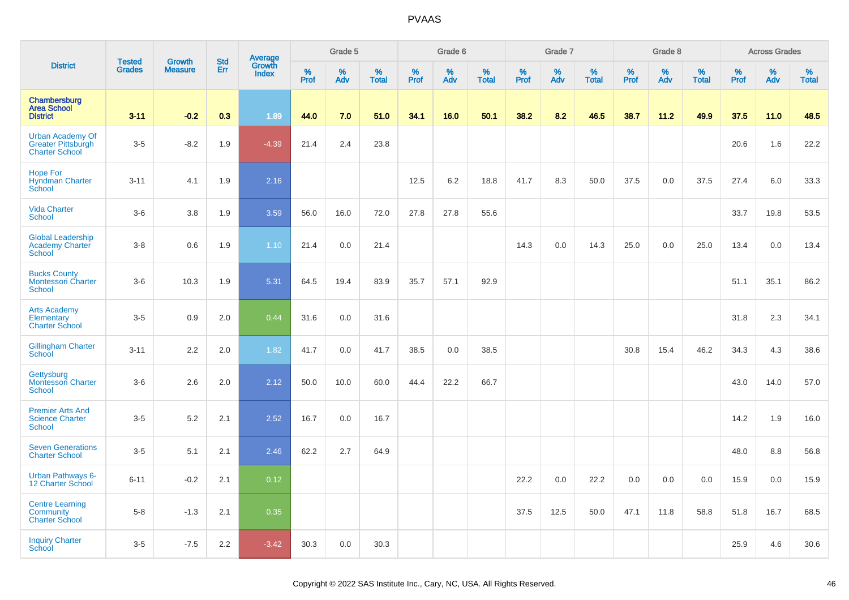|                                                                               | <b>Tested</b> | <b>Growth</b>  | <b>Std</b> |                                          |              | Grade 5  |                   |              | Grade 6  |                   |              | Grade 7  |                   |              | Grade 8     |                   |              | <b>Across Grades</b> |                   |
|-------------------------------------------------------------------------------|---------------|----------------|------------|------------------------------------------|--------------|----------|-------------------|--------------|----------|-------------------|--------------|----------|-------------------|--------------|-------------|-------------------|--------------|----------------------|-------------------|
| <b>District</b>                                                               | <b>Grades</b> | <b>Measure</b> | Err        | <b>Average</b><br>Growth<br><b>Index</b> | $\%$<br>Prof | %<br>Adv | %<br><b>Total</b> | $\%$<br>Prof | %<br>Adv | %<br><b>Total</b> | $\%$<br>Prof | %<br>Adv | %<br><b>Total</b> | $\%$<br>Prof | $\%$<br>Adv | %<br><b>Total</b> | $\%$<br>Prof | $\%$<br>Adv          | %<br><b>Total</b> |
| Chambersburg<br><b>Area School</b><br><b>District</b>                         | $3 - 11$      | $-0.2$         | 0.3        | 1.89                                     | 44.0         | 7.0      | 51.0              | 34.1         | 16.0     | 50.1              | 38.2         | 8.2      | 46.5              | 38.7         | 11.2        | 49.9              | 37.5         | $11.0$               | 48.5              |
| <b>Urban Academy Of</b><br><b>Greater Pittsburgh</b><br><b>Charter School</b> | $3-5$         | $-8.2$         | 1.9        | $-4.39$                                  | 21.4         | 2.4      | 23.8              |              |          |                   |              |          |                   |              |             |                   | 20.6         | 1.6                  | 22.2              |
| <b>Hope For</b><br><b>Hyndman Charter</b><br>School                           | $3 - 11$      | 4.1            | 1.9        | 2.16                                     |              |          |                   | 12.5         | 6.2      | 18.8              | 41.7         | 8.3      | 50.0              | 37.5         | 0.0         | 37.5              | 27.4         | 6.0                  | 33.3              |
| <b>Vida Charter</b><br><b>School</b>                                          | $3-6$         | 3.8            | 1.9        | 3.59                                     | 56.0         | 16.0     | 72.0              | 27.8         | 27.8     | 55.6              |              |          |                   |              |             |                   | 33.7         | 19.8                 | 53.5              |
| <b>Global Leadership</b><br><b>Academy Charter</b><br><b>School</b>           | $3-8$         | 0.6            | 1.9        | 1.10                                     | 21.4         | 0.0      | 21.4              |              |          |                   | 14.3         | 0.0      | 14.3              | 25.0         | 0.0         | 25.0              | 13.4         | 0.0                  | 13.4              |
| <b>Bucks County</b><br><b>Montessori Charter</b><br>School                    | $3-6$         | 10.3           | 1.9        | 5.31                                     | 64.5         | 19.4     | 83.9              | 35.7         | 57.1     | 92.9              |              |          |                   |              |             |                   | 51.1         | 35.1                 | 86.2              |
| <b>Arts Academy</b><br>Elementary<br><b>Charter School</b>                    | $3-5$         | 0.9            | 2.0        | 0.44                                     | 31.6         | 0.0      | 31.6              |              |          |                   |              |          |                   |              |             |                   | 31.8         | 2.3                  | 34.1              |
| <b>Gillingham Charter</b><br>School                                           | $3 - 11$      | 2.2            | 2.0        | 1.82                                     | 41.7         | 0.0      | 41.7              | 38.5         | 0.0      | 38.5              |              |          |                   | 30.8         | 15.4        | 46.2              | 34.3         | 4.3                  | 38.6              |
| Gettysburg<br><b>Montessori Charter</b><br><b>School</b>                      | $3-6$         | 2.6            | 2.0        | 2.12                                     | 50.0         | 10.0     | 60.0              | 44.4         | 22.2     | 66.7              |              |          |                   |              |             |                   | 43.0         | 14.0                 | 57.0              |
| <b>Premier Arts And</b><br><b>Science Charter</b><br><b>School</b>            | $3-5$         | 5.2            | 2.1        | 2.52                                     | 16.7         | 0.0      | 16.7              |              |          |                   |              |          |                   |              |             |                   | 14.2         | 1.9                  | 16.0              |
| <b>Seven Generations</b><br><b>Charter School</b>                             | $3-5$         | 5.1            | 2.1        | 2.46                                     | 62.2         | 2.7      | 64.9              |              |          |                   |              |          |                   |              |             |                   | 48.0         | 8.8                  | 56.8              |
| <b>Urban Pathways 6-</b><br>12 Charter School                                 | $6 - 11$      | $-0.2$         | 2.1        | 0.12                                     |              |          |                   |              |          |                   | 22.2         | 0.0      | 22.2              | 0.0          | 0.0         | 0.0               | 15.9         | 0.0                  | 15.9              |
| <b>Centre Learning</b><br>Community<br><b>Charter School</b>                  | $5-8$         | $-1.3$         | 2.1        | 0.35                                     |              |          |                   |              |          |                   | 37.5         | 12.5     | 50.0              | 47.1         | 11.8        | 58.8              | 51.8         | 16.7                 | 68.5              |
| <b>Inquiry Charter</b><br>School                                              | $3-5$         | $-7.5$         | 2.2        | $-3.42$                                  | 30.3         | 0.0      | 30.3              |              |          |                   |              |          |                   |              |             |                   | 25.9         | 4.6                  | 30.6              |